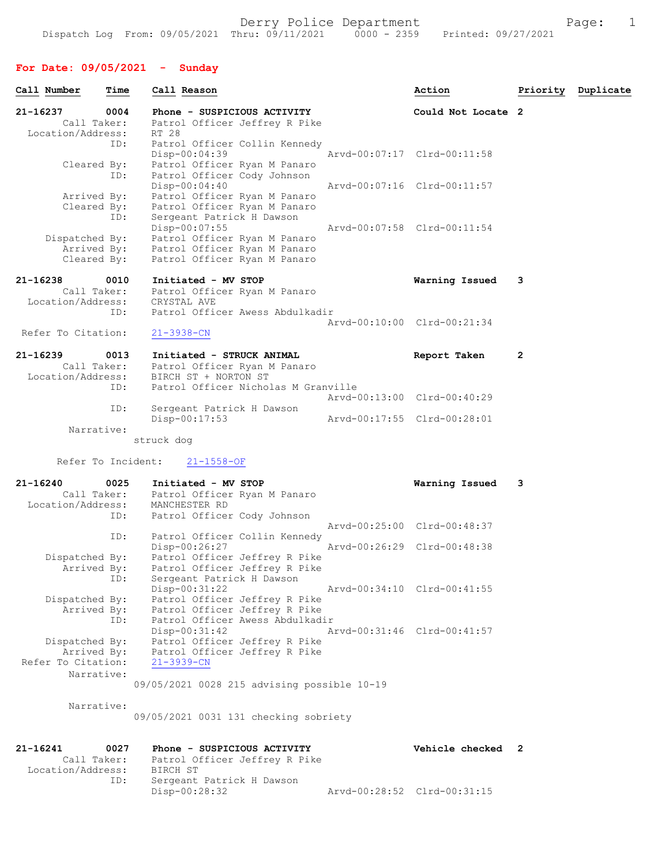### For Date: 09/05/2021 - Sunday

|              | Call Number                                  | Time       | Call Reason                                                                                                     | Action                      |   | Priority Duplicate |
|--------------|----------------------------------------------|------------|-----------------------------------------------------------------------------------------------------------------|-----------------------------|---|--------------------|
| 21-16237     | Call Taker:<br>Location/Address:             | 0004       | Phone - SUSPICIOUS ACTIVITY<br>Patrol Officer Jeffrey R Pike<br>RT 28                                           | Could Not Locate 2          |   |                    |
|              | Cleared By:                                  | ID:<br>ID: | Patrol Officer Collin Kennedy<br>$Disp-00:04:39$<br>Patrol Officer Ryan M Panaro<br>Patrol Officer Cody Johnson | Arvd-00:07:17 Clrd-00:11:58 |   |                    |
|              | Arrived By:<br>Cleared By:                   | ID:        | Disp-00:04:40<br>Patrol Officer Ryan M Panaro<br>Patrol Officer Ryan M Panaro<br>Sergeant Patrick H Dawson      | Arvd-00:07:16 Clrd-00:11:57 |   |                    |
|              | Dispatched By:<br>Arrived By:<br>Cleared By: |            | Disp-00:07:55<br>Patrol Officer Ryan M Panaro<br>Patrol Officer Ryan M Panaro<br>Patrol Officer Ryan M Panaro   | Arvd-00:07:58 Clrd-00:11:54 |   |                    |
|              | 21-16238<br>Call Taker:<br>Location/Address: | 0010       | Initiated - MV STOP<br>Patrol Officer Ryan M Panaro<br>CRYSTAL AVE                                              | Warning Issued              | 3 |                    |
|              | Refer To Citation:                           | ID:        | Patrol Officer Awess Abdulkadir<br>$21 - 3938 - CN$                                                             | Arvd-00:10:00 Clrd-00:21:34 |   |                    |
| $21 - 16239$ | Call Taker:<br>Location/Address:             | 0013       | Initiated - STRUCK ANIMAL<br>Patrol Officer Ryan M Panaro<br>BIRCH ST + NORTON ST                               | Report Taken                | 2 |                    |
|              |                                              | ID:<br>ID: | Patrol Officer Nicholas M Granville<br>Sergeant Patrick H Dawson                                                | Arvd-00:13:00 Clrd-00:40:29 |   |                    |
|              | Narrative:                                   |            | Disp-00:17:53                                                                                                   | Arvd-00:17:55 Clrd-00:28:01 |   |                    |
|              |                                              |            | struck dog                                                                                                      |                             |   |                    |

Refer To Incident: 21-1558-OF

| 21-16240 0025      | Initiated - MV STOP                            | Warning Issued              | 3 |
|--------------------|------------------------------------------------|-----------------------------|---|
| Call Taker:        | Patrol Officer Ryan M Panaro                   |                             |   |
|                    | Location/Address: MANCHESTER RD                |                             |   |
|                    | ID: Patrol Officer Cody Johnson                |                             |   |
|                    |                                                | Arvd-00:25:00 Clrd-00:48:37 |   |
| ID:                | Patrol Officer Collin Kennedy                  |                             |   |
|                    | Disp-00:26:27                                  | Arvd-00:26:29 Clrd-00:48:38 |   |
| Dispatched By:     | Patrol Officer Jeffrey R Pike                  |                             |   |
|                    | Arrived By: Patrol Officer Jeffrey R Pike      |                             |   |
|                    | Sergeant Patrick H Dawson<br>ID:               |                             |   |
|                    | Arvd-00:34:10 Clrd-00:41:55<br>$Disp-00:31:22$ |                             |   |
| Dispatched By:     | Patrol Officer Jeffrey R Pike                  |                             |   |
|                    | Arrived By: Patrol Officer Jeffrey R Pike      |                             |   |
|                    | Patrol Officer Awess Abdulkadir<br>ID:         |                             |   |
|                    | $Disp-00:31:42$<br>Arvd-00:31:46 Clrd-00:41:57 |                             |   |
| Dispatched By:     | Patrol Officer Jeffrey R Pike                  |                             |   |
| Arrived By:        | Patrol Officer Jeffrey R Pike                  |                             |   |
| Refer To Citation: | 21-3939-CN                                     |                             |   |
| Narrative:         |                                                |                             |   |
|                    | 09/05/2021 0028 215 advising possible 10-19    |                             |   |

Narrative:

09/05/2021 0031 131 checking sobriety

| 21-16241          | 0027        | Phone - SUSPICIOUS ACTIVITY   | Vehicle checked 2           |  |
|-------------------|-------------|-------------------------------|-----------------------------|--|
|                   | Call Taker: | Patrol Officer Jeffrey R Pike |                             |  |
| Location/Address: |             | BIRCH ST                      |                             |  |
|                   | ID:         | Sergeant Patrick H Dawson     |                             |  |
|                   |             | Disp-00:28:32                 | Arvd-00:28:52 Clrd-00:31:15 |  |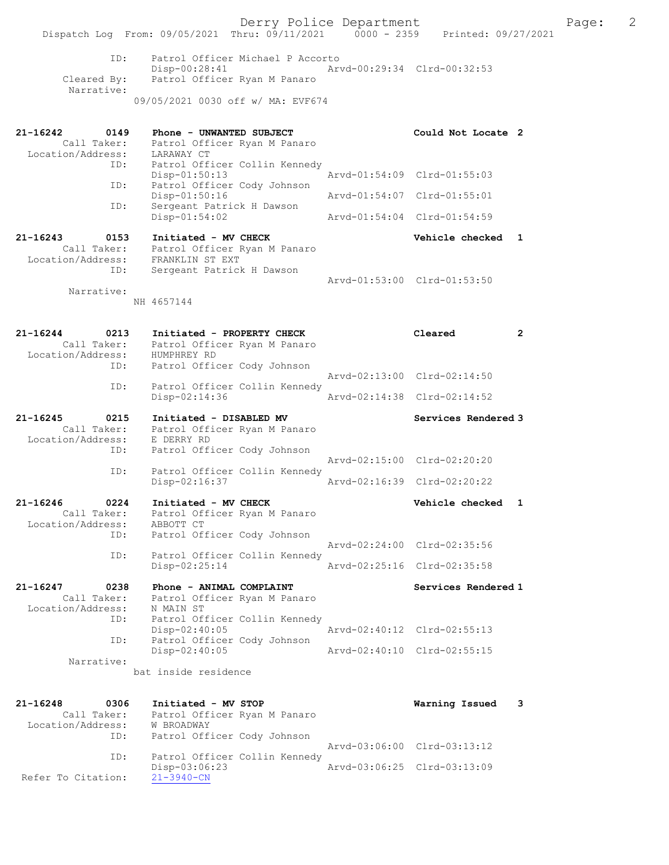Derry Police Department The Page: 2 Dispatch Log From: 09/05/2021 Thru: 09/11/2021 0000 - 2359 Printed: 09/27/2021 ID: Patrol Officer Michael P Accorto Disp-00:28:41 Arvd-00:29:34 Clrd-00:32:53<br>Cleared By: Patrol Officer Ryan M Panaro Patrol Officer Ryan M Panaro Narrative: 09/05/2021 0030 off w/ MA: EVF674 21-16242 0149 Phone - UNWANTED SUBJECT Could Not Locate 2 Call Taker: Patrol Officer Ryan M Panaro Location/Address: LARAWAY CT ID: Patrol Officer Collin Kennedy Disp-01:50:13 Arvd-01:54:09 Clrd-01:55:03 ID: Patrol Officer Cody Johnson Disp-01:50:16 Arvd-01:54:07 Clrd-01:55:01 ID: Sergeant Patrick H Dawson Disp-01:54:02 Arvd-01:54:04 Clrd-01:54:59 21-16243 0153 Initiated - MV CHECK Vehicle checked 1 Call Taker: Patrol Officer Ryan M Panaro Location/Address: FRANKLIN ST EXT ID: Sergeant Patrick H Dawson Arvd-01:53:00 Clrd-01:53:50 Narrative: NH 4657144 21-16244 0213 Initiated - PROPERTY CHECK Cleared 2 Call Taker: Patrol Officer Ryan M Panaro Location/Address: HUMPHREY RD ID: Patrol Officer Cody Johnson Arvd-02:13:00 Clrd-02:14:50 ID: Patrol Officer Collin Kennedy Disp-02:14:36 Arvd-02:14:38 Clrd-02:14:52 21-16245 0215 Initiated - DISABLED MV Services Rendered 3 Call Taker: Patrol Officer Ryan M Panaro Location/Address: E DERRY RD ID: Patrol Officer Cody Johnson Arvd-02:15:00 Clrd-02:20:20<br>TD: Patrol Officer Collin Kennedy Patrol Officer Collin Kennedy Disp-02:16:37 Arvd-02:16:39 Clrd-02:20:22 21-16246 0224 Initiated - MV CHECK Vehicle checked 1 Call Taker: Patrol Officer Ryan M Panaro Location/Address: ABBOTT CT ID: Patrol Officer Cody Johnson Arvd-02:24:00 Clrd-02:35:56 ID: Patrol Officer Collin Kennedy<br>Disp-02:25:14 Disp-02:25:14 Arvd-02:25:16 Clrd-02:35:58 21-16247 0238 Phone - ANIMAL COMPLAINT Services Rendered 1 Call Taker: Patrol Officer Ryan M Panaro Location/Address: N MAIN ST ID: Patrol Officer Collin Kennedy Disp-02:40:05 Arvd-02:40:12 Clrd-02:55:13 ID: Patrol Officer Cody Johnson Disp-02:40:05 Arvd-02:40:10 Clrd-02:55:15 Narrative: bat inside residence 21-16248 0306 Initiated - MV STOP Call Taker: Patrol Officer Ryan M Panaro Call Taker: Patrol Officer Ryan M Panaro Location/Address: W BROADWAY ID: Patrol Officer Cody Johnson Arvd-03:06:00 Clrd-03:13:12<br>ID: Patrol Officer Collin Kennedy Patrol Officer Collin Kennedy<br>Disp-03:06:23 Disp-03:06:23 Arvd-03:06:25 Clrd-03:13:09

Refer To Citation: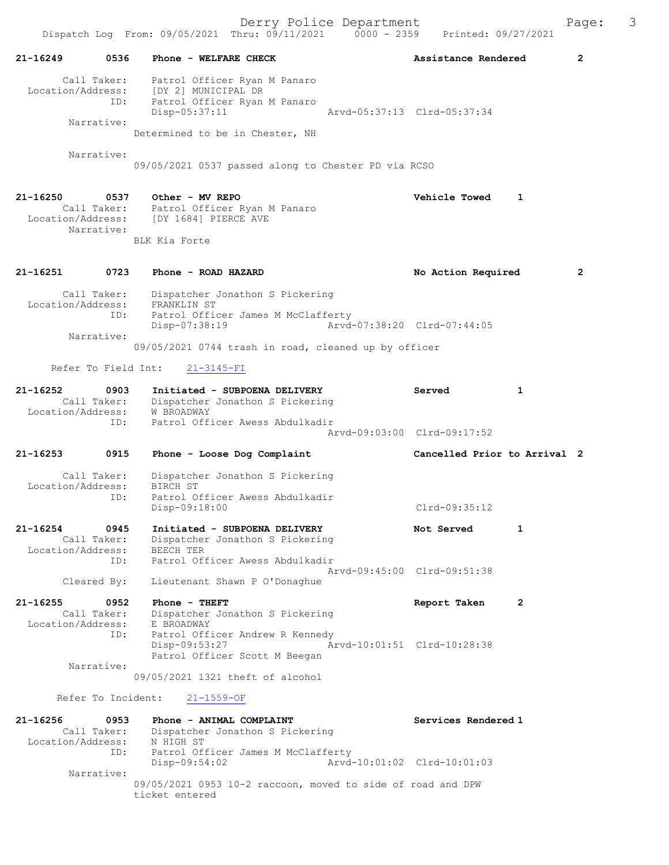Dispatch Log From: 09/05/2021 Thru: 09/11/2021 0000 - 2359 Printed: 09/27/2021 21-16249 0536 Phone - WELFARE CHECK 2 Assistance Rendered 2 Call Taker: Patrol Officer Ryan M Panaro Location/Address: [DY 2] MUNICIPAL DR ID: Patrol Officer Ryan M Panaro Disp-05:37:11 Arvd-05:37:13 Clrd-05:37:34 Narrative: Determined to be in Chester, NH Narrative: 09/05/2021 0537 passed along to Chester PD via RCSO 21-16250 0537 Other - MV REPO Vehicle Towed 1 Call Taker: Patrol Officer Ryan M Panaro Location/Address: [DY 1684] PIERCE AVE Narrative: BLK Kia Forte 21-16251 0723 Phone - ROAD HAZARD No Action Required 2 Call Taker: Dispatcher Jonathon S Pickering Location/Address: FRANKLIN ST ID: Patrol Officer James M McClafferty Disp-07:38:19 Arvd-07:38:20 Clrd-07:44:05 Narrative: 09/05/2021 0744 trash in road, cleaned up by officer Refer To Field Int: 21-3145-FI 21-16252 0903 Initiated - SUBPOENA DELIVERY Served 1 Call Taker: Dispatcher Jonathon S Pickering Location/Address: W BROADWAY ID: Patrol Officer Awess Abdulkadir Arvd-09:03:00 Clrd-09:17:52 21-16253 0915 Phone - Loose Dog Complaint Cancelled Prior to Arrival 2 Call Taker: Dispatcher Jonathon S Pickering Location/Address: BIRCH ST ID: Patrol Officer Awess Abdulkadir Disp-09:18:00 Clrd-09:35:12 21-16254 0945 Initiated - SUBPOENA DELIVERY Not Served 1 Call Taker: Dispatcher Jonathon S Pickering Location/Address: BEECH TER ID: Patrol Officer Awess Abdulkadir Arvd-09:45:00 Clrd-09:51:38 Cleared By: Lieutenant Shawn P O'Donaghue 21-16255 0952 Phone - THEFT Report Taken 2 Call Taker: Dispatcher Jonathon S Pickering Location/Address: E BROADWAY ID: Patrol Officer Andrew R Kennedy Disp-09:53:27 Arvd-10:01:51 Clrd-10:28:38 Patrol Officer Scott M Beegan Narrative: 09/05/2021 1321 theft of alcohol Refer To Incident: 21-1559-OF 21-16256 0953 Phone - ANIMAL COMPLAINT Services Rendered 1 Call Taker: Dispatcher Jonathon S Pickering Location/Address: N HIGH ST ID: Patrol Officer James M McClafferty Disp-09:54:02 Arvd-10:01:02 Clrd-10:01:03 Narrative: 09/05/2021 0953 10-2 raccoon, moved to side of road and DPW ticket entered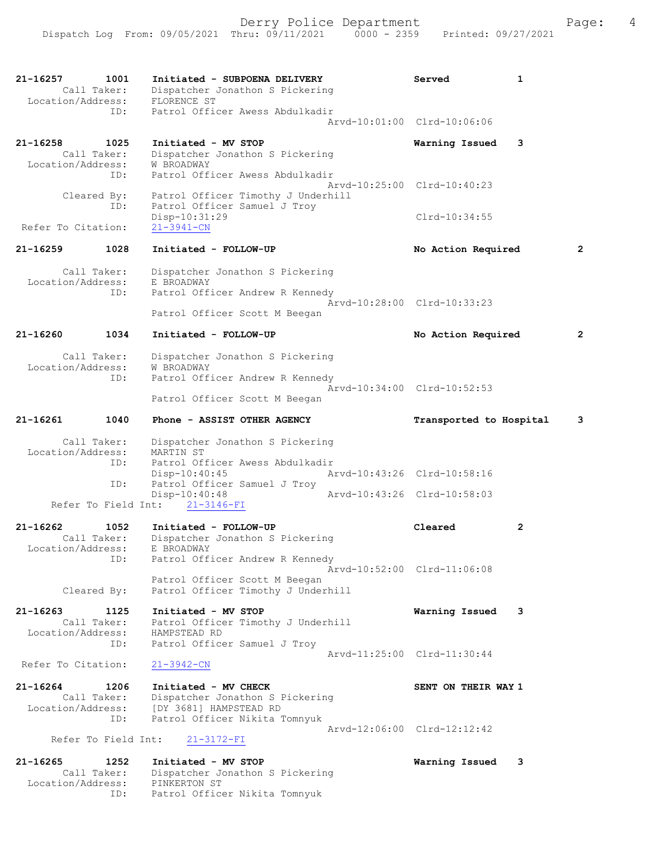| $21 - 16257$       | 1001<br>Call Taker: | Initiated - SUBPOENA DELIVERY<br>Dispatcher Jonathon S Pickering   | Served                      | 1 |
|--------------------|---------------------|--------------------------------------------------------------------|-----------------------------|---|
| Location/Address:  | ID:                 | FLORENCE ST<br>Patrol Officer Awess Abdulkadir                     |                             |   |
|                    |                     |                                                                    | Aryd-10:01:00 Clrd-10:06:06 |   |
| 21-16258           | 1025                | Initiated - MV STOP                                                | Warning Issued              | 3 |
|                    | Call Taker:         | Dispatcher Jonathon S Pickering                                    |                             |   |
| Location/Address:  | ID:                 | <b>W BROADWAY</b><br>Patrol Officer Awess Abdulkadir               |                             |   |
|                    |                     |                                                                    | Aryd-10:25:00 Clrd-10:40:23 |   |
|                    | Cleared By:<br>ID:  | Patrol Officer Timothy J Underhill<br>Patrol Officer Samuel J Troy |                             |   |
|                    |                     | Disp-10:31:29                                                      | $Clrd-10:34:55$             |   |
| Refer To Citation: |                     | $21 - 3941 - CN$                                                   |                             |   |
| $21 - 16259$       | 1028                | Initiated - FOLLOW-UP                                              | No Action Required          | 2 |
|                    | Call Taker:         | Dispatcher Jonathon S Pickering                                    |                             |   |
| Location/Address:  |                     | E BROADWAY                                                         |                             |   |
|                    | ID:                 | Patrol Officer Andrew R Kennedy                                    | Aryd-10:28:00 Clrd-10:33:23 |   |
|                    |                     | Patrol Officer Scott M Beegan                                      |                             |   |
| 21-16260           | 1034                | Initiated - FOLLOW-UP                                              | No Action Required          | 2 |
|                    | Call Taker:         | Dispatcher Jonathon S Pickering                                    |                             |   |
| Location/Address:  | ID:                 | W BROADWAY<br>Patrol Officer Andrew R Kennedy                      |                             |   |
|                    |                     |                                                                    | Arvd-10:34:00 Clrd-10:52:53 |   |
|                    |                     | Patrol Officer Scott M Beegan                                      |                             |   |
| $21 - 16261$       | 1040                | Phone - ASSIST OTHER AGENCY                                        | Transported to Hospital     | 3 |
| Location/Address:  | Call Taker:         | Dispatcher Jonathon S Pickering<br>MARTIN ST                       |                             |   |
|                    | ID:                 | Patrol Officer Awess Abdulkadir<br>$Disp-10:40:45$                 | Arvd-10:43:26 Clrd-10:58:16 |   |
|                    | ID:                 | Patrol Officer Samuel J Troy                                       |                             |   |
|                    | Refer To Field Int: | $Disp-10:40:48$<br>$21 - 3146 - FI$                                | Arvd-10:43:26 Clrd-10:58:03 |   |
|                    |                     |                                                                    |                             |   |
| $21 - 16262$       | 1052<br>Call Taker: | Initiated - FOLLOW-UP<br>Dispatcher Jonathon S Pickering           | Cleared                     | 2 |
| Location/Address:  |                     | E BROADWAY                                                         |                             |   |
|                    | ID:                 | Patrol Officer Andrew R Kennedy                                    | Arvd-10:52:00 Clrd-11:06:08 |   |
|                    |                     | Patrol Officer Scott M Beegan                                      |                             |   |
|                    | Cleared By:         | Patrol Officer Timothy J Underhill                                 |                             |   |
| $21 - 16263$       | 1125                | Initiated - MV STOP                                                | Warning Issued              | 3 |
| Location/Address:  | Call Taker:         | Patrol Officer Timothy J Underhill<br>HAMPSTEAD RD                 |                             |   |
|                    | ID:                 | Patrol Officer Samuel J Troy                                       |                             |   |
| Refer To Citation: |                     | $21 - 3942 - CN$                                                   | Arvd-11:25:00 Clrd-11:30:44 |   |
|                    |                     |                                                                    |                             |   |
| 21-16264           | 1206<br>Call Taker: | Initiated - MV CHECK<br>Dispatcher Jonathon S Pickering            | SENT ON THEIR WAY 1         |   |
| Location/Address:  |                     | [DY 3681] HAMPSTEAD RD                                             |                             |   |
|                    | ID:                 | Patrol Officer Nikita Tomnyuk                                      | Arvd-12:06:00 Clrd-12:12:42 |   |
|                    | Refer To Field Int: | $21 - 3172 - FI$                                                   |                             |   |
| $21 - 16265$       | 1252                | Initiated - MV STOP                                                | Warning Issued              | 3 |
|                    | Call Taker:         | Dispatcher Jonathon S Pickering                                    |                             |   |
| Location/Address:  | ID:                 | PINKERTON ST<br>Patrol Officer Nikita Tomnyuk                      |                             |   |
|                    |                     |                                                                    |                             |   |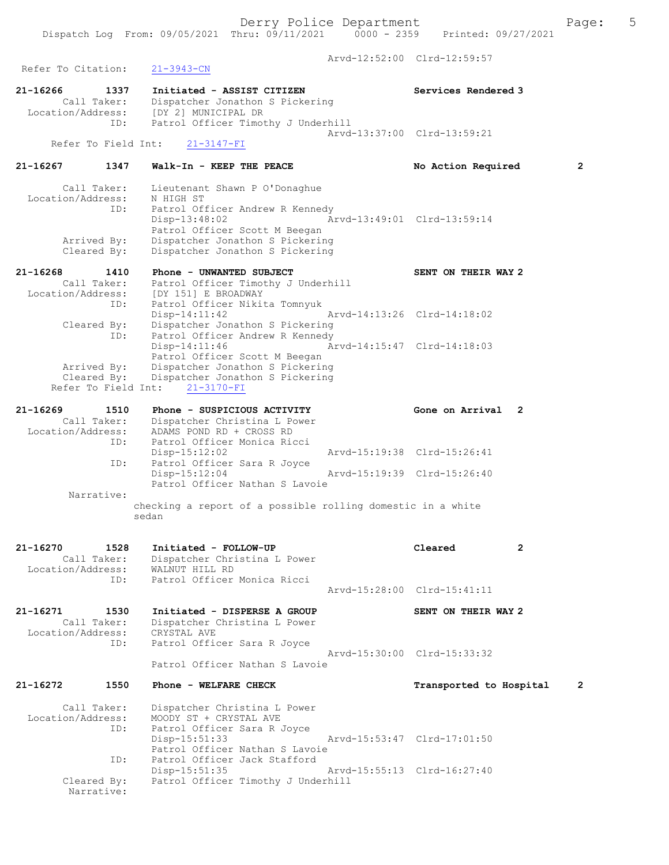Dispatch Log From: 09/05/2021 Thru: 09/11/2021 0000 - 2359 Printed: 09/27/2021 Arvd-12:52:00 Clrd-12:59:57 Refer To Citation: 21-3943-CN 21-16266 1337 Initiated - ASSIST CITIZEN Services Rendered 3 Call Taker: Dispatcher Jonathon S Pickering

 Location/Address: [DY 2] MUNICIPAL DR ID: Patrol Officer Timothy J Underhill Arvd-13:37:00 Clrd-13:59:21 Refer To Field Int: 21-3147-FI

# 21-16267 1347 Walk-In - KEEP THE PEACE No Action Required 2

 Call Taker: Lieutenant Shawn P O'Donaghue Location/Address: N HIGH ST ID: Patrol Officer Andrew R Kennedy Disp-13:48:02 Arvd-13:49:01 Clrd-13:59:14 Patrol Officer Scott M Beegan Arrived By: Dispatcher Jonathon S Pickering Cleared By: Dispatcher Jonathon S Pickering

21-16268 1410 Phone - UNWANTED SUBJECT SENT ON THEIR WAY 2 Call Taker: Patrol Officer Timothy J Underhill Location/Address: [DY 151] E BROADWAY ID: Patrol Officer Nikita Tomnyuk Disp-14:11:42 Arvd-14:13:26 Clrd-14:18:02 Cleared By: Dispatcher Jonathon S Pickering ID: Patrol Officer Andrew R Kennedy Disp-14:11:46 Arvd-14:15:47 Clrd-14:18:03 Patrol Officer Scott M Beegan Arrived By: Dispatcher Jonathon S Pickering Cleared By: Dispatcher Jonathon S Pickering Refer To Field Int: 21-3170-FI

21-16269 1510 Phone - SUSPICIOUS ACTIVITY Cone on Arrival 2 Call Taker: Dispatcher Christina L Power Location/Address: ADAMS POND RD + CROSS RD ID: Patrol Officer Monica Ricci Disp-15:12:02 Arvd-15:19:38 Clrd-15:26:41 ID: Patrol Officer Sara R Joyce Arvd-15:19:39 Clrd-15:26:40 Patrol Officer Nathan S Lavoie Narrative: checking a report of a possible rolling domestic in a white

## 21-16270 1528 Initiated - FOLLOW-UP Cleared 2 Call Taker: Dispatcher Christina L Power Location/Address: WALNUT HILL RD ID: Patrol Officer Monica Ricci Arvd-15:28:00 Clrd-15:41:11

21-16271 1530 Initiated - DISPERSE A GROUP SENT ON THEIR WAY 2 Call Taker: Dispatcher Christina L Power Location/Address: CRYSTAL AVE ID: Patrol Officer Sara R Joyce Arvd-15:30:00 Clrd-15:33:32 Patrol Officer Nathan S Lavoie

## 21-16272 1550 Phone - WELFARE CHECK Transported to Hospital 2

sedan

 Call Taker: Dispatcher Christina L Power Location/Address: MOODY ST + CRYSTAL AVE ID: Patrol Officer Sara R Joyce<br>Disp-15:51:33 Arvd-15:53:47 Clrd-17:01:50 Patrol Officer Nathan S Lavoie ID: Patrol Officer Jack Stafford<br>Disp-15:51:35 Arvd-15:55:13 Clrd-16:27:40 Cleared By: Patrol Officer Timothy J Underhill Narrative: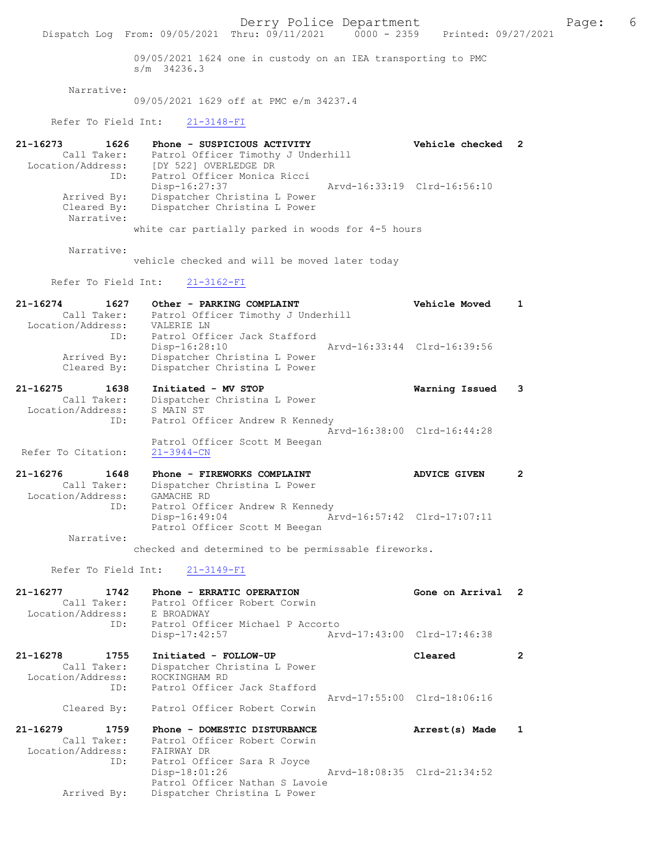Derry Police Department The Rage: 6 Dispatch Log From: 09/05/2021 Thru: 09/11/2021 0000 - 2359 Printed: 09/27/2021 09/05/2021 1624 one in custody on an IEA transporting to PMC s/m 34236.3 Narrative: 09/05/2021 1629 off at PMC e/m 34237.4 Refer To Field Int: 21-3148-FI 21-16273 1626 Phone - SUSPICIOUS ACTIVITY Vehicle checked 2 Call Taker: Patrol Officer Timothy J Underhill Location/Address: [DY 522] OVERLEDGE DR ID: Patrol Officer Monica Ricci Disp-16:27:37 Arvd-16:33:19 Clrd-16:56:10 Arrived By: Dispatcher Christina L Power Cleared By: Dispatcher Christina L Power Narrative: white car partially parked in woods for 4-5 hours Narrative: vehicle checked and will be moved later today Refer To Field Int: 21-3162-FI 21-16274 1627 Other - PARKING COMPLAINT Vehicle Moved 1 Call Taker: Patrol Officer Timothy J Underhill Location/Address: VALERIE LN ID: Patrol Officer Jack Stafford<br>Disp-16:28:10 Disp-16:28:10 Arvd-16:33:44 Clrd-16:39:56 Arrived By: Dispatcher Christina L Power Cleared By: Dispatcher Christina L Power 21-16275 1638 Initiated - MV STOP Warning Issued 3 Call Taker: Dispatcher Christina L Power Location/Address: S MAIN ST ID: Patrol Officer Andrew R Kennedy Arvd-16:38:00 Clrd-16:44:28 Patrol Officer Scott M Beegan Refer To Citation: 21-16276 1648 Phone - FIREWORKS COMPLAINT ADVICE GIVEN 2 Call Taker: Dispatcher Christina L Power<br>cion/Address: GAMACHE RD Location/Address: ID: Patrol Officer Andrew R Kennedy Disp-16:49:04 Arvd-16:57:42 Clrd-17:07:11 Patrol Officer Scott M Beegan Narrative: checked and determined to be permissable fireworks. Refer To Field Int: 21-3149-FI 21-16277 1742 Phone - ERRATIC OPERATION Gone on Arrival 2 Call Taker: Patrol Officer Robert Corwin Location/Address: E BROADWAY ID: Patrol Officer Michael P Accorto<br>Disp-17:42:57 Art Disp-17:42:57 Arvd-17:43:00 Clrd-17:46:38 21-16278 1755 Initiated - FOLLOW-UP Cleared 2 Call Taker: Dispatcher Christina L Power Location/Address: ROCKINGHAM RD ID: Patrol Officer Jack Stafford Arvd-17:55:00 Clrd-18:06:16 Cleared By: Patrol Officer Robert Corwin 21-16279 1759 Phone - DOMESTIC DISTURBANCE Arrest(s) Made 1 Call Taker: Patrol Officer Robert Corwin<br>ion/Address: FAIRWAY DR Location/Address:<br>TD: Patrol Officer Sara R Joyce Disp-18:01:26 Arvd-18:08:35 Clrd-21:34:52 Patrol Officer Nathan S Lavoie Arrived By: Dispatcher Christina L Power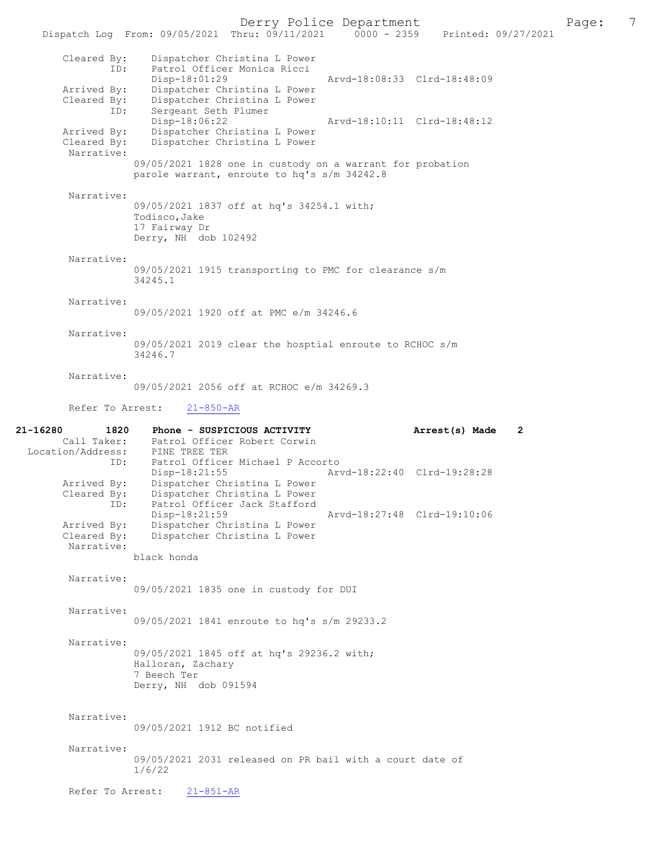Derry Police Department<br>
Page: 7<br>
Printed: 09/27/2021<br>
Printed: 09/27/2021 Dispatch Log From: 09/05/2021 Thru: 09/11/2021 Cleared By: Dispatcher Christina L Power ID: Patrol Officer Monica Ricci Disp-18:01:29 Arvd-18:08:33 Clrd-18:48:09<br>Arrived By: Dispatcher Christina L Power Arrived By: Dispatcher Christina L Power<br>Cleared By: Dispatcher Christina L Power Dispatcher Christina L Power ID: Sergeant Seth Plumer<br>Disp-18:06:22 Disp-18:06:22 Arvd-18:10:11 Clrd-18:48:12<br>Arrived By: Dispatcher Christina L Power Arrived By: Dispatcher Christina L Power<br>Cleared By: Dispatcher Christina L Power Dispatcher Christina L Power Narrative: 09/05/2021 1828 one in custody on a warrant for probation parole warrant, enroute to hq's s/m 34242.8 Narrative: 09/05/2021 1837 off at hq's 34254.1 with; Todisco,Jake 17 Fairway Dr Derry, NH dob 102492 Narrative: 09/05/2021 1915 transporting to PMC for clearance s/m 34245.1 Narrative: 09/05/2021 1920 off at PMC e/m 34246.6 Narrative: 09/05/2021 2019 clear the hosptial enroute to RCHOC s/m 34246.7 Narrative: 09/05/2021 2056 off at RCHOC e/m 34269.3 Refer To Arrest: 21-850-AR 21-16280 1820 Phone - SUSPICIOUS ACTIVITY Arrest(s) Made 2<br>Call Taker: Patrol Officer Robert Corwin Patrol Officer Robert Corwin<br>PINE TREE TER Location/Address:<br>ID: Patrol Officer Michael P Accorto<br>Disp-18:21:55 Ary Disp-18:21:55 Arvd-18:22:40 Clrd-19:28:28 Arrived By: Dispatcher Christina L Power<br>Cleared By: Dispatcher Christina L Power .<br>Dispatcher Christina L Power ID: Patrol Officer Jack Stafford<br>Disp-18:21:59 Disp-18:21:59 Arvd-18:27:48 Clrd-19:10:06<br>Arrived By: Dispatcher Christina L Power Dispatcher Christina L Power Cleared By: Dispatcher Christina L Power Narrative: black honda Narrative: 09/05/2021 1835 one in custody for DUI Narrative: 09/05/2021 1841 enroute to hq's s/m 29233.2 Narrative: 09/05/2021 1845 off at hq's 29236.2 with; Halloran, Zachary 7 Beech Ter Derry, NH dob 091594 Narrative: 09/05/2021 1912 BC notified Narrative: 09/05/2021 2031 released on PR bail with a court date of 1/6/22 Refer To Arrest: 21-851-AR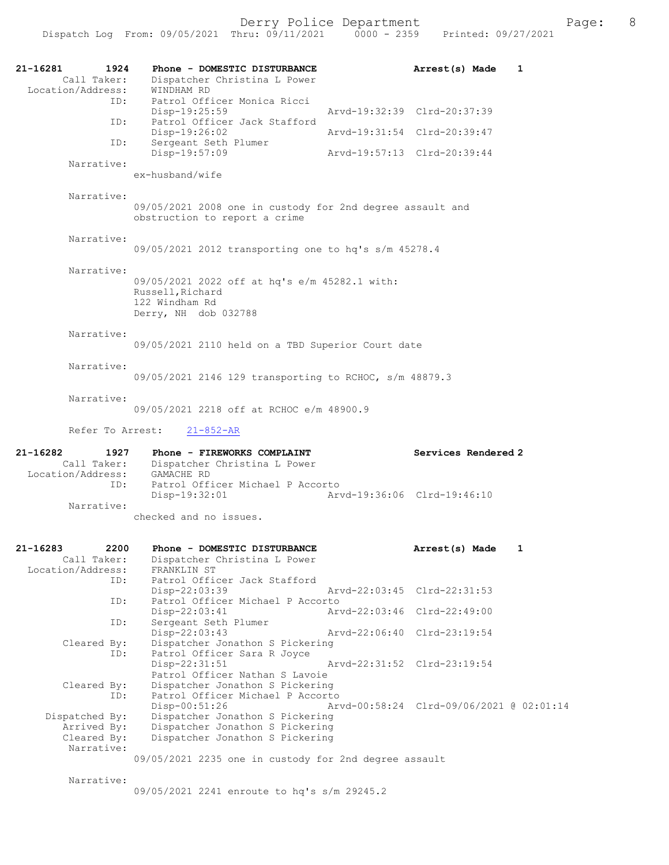| 21-16281<br>1924<br>Call Taker:<br>Location/Address:<br>ID: | Phone - DOMESTIC DISTURBANCE<br>Dispatcher Christina L Power<br>WINDHAM RD<br>Patrol Officer Monica Ricci   | Arrest(s) Made                           | 1 |
|-------------------------------------------------------------|-------------------------------------------------------------------------------------------------------------|------------------------------------------|---|
| ID:                                                         | Disp-19:25:59<br>Patrol Officer Jack Stafford                                                               | Arvd-19:32:39 Clrd-20:37:39              |   |
|                                                             | $Disp-19:26:02$                                                                                             | Arvd-19:31:54 Clrd-20:39:47              |   |
| ID:                                                         | Sergeant Seth Plumer<br>Disp-19:57:09                                                                       | Arvd-19:57:13 Clrd-20:39:44              |   |
| Narrative:                                                  | ex-husband/wife                                                                                             |                                          |   |
| Narrative:                                                  | 09/05/2021 2008 one in custody for 2nd degree assault and<br>obstruction to report a crime                  |                                          |   |
| Narrative:                                                  | 09/05/2021 2012 transporting one to hq's s/m 45278.4                                                        |                                          |   |
| Narrative:                                                  | 09/05/2021 2022 off at hq's e/m 45282.1 with:<br>Russell, Richard<br>122 Windham Rd<br>Derry, NH dob 032788 |                                          |   |
| Narrative:                                                  | 09/05/2021 2110 held on a TBD Superior Court date                                                           |                                          |   |
| Narrative:                                                  | 09/05/2021 2146 129 transporting to RCHOC, s/m 48879.3                                                      |                                          |   |
| Narrative:                                                  | 09/05/2021 2218 off at RCHOC e/m 48900.9                                                                    |                                          |   |
| Refer To Arrest:                                            | $21 - 852 - AR$                                                                                             |                                          |   |
| 21-16282<br>1927<br>Call Taker:                             | Phone - FIREWORKS COMPLAINT<br>Dispatcher Christina L Power                                                 | Services Rendered 2                      |   |
| Location/Address:<br>ID:                                    | GAMACHE RD<br>Patrol Officer Michael P Accorto<br>$Disp-19:32:01$                                           | Arvd-19:36:06 Clrd-19:46:10              |   |
| Narrative:                                                  | checked and no issues.                                                                                      |                                          |   |
| 2200<br>21-16283<br>Call Taker:<br>Location/Address:        | Phone - DOMESTIC DISTURBANCE<br>Dispatcher Christina L Power<br>FRANKLIN ST                                 | Arrest(s) Made                           | 1 |
| ID:<br>ID:                                                  | Patrol Officer Jack Stafford<br>Disp-22:03:39<br>Patrol Officer Michael P Accorto                           | Arvd-22:03:45 Clrd-22:31:53              |   |
| ID:                                                         | Disp-22:03:41<br>Sergeant Seth Plumer                                                                       | Arvd-22:03:46 Clrd-22:49:00              |   |
| Cleared By:                                                 | Disp-22:03:43<br>Dispatcher Jonathon S Pickering                                                            | Arvd-22:06:40 Clrd-23:19:54              |   |
| ID:                                                         | Patrol Officer Sara R Joyce<br>Disp-22:31:51<br>Patrol Officer Nathan S Lavoie                              | Arvd-22:31:52 Clrd-23:19:54              |   |
| Cleared By:<br>ID:                                          | Dispatcher Jonathon S Pickering<br>Patrol Officer Michael P Accorto<br>Disp-00:51:26                        | Arvd-00:58:24 Clrd-09/06/2021 @ 02:01:14 |   |
| Dispatched By:<br>Arrived By:<br>Cleared By:<br>Narrative:  | Dispatcher Jonathon S Pickering<br>Dispatcher Jonathon S Pickering<br>Dispatcher Jonathon S Pickering       |                                          |   |
|                                                             | 09/05/2021 2235 one in custody for 2nd degree assault                                                       |                                          |   |
| Narrative:                                                  | 09/05/2021 2241 enroute to hq's s/m 29245.2                                                                 |                                          |   |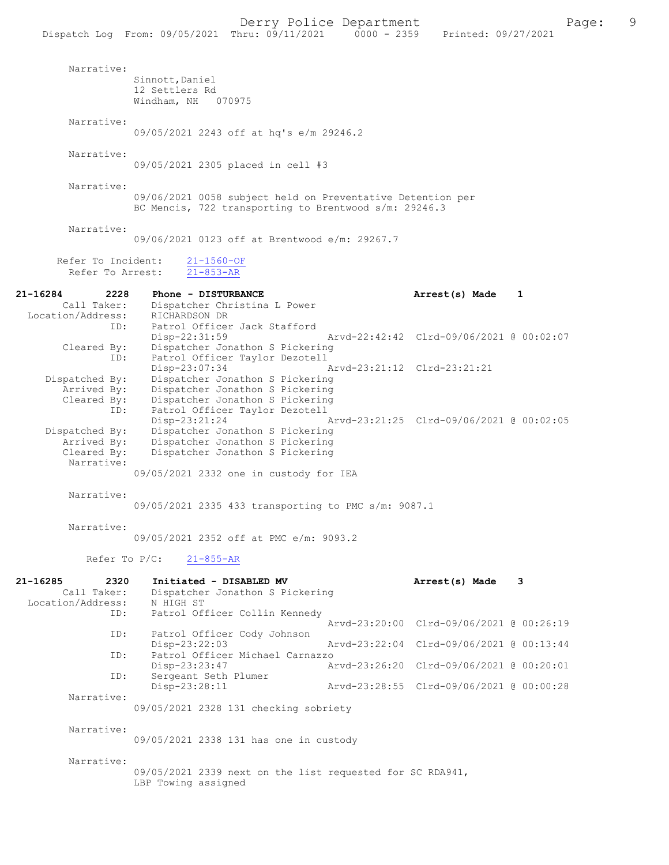Dispatch Log From: 09/05/2021 Thru: 09/11/2021

LBP Towing assigned

 Narrative: Sinnott,Daniel 12 Settlers Rd Windham, NH 070975 Narrative: 09/05/2021 2243 off at hq's e/m 29246.2 Narrative: 09/05/2021 2305 placed in cell #3 Narrative: 09/06/2021 0058 subject held on Preventative Detention per BC Mencis, 722 transporting to Brentwood s/m: 29246.3 Narrative: 09/06/2021 0123 off at Brentwood e/m: 29267.7 Refer To Incident: 21-1560-OF<br>Refer To Arrest: 21-853-AR Refer To Arrest: 21-16284 2228 Phone - DISTURBANCE 220 Arrest(s) Made 1<br>Call Taker: Dispatcher Christina L Power Dispatcher Christina L Power<br>RICHARDSON DR Location/Address:<br>TD: Patrol Officer Jack Stafford<br>Disp-22:31:59 Disp-22:31:59 Arvd-22:42:42 Clrd-09/06/2021 @ 00:02:07<br>Cleared By: Dispatcher Jonathon S Pickering Dispatcher Jonathon S Pickering ID: Patrol Officer Taylor Dezotell Disp-23:07:34 Arvd-23:21:12 Clrd-23:21:21<br>Dispatched By: Dispatcher Jonathon S Pickering patched By: Dispatcher Jonathon S Pickering<br>Arrived By: Dispatcher Jonathon S Pickering Dispatcher Jonathon S Pickering Cleared By: Dispatcher Jonathon S Pickering<br>ID: Patrol Officer Taylor Dezotell Patrol Officer Taylor Dezotell<br>Disp-23:21:24 Disp-23:21:24 Arvd-23:21:25 Clrd-09/06/2021 @ 00:02:05<br>Dispatched By: Dispatcher Jonathon S Pickering patched By: Dispatcher Jonathon S Pickering<br>Arrived By: Dispatcher Jonathon S Pickering Arrived By: Dispatcher Jonathon S Pickering<br>Cleared By: Dispatcher Jonathon S Pickering Dispatcher Jonathon S Pickering Narrative: 09/05/2021 2332 one in custody for IEA Narrative: 09/05/2021 2335 433 transporting to PMC s/m: 9087.1 Narrative: 09/05/2021 2352 off at PMC e/m: 9093.2 Refer To P/C: 21-855-AR 21-16285 2320 Initiated - DISABLED MV **Arrest(s) Made** 3<br>Call Taker: Dispatcher Jonathon S Pickering Dispatcher Jonathon S Pickering<br>N HIGH ST Location/Address: ID: Patrol Officer Collin Kennedy Arvd-23:20:00 Clrd-09/06/2021 @ 00:26:19 ID: Patrol Officer Cody Johnson Disp-23:22:03 Arvd-23:22:04 Clrd-09/06/2021 @ 00:13:44<br>ID: Patrol Officer Michael Carnazzo Patrol Officer Michael Carnazzo<br>Disp-23:23:47 A Arvd-23:26:20 Clrd-09/06/2021 @ 00:20:01 ID: Sergeant Seth Plumer<br>Disp-23:28:11 Disp-23:28:11 Arvd-23:28:55 Clrd-09/06/2021 @ 00:00:28 Narrative: 09/05/2021 2328 131 checking sobriety Narrative: 09/05/2021 2338 131 has one in custody Narrative: 09/05/2021 2339 next on the list requested for SC RDA941,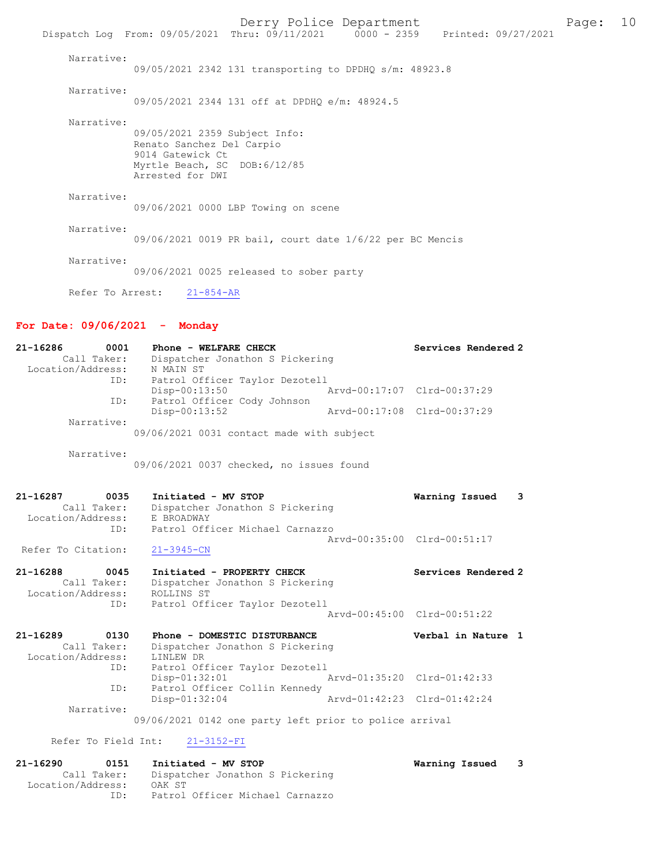Derry Police Department Fage: 10 Dispatch Log From: 09/05/2021 Thru: 09/11/2021 0000 - 2359 Printed: 09/27/2021 Narrative: 09/05/2021 2342 131 transporting to DPDHQ s/m: 48923.8 Narrative: 09/05/2021 2344 131 off at DPDHQ e/m: 48924.5 Narrative: 09/05/2021 2359 Subject Info: Renato Sanchez Del Carpio 9014 Gatewick Ct Myrtle Beach, SC DOB:6/12/85 Arrested for DWI Narrative: 09/06/2021 0000 LBP Towing on scene Narrative: 09/06/2021 0019 PR bail, court date 1/6/22 per BC Mencis Narrative:

09/06/2021 0025 released to sober party

Refer To Arrest: 21-854-AR

## For Date: 09/06/2021 - Monday

| 21-16286<br>0001<br>Call Taker:<br>Location/Address:            | Phone - WELFARE CHECK<br>Dispatcher Jonathon S Pickering<br>N MAIN ST                                         | Services Rendered 2                                        |
|-----------------------------------------------------------------|---------------------------------------------------------------------------------------------------------------|------------------------------------------------------------|
| ID:<br>ID:<br>Narrative:                                        | Patrol Officer Taylor Dezotell<br>$Disp-00:13:50$<br>Patrol Officer Cody Johnson<br>Disp-00:13:52             | Arvd-00:17:07 Clrd-00:37:29<br>Arvd-00:17:08 Clrd-00:37:29 |
| Narrative:                                                      | 09/06/2021 0031 contact made with subject<br>09/06/2021 0037 checked, no issues found                         |                                                            |
| 21-16287<br>0035<br>Call Taker:<br>Location/Address:            | Initiated - MV STOP<br>Dispatcher Jonathon S Pickering<br>E BROADWAY<br>Patrol Officer Michael Carnazzo       | Warning Issued<br>3                                        |
| ID:<br>Refer To Citation:                                       | $21 - 3945 - CN$                                                                                              | Arvd-00:35:00 Clrd-00:51:17                                |
| $21 - 16288$<br>0045<br>Call Taker:<br>Location/Address:<br>ID: | Initiated - PROPERTY CHECK<br>Dispatcher Jonathon S Pickering<br>ROLLINS ST<br>Patrol Officer Taylor Dezotell | Services Rendered 2                                        |
|                                                                 |                                                                                                               | Arvd-00:45:00 Clrd-00:51:22                                |
| $21 - 16289$<br>0130<br>Call Taker:<br>Location/Address:        | Phone - DOMESTIC DISTURBANCE<br>Dispatcher Jonathon S Pickering<br>LINLEW DR                                  | Verbal in Nature 1                                         |
| ID:                                                             | Patrol Officer Taylor Dezotell<br>Disp-01:32:01                                                               | Aryd-01:35:20 Clrd-01:42:33                                |
| ID:<br>Narrative:                                               | Patrol Officer Collin Kennedy<br>Disp-01:32:04                                                                | Arvd-01:42:23 Clrd-01:42:24                                |
|                                                                 | 09/06/2021 0142 one party left prior to police arrival                                                        |                                                            |
| Refer To Field Int:                                             | $21 - 3152 - FI$                                                                                              |                                                            |

21-16290 0151 Initiated - MV STOP Warning Issued 3 Call Taker: Dispatcher Jonathon S Pickering Location/Address: OAK ST ID: Patrol Officer Michael Carnazzo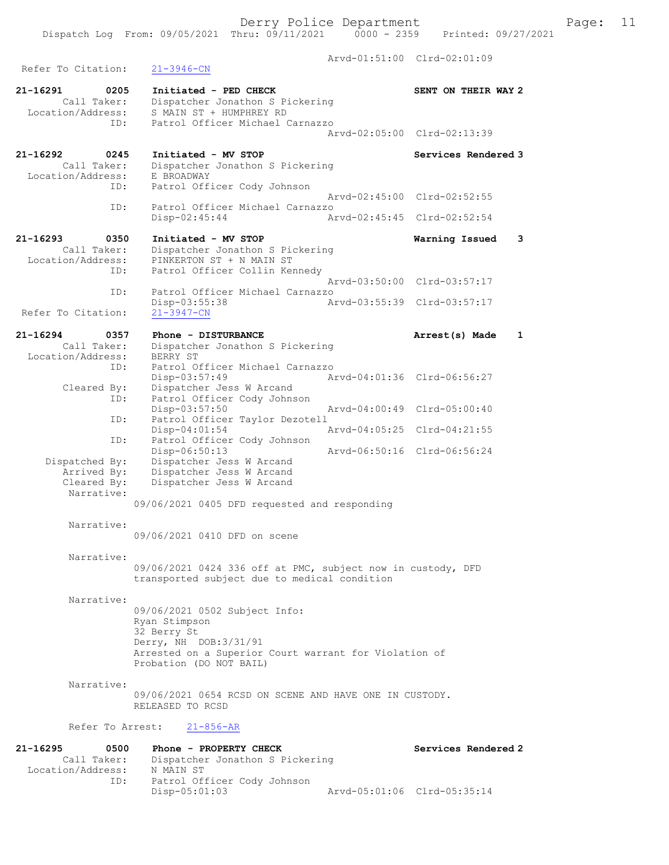Derry Police Department<br>
Page: 11 (19/11/2021 0000 - 2359 Printed: 09/27/2021 Dispatch Log From: 09/05/2021 Thru: 09/11/2021 Arvd-01:51:00 Clrd-02:01:09 Refer To Citation: 21-3946-CN 21-16291 0205 Initiated - PED CHECK SENT ON THEIR WAY 2 Call Taker: Dispatcher Jonathon S Pickering Location/Address: S MAIN ST + HUMPHREY RD ID: Patrol Officer Michael Carnazzo Arvd-02:05:00 Clrd-02:13:39 21-16292 0245 Initiated - MV STOP Services Rendered 3 Call Taker: Dispatcher Jonathon S Pickering Location/Address: E BROADWAY<br>ID: Patrol Off: Patrol Officer Cody Johnson Arvd-02:45:00 Clrd-02:52:55<br>ID: Patrol Officer Michael Carnazzo Patrol Officer Michael Carnazzo Disp-02:45:44 Arvd-02:45:45 Clrd-02:52:54 21-16293 0350 Initiated - MV STOP Warning Issued 3 Call Taker: Dispatcher Jonathon S Pickering<br>Location/Address: PINKERTON ST + N MAIN ST ess: PINKERTON ST + N MAIN ST<br>ID: Patrol Officer Collin Ker Patrol Officer Collin Kennedy Arvd-03:50:00 Clrd-03:57:17 ID: Patrol Officer Michael Carnazzo Disp-03:55:38 Arvd-03:55:39 Clrd-03:57:17 Refer To Citation: 21-16294 0357 Phone - DISTURBANCE Arrest(s) Made 1 Call Taker: Dispatcher Jonathon S Pickering Call Lane. . ...<br>Location/Address: BERRY ST<br>ID: Patrol O. Patrol Officer Michael Carnazzo<br>Disp-03:57:49 Am Disp-03:57:49 Arvd-04:01:36 Clrd-06:56:27<br>Cleared By: Dispatcher Jess W Arcand By: Dispatcher Jess W Arcand<br>ID: Patrol Officer Cody Johns Patrol Officer Cody Johnson<br>Disp-03:57:50 Disp-03:57:50 Arvd-04:00:49 Clrd-05:00:40 ID: Patrol Officer Taylor Dezotell<br>Disp-04:01:54 Disp-04:01:54 Arvd-04:05:25 Clrd-04:21:55 ID: Patrol Officer Cody Johnson<br>Disp-06:50:13 Disp-06:50:13 Arvd-06:50:16 Clrd-06:56:24<br>Dispatched By: Dispatcher Jess W Arcand patched By: Dispatcher Jess W Arcand<br>Arrived By: Dispatcher Jess W Arcand Arrived By: Dispatcher Jess W Arcand<br>Cleared Bv: Dispatcher Jess W Arcand Dispatcher Jess W Arcand Narrative: 09/06/2021 0405 DFD requested and responding Narrative: 09/06/2021 0410 DFD on scene Narrative: 09/06/2021 0424 336 off at PMC, subject now in custody, DFD transported subject due to medical condition Narrative: 09/06/2021 0502 Subject Info: Ryan Stimpson 32 Berry St Derry, NH DOB:3/31/91 Arrested on a Superior Court warrant for Violation of Probation (DO NOT BAIL) Narrative: 09/06/2021 0654 RCSD ON SCENE AND HAVE ONE IN CUSTODY. RELEASED TO RCSD Refer To Arrest: 21-856-AR 21-16295 0500 Phone - PROPERTY CHECK Services Rendered 2<br>Call Taker: Dispatcher Jonathon S Pickering Dispatcher Jonathon S Pickering Location/Address: N MAIN ST<br>ID: Patrol Of Patrol Officer Cody Johnson<br>Disp-05:01:03 Disp-05:01:03 Arvd-05:01:06 Clrd-05:35:14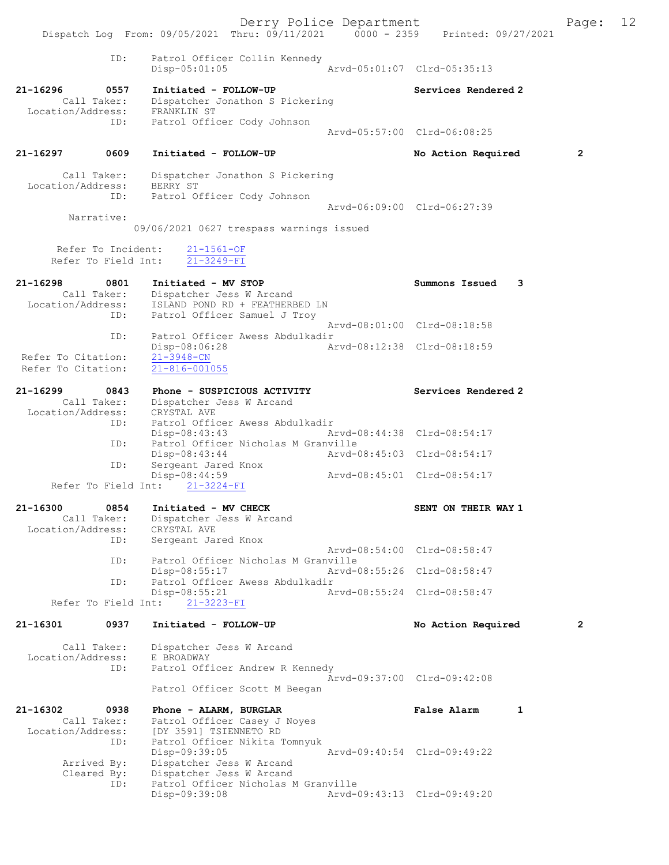Derry Police Department The Page: 12 Dispatch Log From: 09/05/2021 Thru: 09/11/2021 0000 - 2359 Printed: 09/27/2021 ID: Patrol Officer Collin Kennedy<br>Disp-05:01:05 Mrvd-05:01:07 Clrd-05:35:13  $Disp-05:01:05$ 21-16296 0557 Initiated - FOLLOW-UP Services Rendered 2 Call Taker: Dispatcher Jonathon S Pickering Location/Address: FRANKLIN ST ID: Patrol Officer Cody Johnson Arvd-05:57:00 Clrd-06:08:25 21-16297 0609 Initiated - FOLLOW-UP No Action Required 2 Call Taker: Dispatcher Jonathon S Pickering Location/Address: BERRY ST ID: Patrol Officer Cody Johnson Arvd-06:09:00 Clrd-06:27:39 Narrative: 09/06/2021 0627 trespass warnings issued Refer To Incident:  $\frac{21-1561-OF}{21-3249-FI}$ Refer To Field Int: 21-16298 0801 Initiated - MV STOP Summons Issued 3 Call Taker: Dispatcher Jess W Arcand Location/Address: ISLAND POND RD + FEATHERBED LN ID: Patrol Officer Samuel J Troy Arvd-08:01:00 Clrd-08:18:58 ID: Patrol Officer Awess Abdulkadir<br>Disp-08:06:28 Arvd-08:12:38 Clrd-08:18:59 Disp-08:06:28 Refer To Citation: 21-3948-CN Refer To Citation: 21-816-001055 21-16299 0843 Phone - SUSPICIOUS ACTIVITY Services Rendered 2 Call Taker: Dispatcher Jess W Arcand Location/Address: CRYSTAL AVE ID: Patrol Officer Awess Abdulkadir Disp-08:43:43 Arvd-08:44:38 Clrd-08:54:17 ID: Patrol Officer Nicholas M Granville Disp-08:43:44 Arvd-08:45:03 Clrd-08:54:17 ID: Sergeant Jared Knox Disp-08:44:59 Arvd-08:45:01 Clrd-08:54:17 Refer To Field Int: 21-3224-FI 21-16300 0854 Initiated - MV CHECK SENT ON THEIR WAY 1 Call Taker: Dispatcher Jess W Arcand Location/Address: CRYSTAL AVE ID: Sergeant Jared Knox Arvd-08:54:00 Clrd-08:58:47<br>TD: Patrol Officer Nicholas M Granville ID: Patrol Officer Nicholas M Granville Disp-08:55:17 Arvd-08:55:26 Clrd-08:58:47<br>TD: Patrol Officer Awess Abdulkadir Patrol Officer Awess Abdulkadir<br>Disp-08:55:21 Ar Disp-08:55:21 Arvd-08:55:24 Clrd-08:58:47 Refer To Field Int: 21-3223-FI 21-16301 0937 Initiated - FOLLOW-UP No Action Required 2 Call Taker: Dispatcher Jess W Arcand Location/Address: E BROADWAY ID: Patrol Officer Andrew R Kennedy Arvd-09:37:00 Clrd-09:42:08 Patrol Officer Scott M Beegan 21-16302 0938 Phone - ALARM, BURGLAR CHARM False Alarm 1 Call Taker: Patrol Officer Casey J Noyes Location/Address: [DY 3591] TSIENNETO RD ID: Patrol Officer Nikita Tomnyuk Disp-09:39:05 Arvd-09:40:54 Clrd-09:49:22 Arrived By: Dispatcher Jess W Arcand<br>Cleared By: Dispatcher Jess W Arcand By: Dispatcher Jess W Arcand<br>ID: Patrol Officer Nicholas M Patrol Officer Nicholas M Granville<br>Disp-09:39:08 Arvd-Disp-09:39:08 Arvd-09:43:13 Clrd-09:49:20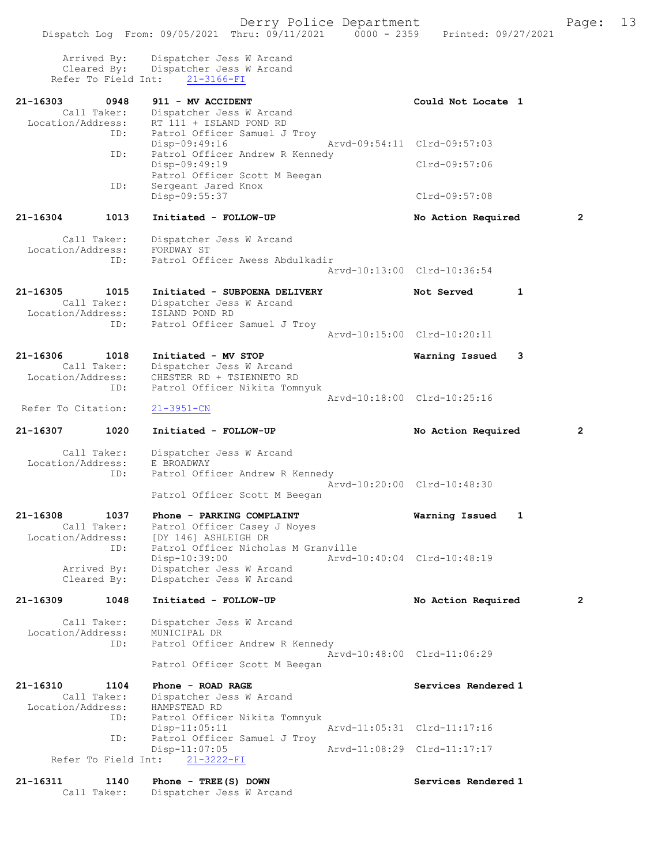| Arrived By:<br>Cleared By:                           | Dispatcher Jess W Arcand<br>Dispatcher Jess W Arcand<br>Refer To Field Int: 21-3166-FI                              |                             |   |
|------------------------------------------------------|---------------------------------------------------------------------------------------------------------------------|-----------------------------|---|
| 21-16303<br>0948<br>Call Taker:<br>Location/Address: | 911 - MV ACCIDENT<br>Dispatcher Jess W Arcand<br>RT 111 + ISLAND POND RD                                            | Could Not Locate 1          |   |
|                                                      | Patrol Officer Samuel J Troy<br>ID:<br>Disp-09:49:16                                                                | Arvd-09:54:11 Clrd-09:57:03 |   |
|                                                      | Patrol Officer Andrew R Kennedy<br>ID:<br>Disp-09:49:19<br>Patrol Officer Scott M Beegan                            | Clrd-09:57:06               |   |
|                                                      | ID:<br>Sergeant Jared Knox<br>Disp-09:55:37                                                                         | $Clrd-09:57:08$             |   |
| 21-16304<br>1013                                     | Initiated - FOLLOW-UP                                                                                               | No Action Required          | 2 |
| Call Taker:<br>Location/Address:                     | Dispatcher Jess W Arcand<br>FORDWAY ST<br>Patrol Officer Awess Abdulkadir<br>ID:                                    | Aryd-10:13:00 Clrd-10:36:54 |   |
| 21-16305<br>1015<br>Call Taker:<br>Location/Address: | Initiated - SUBPOENA DELIVERY<br>Dispatcher Jess W Arcand<br>ISLAND POND RD                                         | Not Served<br>$\mathbf{1}$  |   |
|                                                      | Patrol Officer Samuel J Troy<br>ID:                                                                                 | Arvd-10:15:00 Clrd-10:20:11 |   |
| 21-16306<br>1018<br>Call Taker:<br>Location/Address: | Initiated - MV STOP<br>Dispatcher Jess W Arcand<br>CHESTER RD + TSIENNETO RD                                        | 3<br>Warning Issued         |   |
| Refer To Citation:                                   | Patrol Officer Nikita Tomnyuk<br>ID:<br>$21 - 3951 - CN$                                                            | Arvd-10:18:00 Clrd-10:25:16 |   |
|                                                      |                                                                                                                     |                             |   |
| 21-16307<br>1020                                     | Initiated - FOLLOW-UP                                                                                               | No Action Required          | 2 |
| Call Taker:<br>Location/Address:                     | Dispatcher Jess W Arcand<br>E BROADWAY<br>Patrol Officer Andrew R Kennedy<br>ID:<br>Patrol Officer Scott M Beegan   | Arvd-10:20:00 Clrd-10:48:30 |   |
| 21-16308<br>1037<br>Call Taker:<br>Location/Address: | Phone - PARKING COMPLAINT<br>Patrol Officer Casey J Noyes<br>[DY 146] ASHLEIGH DR                                   | Warning Issued<br>1         |   |
| Arrived By:<br>Cleared By:                           | Patrol Officer Nicholas M Granville<br>ID:<br>Disp-10:39:00<br>Dispatcher Jess W Arcand<br>Dispatcher Jess W Arcand | Arvd-10:40:04 Clrd-10:48:19 |   |
| 21-16309<br>1048                                     | Initiated - FOLLOW-UP                                                                                               | No Action Required          | 2 |
| Call Taker:<br>Location/Address:                     | Dispatcher Jess W Arcand<br>MUNICIPAL DR<br>Patrol Officer Andrew R Kennedy<br>ID:<br>Patrol Officer Scott M Beegan | Arvd-10:48:00 Clrd-11:06:29 |   |
| 21-16310<br>1104<br>Call Taker:<br>Location/Address: | Phone - ROAD RAGE<br>Dispatcher Jess W Arcand<br>HAMPSTEAD RD                                                       | Services Rendered 1         |   |
|                                                      | Patrol Officer Nikita Tomnyuk<br>ID:<br>$Disp-11:05:11$<br>Patrol Officer Samuel J Troy<br>ID:                      | Arvd-11:05:31 Clrd-11:17:16 |   |
| Refer To Field Int:                                  | $Disp-11:07:05$<br>$21 - 3222 - FI$                                                                                 | Arvd-11:08:29 Clrd-11:17:17 |   |

Call Taker: Dispatcher Jess W Arcand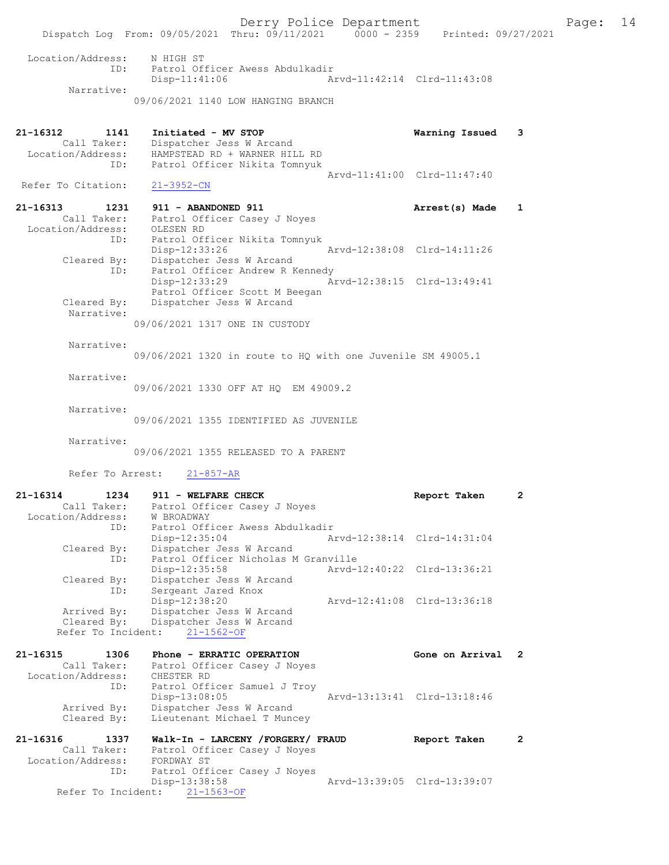Dispatch Log From: 09/05/2021 Thru: 09/11/2021 0000 - 2359 Printed: 09/27/2021 Location/Address: N HIGH ST ID: Patrol Officer Awess Abdulkadir Disp-11:41:06 Arvd-11:42:14 Clrd-11:43:08 Narrative: 09/06/2021 1140 LOW HANGING BRANCH 21-16312 1141 Initiated - MV STOP Warning Issued 3 Call Taker: Dispatcher Jess W Arcand Location/Address: HAMPSTEAD RD + WARNER HILL RD ID: Patrol Officer Nikita Tomnyuk Arvd-11:41:00 Clrd-11:47:40 Refer To Citation: 21-3952-CN 21-16313 1231 911 - ABANDONED 911 Arrest(s) Made 1 Call Taker: Patrol Officer Casey J Noyes Location/Address: OLESEN RD ID: Patrol Officer Nikita Tomnyuk Disp-12:33:26 Arvd-12:38:08 Clrd-14:11:26 Cleared By: Dispatcher Jess W Arcand ID: Patrol Officer Andrew R Kennedy Disp-12:33:29 Arvd-12:38:15 Clrd-13:49:41 Patrol Officer Scott M Beegan Cleared By: Dispatcher Jess W Arcand Narrative: 09/06/2021 1317 ONE IN CUSTODY Narrative: 09/06/2021 1320 in route to HQ with one Juvenile SM 49005.1 Narrative: 09/06/2021 1330 OFF AT HQ EM 49009.2 Narrative: 09/06/2021 1355 IDENTIFIED AS JUVENILE Narrative: 09/06/2021 1355 RELEASED TO A PARENT Refer To Arrest: 21-857-AR 21-16314 1234 911 - WELFARE CHECK **Report Taken** 2 Call Taker: Patrol Officer Casey J Noyes Location/Address: W BROADWAY ID: Patrol Officer Awess Abdulkadir Disp-12:35:04 Arvd-12:38:14 Clrd-14:31:04 Cleared By: Dispatcher Jess W Arcand ID: Patrol Officer Nicholas M Granville Disp-12:35:58 Arvd-12:40:22 Clrd-13:36:21 Cleared By: Dispatcher Jess W Arcand ID: Sergeant Jared Knox Disp-12:38:20 Arvd-12:41:08 Clrd-13:36:18 Arrived By: Dispatcher Jess W Arcand Cleared By: Dispatcher Jess W Arcand Refer To Incident: 21-1562-OF 21-16315 1306 Phone - ERRATIC OPERATION Gone on Arrival 2 Call Taker: Patrol Officer Casey J Noyes Location/Address: CHESTER RD ID: Patrol Officer Samuel J Troy Disp-13:08:05 Arvd-13:13:41 Clrd-13:18:46 Arrived By: Dispatcher Jess W Arcand Cleared By: Lieutenant Michael T Muncey 21-16316 1337 Walk-In - LARCENY /FORGERY/ FRAUD Report Taken 2 Call Taker: Patrol Officer Casey J Noyes Location/Address: FORDWAY ST Less. Forbwar of<br>ID: Patrol Officer Casey J Noyes

Disp-13:38:58 Arvd-13:39:05 Clrd-13:39:07

Refer To Incident: 21-1563-OF

Derry Police Department Fage: 14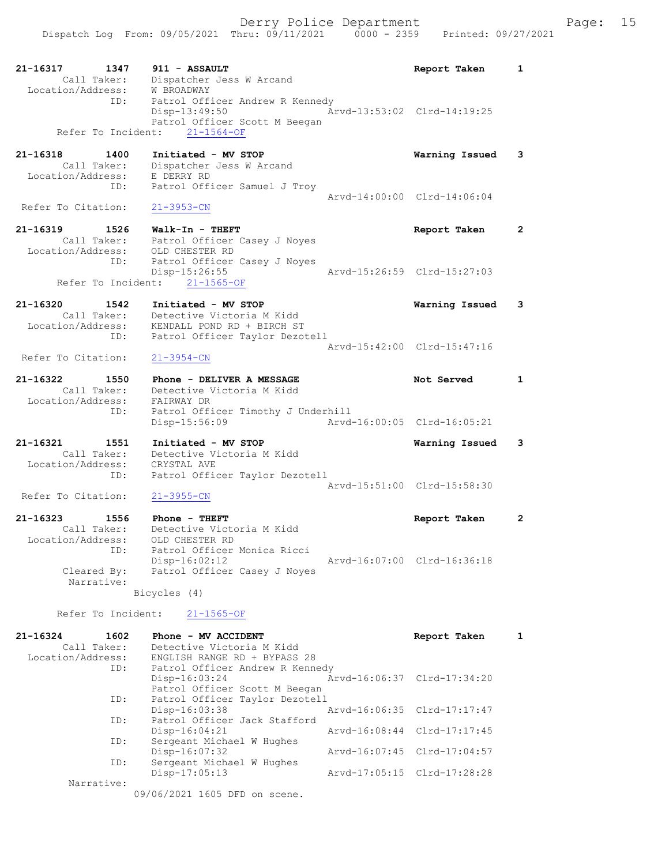Derry Police Department Fage: 15

21-16317 1347 911 - ASSAULT Report Taken 1 Call Taker: Dispatcher Jess W Arcand Location/Address: W BROADWAY ID: Patrol Officer Andrew R Kennedy Disp-13:49:50 Arvd-13:53:02 Clrd-14:19:25 Patrol Officer Scott M Beegan Refer To Incident: 21-1564-OF 21-16318 1400 Initiated - MV STOP Warning Issued 3 Call Taker: Dispatcher Jess W Arcand Location/Address: E DERRY RD ID: Patrol Officer Samuel J Troy Arvd-14:00:00 Clrd-14:06:04<br>21-3953-CN Refer To Citation: 21-16319 1526 Walk-In - THEFT Report Taken 2 Call Taker: Patrol Officer Casey J Noyes Location/Address: OLD CHESTER RD ID: Patrol Officer Casey J Noyes<br>Disp-15:26:55 Disp-15:26:55 Arvd-15:26:59 Clrd-15:27:03 Refer To Incident: 21-1565-OF 21-16320 1542 Initiated - MV STOP Warning Issued 3 Call Taker: Detective Victoria M Kidd Location/Address: KENDALL POND RD + BIRCH ST ID: Patrol Officer Taylor Dezotell Arvd-15:42:00 Clrd-15:47:16<br>21-3954-CN Refer To Citation: 21-16322 1550 Phone - DELIVER A MESSAGE Not Served 1 Call Taker: Detective Victoria M Kidd Location/Address: FAIRWAY DR ID: Patrol Officer Timothy J Underhill Disp-15:56:09 Arvd-16:00:05 Clrd-16:05:21 21-16321 1551 Initiated - MV STOP Warning Issued 3 Call Taker: Detective Victoria M Kidd Location/Address: CRYSTAL AVE ID: Patrol Officer Taylor Dezotell Arvd-15:51:00 Clrd-15:58:30<br>21-3955-CN Refer To Citation: 21-16323 1556 Phone - THEFT Report Taken 2 Call Taker: Detective Victoria M Kidd Location/Address: OLD CHESTER RD ID: Patrol Officer Monica Ricci Disp-16:02:12 Arvd-16:07:00 Clrd-16:36:18<br>Cleared By: Patrol Officer Casey J Noyes Patrol Officer Casey J Noyes Narrative: Bicycles (4) Refer To Incident: 21-1565-OF 21-16324 1602 Phone - MV ACCIDENT Report Taken 1 Call Taker: Detective Victoria M Kidd<br>Location/Address: ENGLISH RANGE RD + BYPASS ENGLISH RANGE RD + BYPASS 28 ID: Patrol Officer Andrew R Kennedy Disp-16:03:24 Arvd-16:06:37 Clrd-17:34:20 Patrol Officer Scott M Beegan ID: Patrol Officer Taylor Dezotell Disp-16:03:38 Arvd-16:06:35 Clrd-17:17:47 ID: Patrol Officer Jack Stafford<br>Disp-16:04:21 Arvd-16:08:44 Clrd-17:17:45 ID: Sergeant Michael W Hughes Disp-16:07:32 Arvd-16:07:45 Clrd-17:04:57<br>ID: Sergeant Michael W Hughes Sergeant Michael W Hughes<br>Disp-17:05:13 Disp-17:05:13 Arvd-17:05:15 Clrd-17:28:28 Narrative: 09/06/2021 1605 DFD on scene.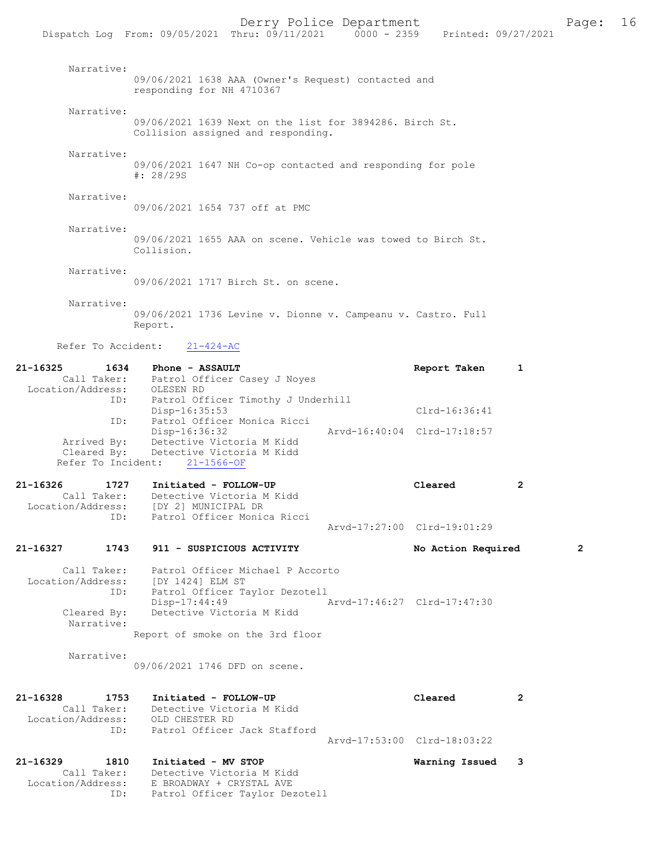|                                                                                     |                                                                                         | DULL, LULLUU DUPULUMUIL<br>Dispatch Log From: 09/05/2021 Thru: 09/11/2021 0000 - 2359 Printed: 09/27/2021       |                             |                                        |              |              |
|-------------------------------------------------------------------------------------|-----------------------------------------------------------------------------------------|-----------------------------------------------------------------------------------------------------------------|-----------------------------|----------------------------------------|--------------|--------------|
| Narrative:                                                                          | responding for NH 4710367                                                               | 09/06/2021 1638 AAA (Owner's Request) contacted and                                                             |                             |                                        |              |              |
| Narrative:                                                                          |                                                                                         | 09/06/2021 1639 Next on the list for 3894286. Birch St.<br>Collision assigned and responding.                   |                             |                                        |              |              |
| Narrative:                                                                          | $\frac{*}{28}/29S$                                                                      | 09/06/2021 1647 NH Co-op contacted and responding for pole                                                      |                             |                                        |              |              |
| Narrative:                                                                          |                                                                                         | 09/06/2021 1654 737 off at PMC                                                                                  |                             |                                        |              |              |
| Narrative:                                                                          | Collision.                                                                              | 09/06/2021 1655 AAA on scene. Vehicle was towed to Birch St.                                                    |                             |                                        |              |              |
| Narrative:                                                                          |                                                                                         | 09/06/2021 1717 Birch St. on scene.                                                                             |                             |                                        |              |              |
| Narrative:                                                                          | Report.                                                                                 | 09/06/2021 1736 Levine v. Dionne v. Campeanu v. Castro. Full                                                    |                             |                                        |              |              |
|                                                                                     | Refer To Accident: 21-424-AC                                                            |                                                                                                                 |                             |                                        |              |              |
| 21-16325<br>Call Taker: Patrol Officer Casey J Noyes<br>Location/Address: OLESEN RD | 1634<br>Phone - ASSAULT                                                                 |                                                                                                                 |                             | Report Taken                           | 1            |              |
|                                                                                     | ID:<br>Disp-16:35:53<br>ID: Patrol Officer Monica Ricci                                 | Patrol Officer Timothy J Underhill                                                                              |                             | Clrd-16:36:41                          |              |              |
| Cleared By:                                                                         | Disp-16:36:32<br>Arrived By: Detective Victoria M Kidd<br>Refer To Incident: 21-1566-OF | Detective Victoria M Kidd                                                                                       | Arvd-16:40:04 Clrd-17:18:57 |                                        |              |              |
| 21-16326<br>Call Taker:                                                             | 1727 Initiated - FOLLOW-UP<br>Location/Address: [DY 2] MUNICIPAL DR                     | Detective Victoria M Kidd                                                                                       |                             | Cleared                                | $\mathbf{2}$ |              |
| ID:                                                                                 |                                                                                         | Patrol Officer Monica Ricci                                                                                     |                             | Arvd-17:27:00 Clrd-19:01:29            |              |              |
| 21-16327                                                                            | 1743 911 - SUSPICIOUS ACTIVITY                                                          |                                                                                                                 |                             | No Action Required                     |              | $\mathbf{2}$ |
| Location/Address:<br>Cleared By:<br>Narrative:                                      | [DY 1424] ELM ST<br>$Disp-17:44:49$                                                     | Call Taker: Patrol Officer Michael P Accorto<br>ID: Patrol Officer Taylor Dezotell<br>Detective Victoria M Kidd | Arvd-17:46:27 Clrd-17:47:30 |                                        |              |              |
|                                                                                     |                                                                                         | Report of smoke on the 3rd floor                                                                                |                             |                                        |              |              |
| Narrative:                                                                          | 09/06/2021 1746 DFD on scene.                                                           |                                                                                                                 |                             |                                        |              |              |
| 21-16328<br>1753<br>Location/Address:<br>ID:                                        | Initiated - FOLLOW-UP<br>Call Taker: Detective Victoria M Kidd<br>OLD CHESTER RD        | Patrol Officer Jack Stafford                                                                                    |                             | Cleared<br>Arvd-17:53:00 Clrd-18:03:22 | 2            |              |
| $21 - 16329$                                                                        | $1910$ Thitisted - MV CTOD                                                              |                                                                                                                 |                             | Warning Teepod                         |              |              |

21-16329 1810 Initiated - MV STOP Warning Issued 3 Call Taker: Detective Victoria M Kidd Location/Address: E BROADWAY + CRYSTAL AVE ID: Patrol Officer Taylor Dezotell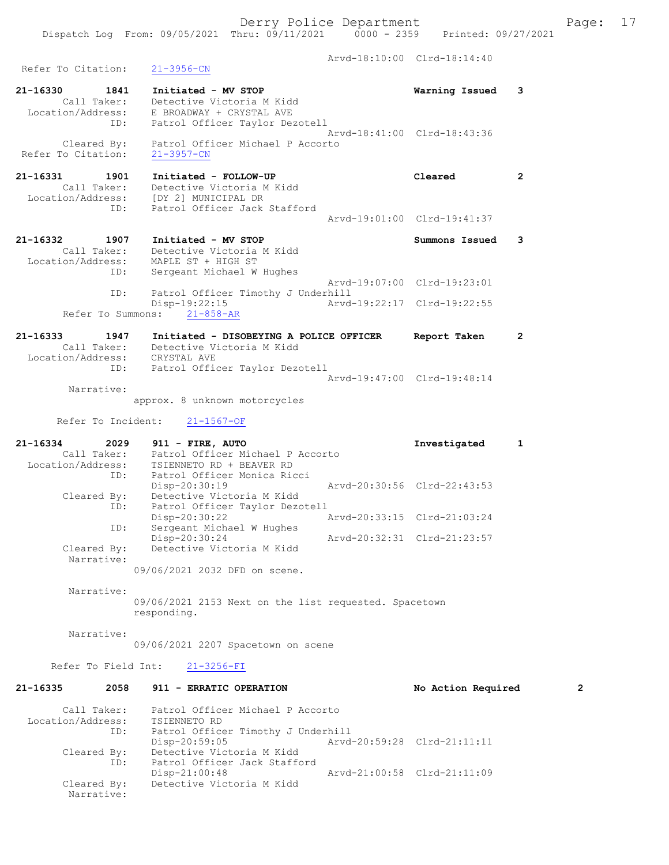Derry Police Department Form Page: 17 Dispatch Log From: 09/05/2021 Thru: 09/11/2021 0000 - 2359 Printed: 09/27/2021 Arvd-18:10:00 Clrd-18:14:40 Refer To Citation: 21-3956-CN 21-16330 1841 Initiated - MV STOP Warning Issued 3 Call Taker: Detective Victoria M Kidd Location/Address: E BROADWAY + CRYSTAL AVE ID: Patrol Officer Taylor Dezotell Arvd-18:41:00 Clrd-18:43:36 Cleared By: Patrol Officer Michael P Accorto Refer To Citation: 21-3957-CN 21-16331 1901 Initiated - FOLLOW-UP Cleared 2 Call Taker: Detective Victoria M Kidd Location/Address: [DY 2] MUNICIPAL DR ID: Patrol Officer Jack Stafford Arvd-19:01:00 Clrd-19:41:37 21-16332 1907 Initiated - MV STOP Summons Issued 3 Call Taker: Detective Victoria M Kidd Location/Address: MAPLE ST + HIGH ST ID: Sergeant Michael W Hughes Arvd-19:07:00 Clrd-19:23:01 Patrol Officer Timothy J Underhill<br>Disp-19:22:15 Arvd Arvd-19:22:17 Clrd-19:22:55 Refer To Summons: 21-858-AR 21-16333 1947 Initiated - DISOBEYING A POLICE OFFICER Report Taken 2 Call Taker: Detective Victoria M Kidd Location/Address: CRYSTAL AVE<br>ID: Patrol Offic Patrol Officer Taylor Dezotell Arvd-19:47:00 Clrd-19:48:14 Narrative: approx. 8 unknown motorcycles Refer To Incident: 21-1567-OF 21-16334 2029 911 - FIRE, AUTO Investigated 1 Call Taker: Patrol Officer Michael P Accorto Location/Address: TSIENNETO RD + BEAVER RD ID: Patrol Officer Monica Ricci<br>Disp-20:30:19 Disp-20:30:19 Arvd-20:30:56 Clrd-22:43:53 Cleared By: Detective Victoria M Kidd ID: Patrol Officer Taylor Dezotell Disp-20:30:22 Arvd-20:33:15 Clrd-21:03:24 ID: Sergeant Michael W Hughes Disp-20:30:24 Arvd-20:32:31 Clrd-21:23:57 Cleared By: Detective Victoria M Kidd Narrative: 09/06/2021 2032 DFD on scene. Narrative: 09/06/2021 2153 Next on the list requested. Spacetown responding. Narrative: 09/06/2021 2207 Spacetown on scene Refer To Field Int: 21-3256-FI

21-16335 2058 911 - ERRATIC OPERATION No Action Required 2 Call Taker: Patrol Officer Michael P Accorto Location/Address: TSIENNETO RD ID: Patrol Officer Timothy J Underhill Disp-20:59:05 Arvd-20:59:28 Clrd-21:11:11 Cleared By: Detective Victoria M Kidd ID: Patrol Officer Jack Stafford<br>Disp-21:00:48 Disp-21:00:48 Arvd-21:00:58 Clrd-21:11:09<br>Cleared By: Detective Victoria M Kidd Detective Victoria M Kidd Narrative: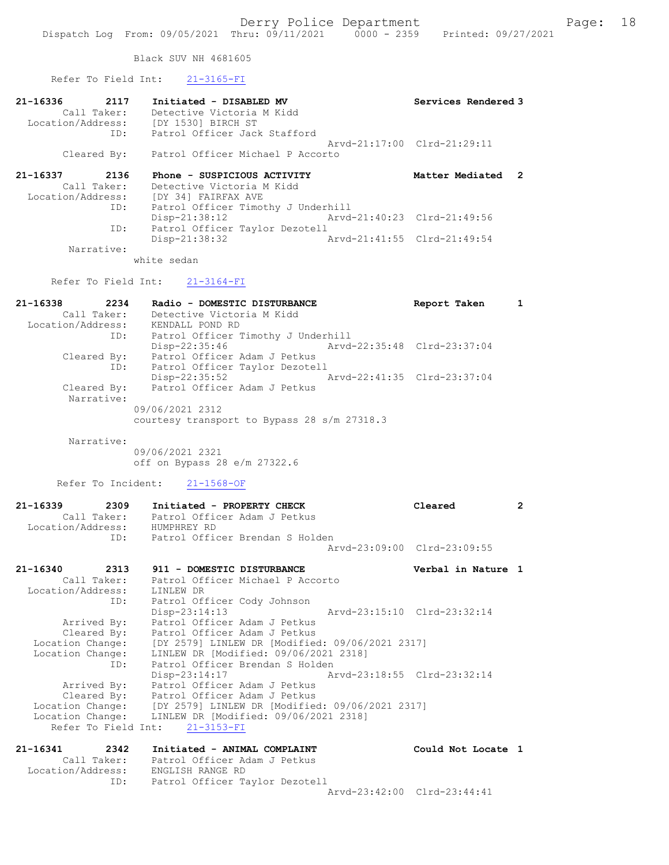Black SUV NH 4681605

|                                                      | Refer To Field Int: 21-3165-FI                                                                                                                                                          |                             |                         |
|------------------------------------------------------|-----------------------------------------------------------------------------------------------------------------------------------------------------------------------------------------|-----------------------------|-------------------------|
| 21-16336                                             | 1-16336 2117 Initiated - DISABLED MV<br>Call Taker: Detective Victoria M Kidd<br>Location/Address: [DY 1530] BIRCH ST<br>ID: Patrol Officer Jack Staffo<br>Patrol Officer Jack Stafford | Services Rendered 3         |                         |
|                                                      | Cleared By: Patrol Officer Michael P Accorto                                                                                                                                            | Arvd-21:17:00 Clrd-21:29:11 |                         |
| 21-16337<br>2136<br>Call Taker:<br>Location/Address: | Phone - SUSPICIOUS ACTIVITY<br>Phone - SUSPICIOUS ACTIVI!<br>Detective Victoria M Kidd<br>[DY 34] FAIRFAX AVE<br>Patrol Officer Time:                                                   | Matter Mediated 2           |                         |
| ID:<br>ID:                                           | Patrol Officer Timothy J Underhill<br>$Disp-21:38:12$<br>Patrol Officer Taylor Dezotell                                                                                                 | Arvd-21:40:23 Clrd-21:49:56 |                         |
| Narrative:                                           | $Disp-21:38:32$<br>Arvd-21:41:55 Clrd-21:49:54                                                                                                                                          |                             |                         |
|                                                      | white sedan                                                                                                                                                                             |                             |                         |
|                                                      | Refer To Field Int: 21-3164-FI                                                                                                                                                          |                             |                         |
| 21-16338<br>2234<br>ID:                              | Radio - DOMESTIC DISTURBANCE<br>Call Taker: Detective Victo:<br>Location/Address: KENDALL POND RD<br>Detective Victoria M Kidd<br>Patrol Officer Timothy J Underhill                    | Report Taken                | $\overline{\mathbf{1}}$ |
| Cleared By:                                          | Disp-22:35:46<br>Patrol Officer Adam J Petkus<br>ID: Patrol Officer Taylor Dezotell                                                                                                     | Arvd-22:35:48 Clrd-23:37:04 |                         |
| Cleared By:<br>Narrative:                            | Disp-22:35:52<br>Arvd-22:41:35 Clrd-23:37:04<br>Patrol Officer Adam J Petkus                                                                                                            |                             |                         |
|                                                      | 09/06/2021 2312<br>courtesy transport to Bypass 28 s/m 27318.3                                                                                                                          |                             |                         |
| Narrative:                                           | 09/06/2021 2321<br>off on Bypass 28 e/m 27322.6                                                                                                                                         |                             |                         |
|                                                      | Refer To Incident: 21-1568-OF                                                                                                                                                           |                             |                         |
| Location/Address: HUMPHREY RD                        | 21-16339 2309 Initiated - PROPERTY CHECK<br>Call Taker: Patrol Officer Adam J Petkus<br>Patrol Officer Brendan S Holden                                                                 | Cleared                     | $\overline{2}$          |
| ID:                                                  |                                                                                                                                                                                         | Arvd-23:09:00 Clrd-23:09:55 |                         |
| 21-16340<br>2313<br>Location/Address:<br>ID:         | 911 - DOMESTIC DISTURBANCE<br>Call Taker: Patrol Officer Michael P Accorto<br>LINLEW DR<br>Patrol Officer Cody Johnson                                                                  | Verbal in Nature 1          |                         |
| <b><i>Rosenberg</i></b> Reset                        | Disp-23:14:13<br>Arvd-23:15:10 Clrd-23:32:14<br>Detect Offices Adem T Detlus                                                                                                            |                             |                         |

 Arrived By: Patrol Officer Adam J Petkus Cleared By: Patrol Officer Adam J Petkus Location Change: [DY 2579] LINLEW DR [Modified: 09/06/2021 2317] Location Change: LINLEW DR [Modified: 09/06/2021 2318] ID: Patrol Officer Brendan S Holden Disp-23:14:17 Arvd-23:18:55 Clrd-23:32:14 Arrived By: Patrol Officer Adam J Petkus Cleared By: Patrol Officer Adam J Petkus Location Change: [DY 2579] LINLEW DR [Modified: 09/06/2021 2317] Location Change: LINLEW DR [Modified: 09/06/2021 2318] Refer To Field Int: 21-3153-FI

| 21-16341          | 2342        | Initiated - ANIMAL COMPLAINT   | Could Not Locate 1          |  |
|-------------------|-------------|--------------------------------|-----------------------------|--|
|                   | Call Taker: | Patrol Officer Adam J Petkus   |                             |  |
| Location/Address: |             | ENGLISH RANGE RD               |                             |  |
|                   | ID:         | Patrol Officer Taylor Dezotell |                             |  |
|                   |             |                                | Arvd-23:42:00 Clrd-23:44:41 |  |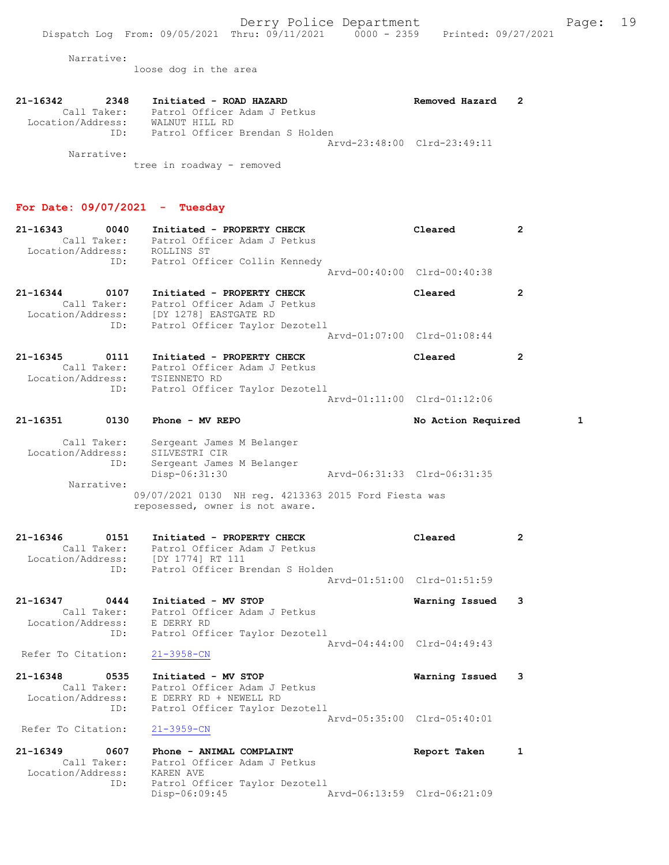Narrative:

loose dog in the area

| 21-16342<br>2348  | Initiated - ROAD HAZARD         | Removed Hazard              |  |
|-------------------|---------------------------------|-----------------------------|--|
| Call Taker:       | Patrol Officer Adam J Petkus    |                             |  |
| Location/Address: | WALNUT HILL RD                  |                             |  |
| TD:               | Patrol Officer Brendan S Holden |                             |  |
|                   |                                 | Aryd-23:48:00 Clrd-23:49:11 |  |
| Narrative:        |                                 |                             |  |
|                   | tree in roadway - removed       |                             |  |

#### For Date: 09/07/2021 - Tuesday

| $21 - 16343$<br>0040<br>Location/Address: ROLLINS ST     | Initiated - PROPERTY CHECK<br>Call Taker: Patrol Officer Adam J Petkus<br>ID: Patrol Officer Collin Kennedy                                                                         | Cleared<br>Arvd-00:40:00 Clrd-00:40:38 | $\overline{2}$ |
|----------------------------------------------------------|-------------------------------------------------------------------------------------------------------------------------------------------------------------------------------------|----------------------------------------|----------------|
| 21-16344 0107<br>ID:                                     | Initiated - PROPERTY CHECK<br>Call Taker: Patrol Officer Adam J Petkus<br>Location/Address: [DY 1278] EASTGATE RD<br>Patrol Officer Taylor Dezotell                                 | Cleared<br>Arvd-01:07:00 Clrd-01:08:44 | $\mathbf{2}$   |
| 21-16345 0111<br>Call Taker:<br>Location/Address:<br>ID: | Initiated - PROPERTY CHECK<br>Patrol Officer Adam J Petkus<br>TSIENNETO RD<br>Patrol Officer Taylor Dezotell                                                                        | Cleared<br>Arvd-01:11:00 Clrd-01:12:06 | $\overline{2}$ |
| $21 - 16351$<br>0130                                     | Phone - $MV$ REPO                                                                                                                                                                   | No Action Required                     | 1              |
| Call Taker:<br>Location/Address:<br>ID:<br>Narrative:    | Sergeant James M Belanger<br>SILVESTRI CIR<br>Sergeant James M Belanger<br>Disp-06:31:30<br>09/07/2021 0130 NH reg. 4213363 2015 Ford Fiesta was<br>reposessed, owner is not aware. | Arvd-06:31:33 Clrd-06:31:35            |                |
| 21-16346 0151<br>ID:                                     | Initiated - PROPERTY CHECK<br>Call Taker: Patrol Officer Adam J Petkus<br>Location/Address: [DY 1774] RT 111<br>Patrol Officer Brendan S Holden                                     | Cleared<br>Arvd-01:51:00 Clrd-01:51:59 | $\overline{2}$ |
| 21-16347 0444<br>Call Taker:                             | Initiated - MV STOP<br>Patrol Officer Adam J Petkus<br>Location ( <i>ladingss</i> : F DEDDY DD                                                                                      | Warning Issued                         | 3              |

 Location/Address: E DERRY RD ID: Patrol Officer Taylor Dezotell Arvd-04:44:00 Clrd-04:49:43<br>21-3958-CN Refer To Citation:

### 21-16348 0535 Initiated - MV STOP Warning Issued 3 Call Taker: Patrol Officer Adam J Petkus Location/Address: E DERRY RD + NEWELL RD ID: Patrol Officer Taylor Dezotell Arvd-05:35:00 Clrd-05:40:01

Refer To Citation: 21-3959-CN

21-16349 0607 Phone - ANIMAL COMPLAINT Report Taken 1 Call Taker: Patrol Officer Adam J Petkus Location/Address: KAREN AVE ID: Patrol Officer Taylor Dezotell Disp-06:09:45 Arvd-06:13:59 Clrd-06:21:09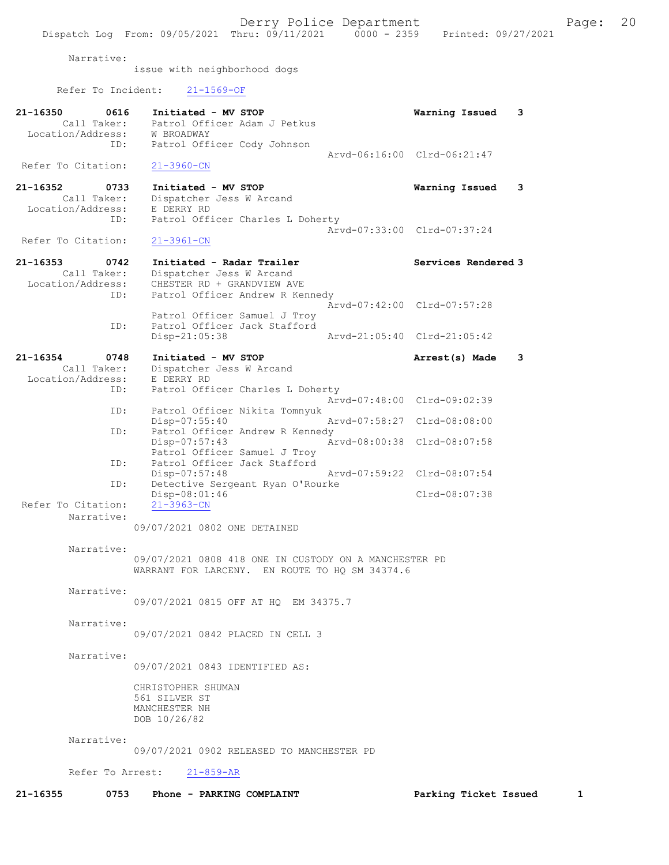Narrative:

issue with neighborhood dogs

Refer To Incident: 21-1569-OF

| 21-16350<br>0616<br>Call Taker:<br>Location/Address:<br>ID: | Initiated - MV STOP<br>Patrol Officer Adam J Petkus<br>W BROADWAY<br>Patrol Officer Cody Johnson                       | 3<br>Warning Issued                                        |
|-------------------------------------------------------------|------------------------------------------------------------------------------------------------------------------------|------------------------------------------------------------|
| Refer To Citation:                                          | $21 - 3960 - CN$                                                                                                       | Arvd-06:16:00 Clrd-06:21:47                                |
| 21-16352<br>0733<br>Call Taker:<br>Location/Address:<br>ID: | Initiated - MV STOP<br>Dispatcher Jess W Arcand<br>E DERRY RD<br>Patrol Officer Charles L Doherty                      | 3<br>Warning Issued                                        |
| Refer To Citation:                                          | $21 - 3961 - CN$                                                                                                       | Arvd-07:33:00 Clrd-07:37:24                                |
| 21-16353<br>0742<br>Call Taker:<br>Location/Address:<br>ID: | Initiated - Radar Trailer<br>Dispatcher Jess W Arcand<br>CHESTER RD + GRANDVIEW AVE<br>Patrol Officer Andrew R Kennedy | Services Rendered 3                                        |
| ID:                                                         | Patrol Officer Samuel J Troy<br>Patrol Officer Jack Stafford<br>Disp-21:05:38                                          | Arvd-07:42:00 Clrd-07:57:28<br>Arvd-21:05:40 Clrd-21:05:42 |
| 21-16354<br>0748<br>Call Taker:<br>Location/Address:        | Initiated - MV STOP<br>Dispatcher Jess W Arcand<br>E DERRY RD                                                          | 3<br>Arrest(s) Made                                        |
| ID:                                                         | Patrol Officer Charles L Doherty                                                                                       | Arvd-07:48:00 Clrd-09:02:39                                |
| ID:                                                         | Patrol Officer Nikita Tomnyuk<br>$Disp-07:55:40$                                                                       | Arvd-07:58:27 Clrd-08:08:00                                |
| ID:                                                         | Patrol Officer Andrew R Kennedy<br>Disp-07:57:43<br>Patrol Officer Samuel J Troy                                       | Arvd-08:00:38 Clrd-08:07:58                                |
| ID:                                                         | Patrol Officer Jack Stafford<br>$Disp-07:57:48$                                                                        | Arvd-07:59:22 Clrd-08:07:54                                |
| ID:<br>Refer To Citation:                                   | Detective Sergeant Ryan O'Rourke<br>Disp-08:01:46<br>$21 - 3963 - CN$                                                  | Clrd-08:07:38                                              |
| Narrative:                                                  | 09/07/2021 0802 ONE DETAINED                                                                                           |                                                            |
| Narrative:                                                  | 09/07/2021 0808 418 ONE IN CUSTODY ON A MANCHESTER PD<br>WARRANT FOR LARCENY. EN ROUTE TO HQ SM 34374.6                |                                                            |
| Narrative:                                                  | 09/07/2021 0815 OFF AT HQ EM 34375.7                                                                                   |                                                            |
| Narrative:                                                  | 09/07/2021 0842 PLACED IN CELL 3                                                                                       |                                                            |
| Narrative:                                                  | 09/07/2021 0843 IDENTIFIED AS:                                                                                         |                                                            |
|                                                             | CHRISTOPHER SHUMAN<br>561 SILVER ST<br>MANCHESTER NH<br>DOB 10/26/82                                                   |                                                            |
| Narrative:                                                  | 09/07/2021 0902 RELEASED TO MANCHESTER PD                                                                              |                                                            |
|                                                             | Refer To Arrest: 21-859-AR                                                                                             |                                                            |
| 21-16355<br>0753                                            | Phone - PARKING COMPLAINT                                                                                              | Parking Ticket Issued<br>$\mathbf{1}$                      |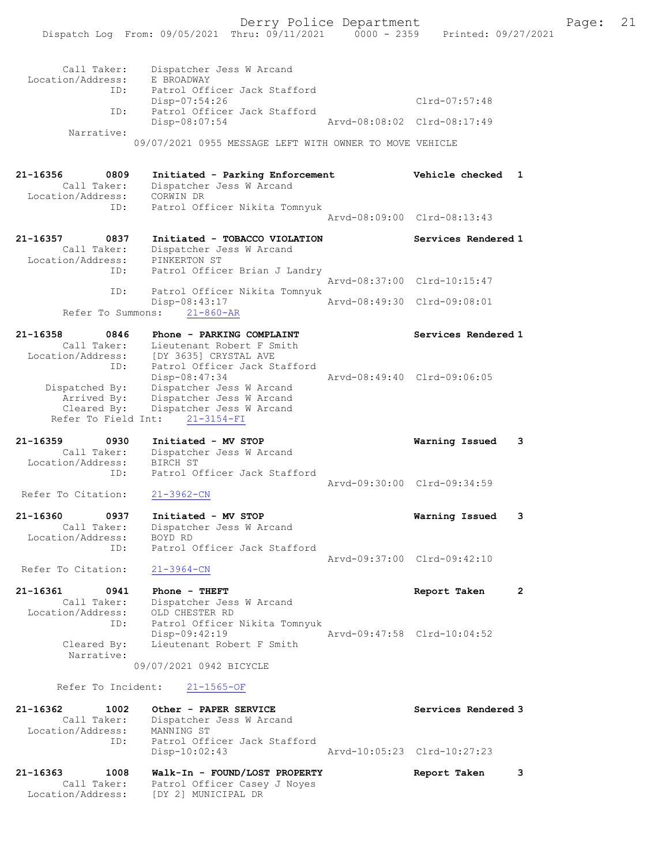| Call Taker:<br>Location/Address:<br>ID:<br>ID:                      | Dispatcher Jess W Arcand<br>E BROADWAY<br>Patrol Officer Jack Stafford<br>$Disp-07:54:26$<br>Patrol Officer Jack Stafford<br>Disp-08:07:54 | Arvd-08:08:02 | $Clrd-07:57:48$<br>$Clrd-08:17:49$ |              |
|---------------------------------------------------------------------|--------------------------------------------------------------------------------------------------------------------------------------------|---------------|------------------------------------|--------------|
| Narrative:                                                          | 09/07/2021 0955 MESSAGE LEFT WITH OWNER TO MOVE VEHICLE                                                                                    |               |                                    |              |
| 21-16356<br>0809<br>Call Taker:<br>Location/Address:<br>ID:         | Initiated - Parking Enforcement<br>Dispatcher Jess W Arcand<br>CORWIN DR                                                                   |               | Vehicle checked                    | $\mathbf{1}$ |
|                                                                     | Patrol Officer Nikita Tomnyuk                                                                                                              |               | Arvd-08:09:00 Clrd-08:13:43        |              |
| 21-16357<br>0837<br>Call Taker:<br>Location/Address:<br>ID:         | Initiated - TOBACCO VIOLATION<br>Dispatcher Jess W Arcand<br>PINKERTON ST<br>Patrol Officer Brian J Landry                                 |               | Services Rendered 1                |              |
| ID:                                                                 | Patrol Officer Nikita Tomnyuk                                                                                                              |               | Arvd-08:37:00 Clrd-10:15:47        |              |
| Refer To Summons:                                                   | Disp-08:43:17<br>$21 - 860 - AR$                                                                                                           |               | Arvd-08:49:30 Clrd-09:08:01        |              |
| $21 - 16358$<br>0846<br>Call Taker:<br>Location/Address:<br>ID:     | Phone - PARKING COMPLAINT<br>Lieutenant Robert F Smith<br>[DY 3635] CRYSTAL AVE<br>Patrol Officer Jack Stafford                            |               | Services Rendered 1                |              |
| Dispatched By:<br>Arrived By:<br>Cleared By:<br>Refer To Field Int: | Disp-08:47:34<br>Dispatcher Jess W Arcand<br>Dispatcher Jess W Arcand<br>Dispatcher Jess W Arcand<br>$21 - 3154 - FI$                      |               | Arvd-08:49:40 Clrd-09:06:05        |              |
| 21-16359<br>0930<br>Call Taker:                                     | Initiated - MV STOP<br>Dispatcher Jess W Arcand                                                                                            |               | Warning Issued                     | 3            |
| Location/Address:<br>ID:<br>Refer To Citation:                      | BIRCH ST<br>Patrol Officer Jack Stafford<br>$21 - 3962 - CN$                                                                               |               | Arvd-09:30:00 Clrd-09:34:59        |              |
| 21-16360<br>0937                                                    | Initiated - MV STOP                                                                                                                        |               | Warning Issued                     | 3            |
| Call Taker:<br>Location/Address:<br>ID:                             | Dispatcher Jess W Arcand<br>BOYD RD<br>Patrol Officer Jack Stafford                                                                        |               |                                    |              |
| Refer To Citation:                                                  | $21 - 3964 - CN$                                                                                                                           |               | Arvd-09:37:00 Clrd-09:42:10        |              |
| 21-16361<br>0941<br>Call Taker:<br>Location/Address:<br>ID:         | Phone - THEFT<br>Dispatcher Jess W Arcand<br>OLD CHESTER RD<br>Patrol Officer Nikita Tomnyuk                                               |               | Report Taken                       | $\mathbf{2}$ |
| Cleared By:<br>Narrative:                                           | Disp-09:42:19<br>Lieutenant Robert F Smith<br>09/07/2021 0942 BICYCLE                                                                      |               | Arvd-09:47:58 Clrd-10:04:52        |              |
| Refer To Incident:                                                  | $21 - 1565 - OF$                                                                                                                           |               |                                    |              |
| 21-16362<br>1002<br>Call Taker:<br>Location/Address:<br>ID:         | Other - PAPER SERVICE<br>Dispatcher Jess W Arcand<br>MANNING ST<br>Patrol Officer Jack Stafford                                            |               | Services Rendered 3                |              |
|                                                                     | $Disp-10:02:43$                                                                                                                            |               | Arvd-10:05:23 Clrd-10:27:23        |              |
| 21-16363<br>1008                                                    | Walk-In - FOUND/LOST PROPERTY                                                                                                              |               | Report Taken                       | 3            |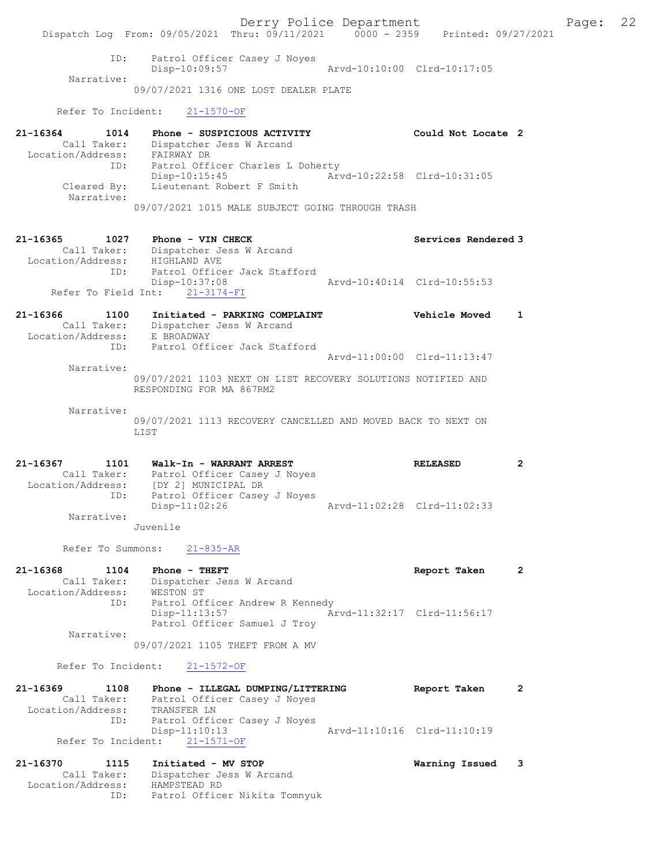Derry Police Department Fage: 22 Dispatch Log From: 09/05/2021 Thru: 09/11/2021 0000 - 2359 Printed: 09/27/2021 ID: Patrol Officer Casey J Noyes Disp-10:09:57 Arvd-10:10:00 Clrd-10:17:05 Narrative: 09/07/2021 1316 ONE LOST DEALER PLATE Refer To Incident: 21-1570-OF 21-16364 1014 Phone - SUSPICIOUS ACTIVITY Could Not Locate 2 Call Taker: Dispatcher Jess W Arcand Location/Address: FAIRWAY DR ID: Patrol Officer Charles L Doherty Disp-10:15:45 Arvd-10:22:58 Clrd-10:31:05 Cleared By: Lieutenant Robert F Smith Narrative: 09/07/2021 1015 MALE SUBJECT GOING THROUGH TRASH 21-16365 1027 Phone - VIN CHECK Services Rendered 3 Call Taker: Dispatcher Jess W Arcand Location/Address: HIGHLAND AVE ID: Patrol Officer Jack Stafford Disp-10:37:08 Arvd-10:40:14 Clrd-10:55:53 Disp-10:37:08<br>Refer To Field Int: 21-3174-FI<br> $\frac{21-3174-FI}{P}$ 21-16366 1100 Initiated - PARKING COMPLAINT Vehicle Moved 1 Call Taker: Dispatcher Jess W Arcand Location/Address: E BROADWAY ID: Patrol Officer Jack Stafford Arvd-11:00:00 Clrd-11:13:47 Narrative: 09/07/2021 1103 NEXT ON LIST RECOVERY SOLUTIONS NOTIFIED AND RESPONDING FOR MA 867RM2 Narrative: 09/07/2021 1113 RECOVERY CANCELLED AND MOVED BACK TO NEXT ON T.TST 21-16367 1101 Walk-In - WARRANT ARREST RELEASED 2 Call Taker: Patrol Officer Casey J Noyes Location/Address: [DY 2] MUNICIPAL DR ID: Patrol Officer Casey J Noyes Disp-11:02:26 Arvd-11:02:28 Clrd-11:02:33 Narrative: Juvenile Refer To Summons: 21-835-AR 21-16368 1104 Phone - THEFT Report Taken 2 Call Taker: Dispatcher Jess W Arcand Location/Address: WESTON ST ID: Patrol Officer Andrew R Kennedy Disp-11:13:57 Arvd-11:32:17 Clrd-11:56:17 Patrol Officer Samuel J Troy Narrative: 09/07/2021 1105 THEFT FROM A MV Refer To Incident: 21-1572-OF 21-16369 1108 Phone - ILLEGAL DUMPING/LITTERING Report Taken 2 Call Taker: Patrol Officer Casey J Noyes Location/Address: TRANSFER LN ID: Patrol Officer Casey J Noyes Disp-11:10:13 Arvd-11:10:16 Clrd-11:10:19 Refer To Incident: 21-1571-OF 21-16370 1115 Initiated - MV STOP Warning Issued 3 Call Taker: Dispatcher Jess W Arcand Location/Address: HAMPSTEAD RD ID: Patrol Officer Nikita Tomnyuk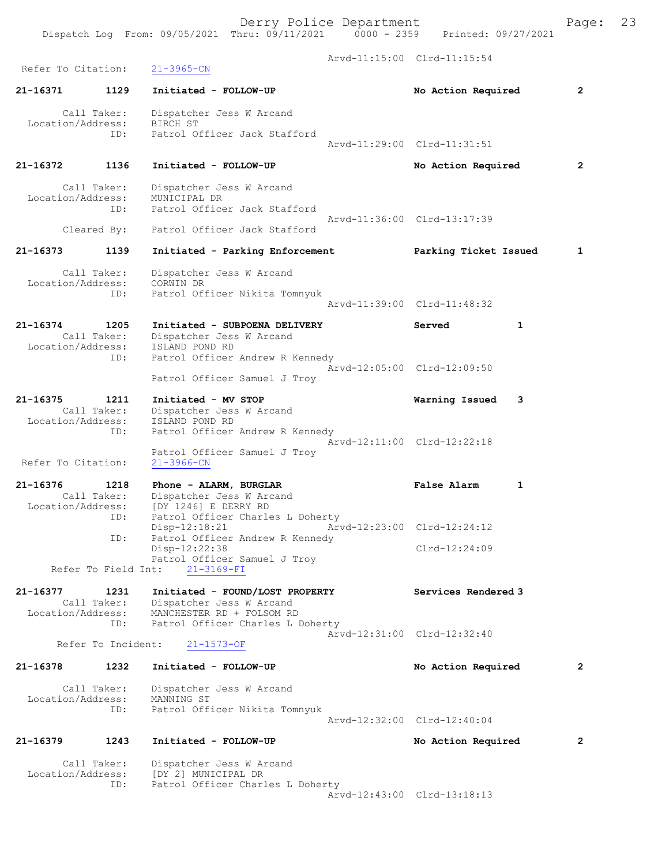| Refer To Citation:            |                     | $21 - 3965 - CN$                                                                                     | Arvd-11:15:00 Clrd-11:15:54        |                |
|-------------------------------|---------------------|------------------------------------------------------------------------------------------------------|------------------------------------|----------------|
|                               |                     |                                                                                                      |                                    |                |
| 21-16371                      | 1129                | Initiated - FOLLOW-UP                                                                                | No Action Required                 | $\overline{2}$ |
| Location/Address:             | Call Taker:         | Dispatcher Jess W Arcand<br>BIRCH ST                                                                 |                                    |                |
|                               | ID:                 | Patrol Officer Jack Stafford                                                                         | Arvd-11:29:00 Clrd-11:31:51        |                |
| 21-16372                      | 1136                | Initiated - FOLLOW-UP                                                                                | No Action Required                 | $\overline{2}$ |
| Location/Address:             | Call Taker:         | Dispatcher Jess W Arcand<br>MUNICIPAL DR                                                             |                                    |                |
|                               | ID:<br>Cleared By:  | Patrol Officer Jack Stafford<br>Patrol Officer Jack Stafford                                         | Arvd-11:36:00 Clrd-13:17:39        |                |
|                               |                     |                                                                                                      |                                    |                |
| 21-16373                      | 1139                | Initiated - Parking Enforcement                                                                      | Parking Ticket Issued              | 1              |
| Location/Address:             | Call Taker:<br>ID:  | Dispatcher Jess W Arcand<br>CORWIN DR<br>Patrol Officer Nikita Tomnyuk                               |                                    |                |
|                               |                     |                                                                                                      | Aryd-11:39:00 Clrd-11:48:32        |                |
| 21-16374<br>Location/Address: | 1205<br>Call Taker: | Initiated - SUBPOENA DELIVERY<br>Dispatcher Jess W Arcand<br>ISLAND POND RD                          | Served<br>$\mathbf{1}$             |                |
|                               | ID:                 | Patrol Officer Andrew R Kennedy<br>Patrol Officer Samuel J Troy                                      | Arvd-12:05:00 Clrd-12:09:50        |                |
| 21-16375                      | 1211                |                                                                                                      |                                    |                |
| Location/Address:             | Call Taker:<br>ID:  | Initiated - MV STOP<br>Dispatcher Jess W Arcand<br>ISLAND POND RD<br>Patrol Officer Andrew R Kennedy | Warning Issued<br>3                |                |
| Refer To Citation:            |                     | Patrol Officer Samuel J Troy<br>$21 - 3966 - CN$                                                     | Arvd-12:11:00 Clrd-12:22:18        |                |
| 21-16376                      | 1218                | Phone - ALARM, BURGLAR                                                                               | <b>False Alarm</b><br>$\mathbf{1}$ |                |
| Location/Address:             | Call Taker:<br>ID:  | Dispatcher Jess W Arcand<br>IDY 12461 E DERRY RD<br>Patrol Officer Charles L Doherty                 |                                    |                |
|                               | ID:                 | $Disp-12:18:21$<br>Patrol Officer Andrew R Kennedy                                                   | Arvd-12:23:00 Clrd-12:24:12        |                |
|                               |                     | Disp-12:22:38<br>Patrol Officer Samuel J Troy                                                        | $Clrd-12:24:09$                    |                |
|                               | Refer To Field Int: | $21 - 3169 - FI$                                                                                     |                                    |                |
| 21-16377<br>Location/Address: | 1231<br>Call Taker: | Initiated - FOUND/LOST PROPERTY<br>Dispatcher Jess W Arcand<br>MANCHESTER RD + FOLSOM RD             | Services Rendered 3                |                |
|                               | ID:                 | Patrol Officer Charles L Doherty                                                                     | Arvd-12:31:00 Clrd-12:32:40        |                |
|                               | Refer To Incident:  | $21 - 1573 - OF$                                                                                     |                                    |                |
| 21-16378                      | 1232                | Initiated - FOLLOW-UP                                                                                | No Action Required                 | $\mathbf{2}$   |
| Location/Address:             | Call Taker:<br>ID:  | Dispatcher Jess W Arcand<br>MANNING ST<br>Patrol Officer Nikita Tomnyuk                              |                                    |                |
|                               |                     |                                                                                                      | Arvd-12:32:00 Clrd-12:40:04        |                |
| 21-16379                      | 1243                | Initiated - FOLLOW-UP                                                                                | No Action Required                 | 2              |
| Location/Address:             | Call Taker:         | Dispatcher Jess W Arcand<br>[DY 2] MUNICIPAL DR                                                      |                                    |                |
|                               | ID:                 | Patrol Officer Charles L Doherty                                                                     | Arvd-12:43:00 Clrd-13:18:13        |                |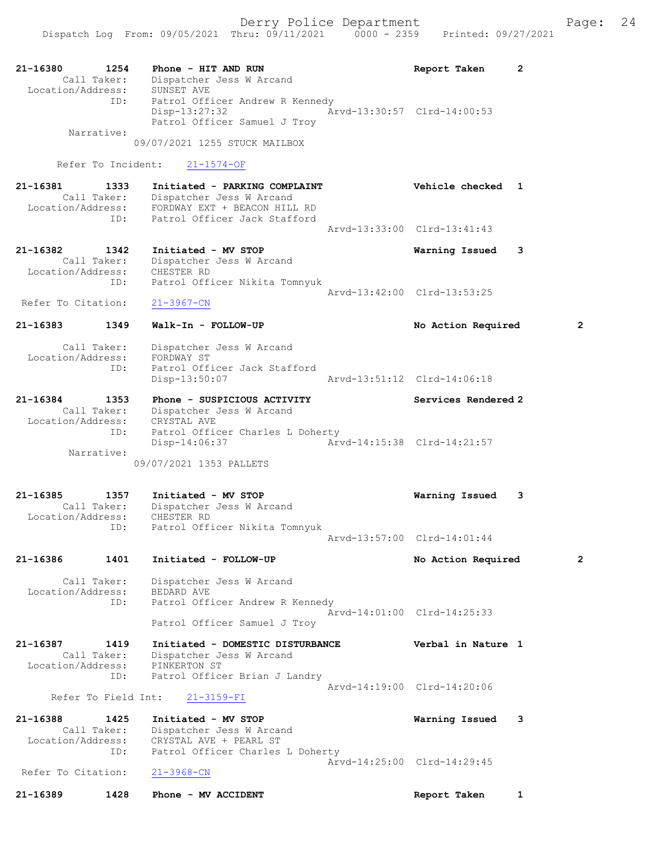| $21 - 16380$<br>Call Taker:      | 1254 | Phone - HIT AND RUN<br>Dispatcher Jess W Arcand                            | Report Taken                | 2              |
|----------------------------------|------|----------------------------------------------------------------------------|-----------------------------|----------------|
| Location/Address:                | ID:  | SUNSET AVE                                                                 |                             |                |
|                                  |      | Patrol Officer Andrew R Kennedy<br>Disp-13:27:32                           | Arvd-13:30:57 Clrd-14:00:53 |                |
| Narrative:                       |      | Patrol Officer Samuel J Troy                                               |                             |                |
|                                  |      | 09/07/2021 1255 STUCK MAILBOX                                              |                             |                |
| Refer To Incident:               |      | $21 - 1574 - OF$                                                           |                             |                |
| 21-16381                         | 1333 | Initiated - PARKING COMPLAINT                                              | Vehicle checked 1           |                |
| Call Taker:                      |      | Dispatcher Jess W Arcand<br>Location/Address: FORDWAY EXT + BEACON HILL RD |                             |                |
|                                  | ID:  | Patrol Officer Jack Stafford                                               |                             |                |
|                                  |      |                                                                            | Arvd-13:33:00 Clrd-13:41:43 |                |
| 21-16382                         | 1342 | Initiated - MV STOP                                                        | Warning Issued              | 3              |
| Call Taker:<br>Location/Address: |      | Dispatcher Jess W Arcand<br>CHESTER RD                                     |                             |                |
|                                  | ID:  | Patrol Officer Nikita Tomnyuk                                              |                             |                |
| Refer To Citation:               |      | $21 - 3967 - CN$                                                           | Arvd-13:42:00 Clrd-13:53:25 |                |
| 21-16383                         | 1349 | Walk-In - FOLLOW-UP                                                        | No Action Required          | 2              |
|                                  |      |                                                                            |                             |                |
| Call Taker:<br>Location/Address: |      | Dispatcher Jess W Arcand<br>FORDWAY ST                                     |                             |                |
|                                  | ID:  | Patrol Officer Jack Stafford                                               |                             |                |
|                                  |      | Disp-13:50:07                                                              | Arvd-13:51:12 Clrd-14:06:18 |                |
| 21-16384                         | 1353 | Phone - SUSPICIOUS ACTIVITY                                                | Services Rendered 2         |                |
| Call Taker:<br>Location/Address: |      | Dispatcher Jess W Arcand<br>CRYSTAL AVE                                    |                             |                |
|                                  | ID:  | Patrol Officer Charles L Doherty<br>Disp-14:06:37                          | Arvd-14:15:38 Clrd-14:21:57 |                |
| Narrative:                       |      |                                                                            |                             |                |
|                                  |      | 09/07/2021 1353 PALLETS                                                    |                             |                |
| 21-16385                         | 1357 | Initiated - MV STOP                                                        | Warning Issued              | 3              |
| Call Taker:<br>Location/Address: |      | Dispatcher Jess W Arcand<br>CHESTER RD                                     |                             |                |
|                                  | ID:  | Patrol Officer Nikita Tomnyuk                                              |                             |                |
|                                  |      |                                                                            | Arvd-13:57:00 Clrd-14:01:44 |                |
| 21-16386                         | 1401 | Initiated - FOLLOW-UP                                                      | No Action Required          | $\overline{2}$ |
| Call Taker:                      |      | Dispatcher Jess W Arcand                                                   |                             |                |
| Location/Address:                | ID:  | BEDARD AVE<br>Patrol Officer Andrew R Kennedy                              |                             |                |
|                                  |      | Patrol Officer Samuel J Troy                                               | Arvd-14:01:00 Clrd-14:25:33 |                |
| 21-16387                         | 1419 | Initiated - DOMESTIC DISTURBANCE                                           | Verbal in Nature 1          |                |
| Call Taker:                      |      | Dispatcher Jess W Arcand                                                   |                             |                |
| Location/Address:                | ID:  | PINKERTON ST<br>Patrol Officer Brian J Landry                              |                             |                |
|                                  |      |                                                                            | Arvd-14:19:00 Clrd-14:20:06 |                |
| Refer To Field Int:              |      | $21 - 3159 - FI$                                                           |                             |                |
| 21-16388<br>Call Taker:          | 1425 | Initiated - MV STOP<br>Dispatcher Jess W Arcand                            | Warning Issued              | 3              |
| Location/Address:                |      | CRYSTAL AVE + PEARL ST                                                     |                             |                |
|                                  | ID:  | Patrol Officer Charles L Doherty                                           | Arvd-14:25:00 Clrd-14:29:45 |                |
| Refer To Citation:               |      | $21 - 3968 - CN$                                                           |                             |                |
| 21-16389                         | 1428 | Phone - MV ACCIDENT                                                        | Report Taken                | $\mathbf{1}$   |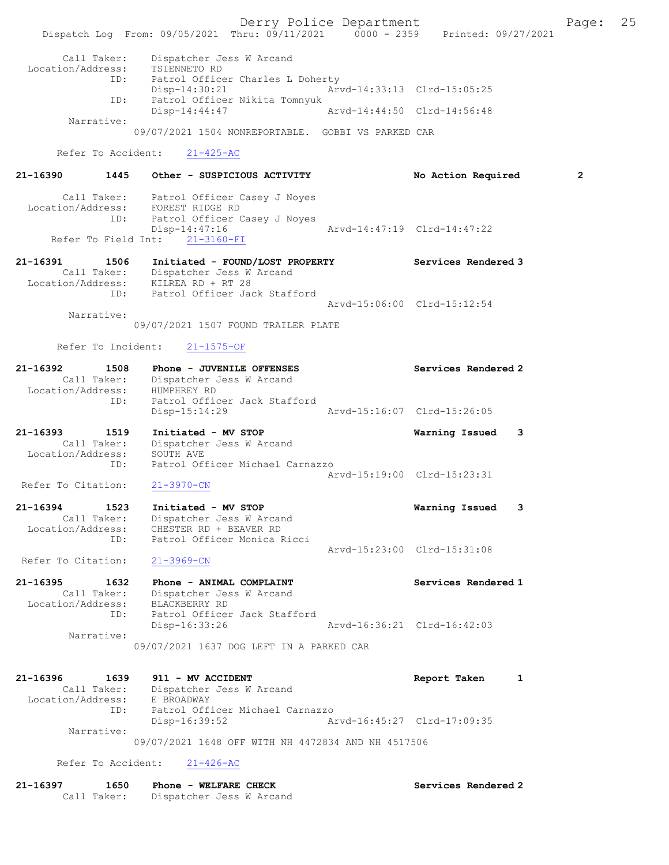Derry Police Department Fage: 25 Dispatch Log From: 09/05/2021 Thru: 09/11/2021 0000 - 2359 Printed: 09/27/2021 Call Taker: Dispatcher Jess W Arcand Location/Address: TSIENNETO RD ID: Patrol Officer Charles L Doherty Disp-14:30:21 Arvd-14:33:13 Clrd-15:05:25 ID: Patrol Officer Nikita Tomnyuk<br>Disp-14:44:47 Arvd-14:44:50 Clrd-14:56:48  $Disp-14:44:47$  Narrative: 09/07/2021 1504 NONREPORTABLE. GOBBI VS PARKED CAR Refer To Accident: 21-425-AC 21-16390 1445 Other - SUSPICIOUS ACTIVITY No Action Required 2 Call Taker: Patrol Officer Casey J Noyes Location/Address: FOREST RIDGE RD ID: Patrol Officer Casey J Noyes Disp-14:47:16 Arvd-14:47:19 Clrd-14:47:22 Disp-14:47:16<br>Disp-14:47:16<br>Refer To Field Int: 21-3160-FI<br>Refer To Field Int: 21-3160-FI 21-16391 1506 Initiated - FOUND/LOST PROPERTY Services Rendered 3 Call Taker: Dispatcher Jess W Arcand Location/Address: KILREA RD + RT 28 ID: Patrol Officer Jack Stafford Arvd-15:06:00 Clrd-15:12:54 Narrative: 09/07/2021 1507 FOUND TRAILER PLATE Refer To Incident: 21-1575-OF 21-16392 1508 Phone - JUVENILE OFFENSES Sandered 2 Services Rendered 2 Call Taker: Dispatcher Jess W Arcand Location/Address: HUMPHREY RD ID: Patrol Officer Jack Stafford Disp-15:14:29 Arvd-15:16:07 Clrd-15:26:05 21-16393 1519 Initiated - MV STOP Warning Issued 3 Call Taker: Dispatcher Jess W Arcand Location/Address: SOUTH AVE ID: Patrol Officer Michael Carnazzo Arvd-15:19:00 Clrd-15:23:31 Refer To Citation: 21-3970-CN 21-16394 1523 Initiated - MV STOP Warning Issued 3 Call Taker: Dispatcher Jess W Arcand Location/Address: CHESTER RD + BEAVER RD ID: Patrol Officer Monica Ricci Arvd-15:23:00 Clrd-15:31:08 Refer To Citation: 21-3969-CN 21-16395 1632 Phone - ANIMAL COMPLAINT Network Services Rendered 1 Call Taker: Dispatcher Jess W Arcand Location/Address: BLACKBERRY RD ID: Patrol Officer Jack Stafford<br>Disp-16:33:26 Disp-16:33:26 Arvd-16:36:21 Clrd-16:42:03 Narrative: 09/07/2021 1637 DOG LEFT IN A PARKED CAR 21-16396 1639 911 - MV ACCIDENT 1 21-16396 Report Taken 1 Call Taker: Dispatcher Jess W Arcand Location/Address: E BROADWAY ID: Patrol Officer Michael Carnazzo Disp-16:39:52 Arvd-16:45:27 Clrd-17:09:35 Narrative: 09/07/2021 1648 OFF WITH NH 4472834 AND NH 4517506 Refer To Accident: 21-426-AC 21-16397 1650 Phone - WELFARE CHECK Services Rendered 2

Call Taker: Dispatcher Jess W Arcand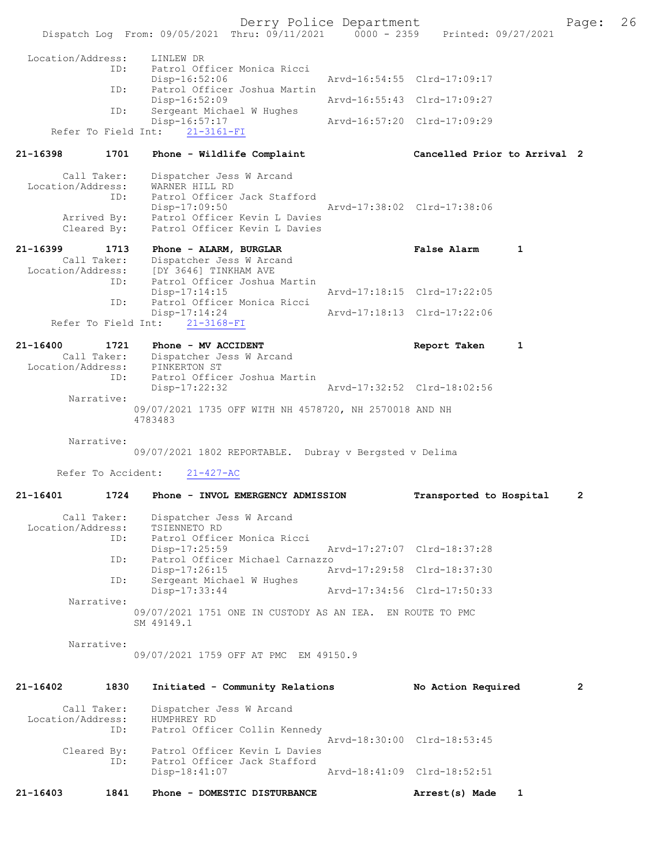Derry Police Department The Page: 26 Dispatch Log From: 09/05/2021 Thru: 09/11/2021 0000 - 2359 Printed: 09/27/2021 Location/Address: LINLEW DR ID: Patrol Officer Monica Ricci Disp-16:52:06 Arvd-16:54:55 Clrd-17:09:17<br>TD: Patrol Officer Joshua Martin Patrol Officer Joshua Martin<br>Disp-16:52:09 Arvd-16:55:43 Clrd-17:09:27 ID: Sergeant Michael W Hughes<br>Disp-16:57:17 p-16:57:17 <br>21-3161-FI Arvd-16:57:20 Clrd-17:09:29 Refer To Field Int: 21-16398 1701 Phone - Wildlife Complaint Cancelled Prior to Arrival 2 Call Taker: Dispatcher Jess W Arcand Location/Address: WARNER HILL RD ID: Patrol Officer Jack Stafford<br>Disp-17:09:50 Disp-17:09:50 Arvd-17:38:02 Clrd-17:38:06 Arrived By: Patrol Officer Kevin L Davies Cleared By: The Patrol Officer Kevin L Davies 21-16399 1713 Phone - ALARM, BURGLAR False Alarm 1 Call Taker: Dispatcher Jess W Arcand<br>Location/Address: [DY 3646] TINKHAM AVE ess: [DY 3646] TINKHAM AVE<br>ID: Patrol Officer Joshual .<br>Patrol Officer Joshua Martin<br>Disp-17:14:15 Arvd-17:18:15 Clrd-17:22:05 ID: Patrol Officer Monica Ricci Disp-17:14:24 Arvd-17:18:13 Clrd-17:22:06 Refer To Field Int: 21-3168-FI 21-16400 1721 Phone - MV ACCIDENT Report Taken 1<br>Call Taker: Dispatcher Jess W Arcand Call Taker: Dispatcher Jess W Arcand Location/Address: PINKERTON ST ID: Patrol Officer Joshua Martin Disp-17:22:32 Arvd-17:32:52 Clrd-18:02:56 Narrative: 09/07/2021 1735 OFF WITH NH 4578720, NH 2570018 AND NH 4783483 Narrative: 09/07/2021 1802 REPORTABLE. Dubray v Bergsted v Delima Refer To Accident: 21-427-AC 21-16401 1724 Phone - INVOL EMERGENCY ADMISSION Transported to Hospital 2 Call Taker: Dispatcher Jess W Arcand Location/Address: TSIENNETO RD<br>TD: Patrol Office Patrol Officer Monica Ricci<br>Disp-17:25:59 Disp-17:25:59 Arvd-17:27:07 Clrd-18:37:28 ID: Patrol Officer Michael Carnazzo Disp-17:26:15 Arvd-17:29:58 Clrd-18:37:30<br>ID: Sergeant Michael W Hughes Sergeant Michael W Hughes<br>Disp-17:33:44 Arvd-17:34:56 Clrd-17:50:33 Narrative: 09/07/2021 1751 ONE IN CUSTODY AS AN IEA. EN ROUTE TO PMC SM 49149.1 Narrative: 09/07/2021 1759 OFF AT PMC EM 49150.9 21-16402 1830 Initiated - Community Relations No Action Required 2 Call Taker: Dispatcher Jess W Arcand<br>.on/Address: HUMPHREY RD Location/Address: ID: Patrol Officer Collin Kennedy Arvd-18:30:00 Clrd-18:53:45<br>Cleared By: Patrol Officer Kevin L Davies By: Patrol Officer Kevin L Davies<br>TD: Patrol Officer Jack Stafford Patrol Officer Jack Stafford Disp-18:41:07 Arvd-18:41:09 Clrd-18:52:51 21-16403 1841 Phone - DOMESTIC DISTURBANCE Arrest(s) Made 1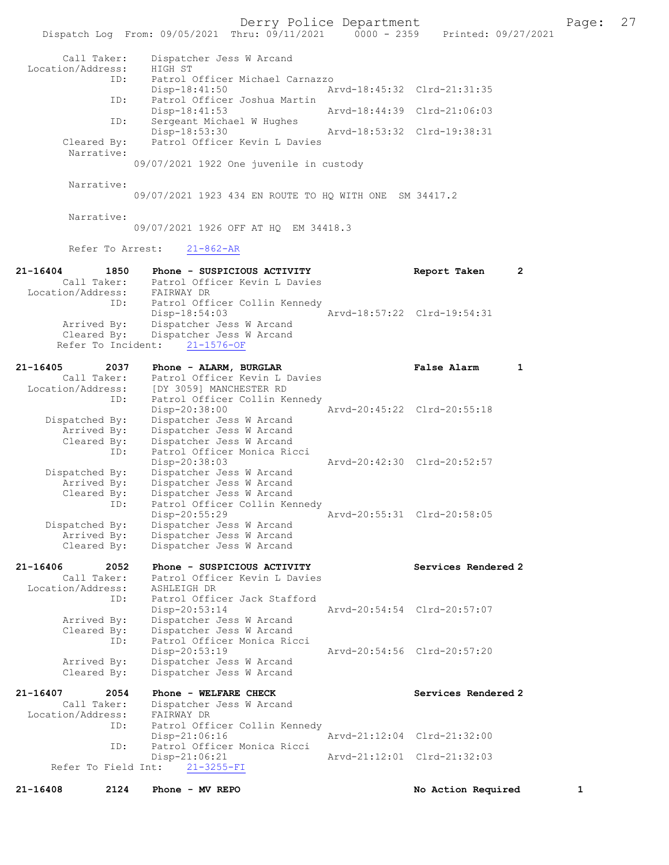Derry Police Department Fage: 27 Dispatch Log From: 09/05/2021 Thru: 09/11/2021 0000 - 2359 Printed: 09/27/2021

| Call Taker:                      |                     | Dispatcher Jess W Arcand |                                                              |                             |                             |   |
|----------------------------------|---------------------|--------------------------|--------------------------------------------------------------|-----------------------------|-----------------------------|---|
| Location/Address:                |                     | HIGH ST                  |                                                              |                             |                             |   |
|                                  | ID:                 |                          | Patrol Officer Michael Carnazzo                              |                             |                             |   |
|                                  |                     | Disp-18:41:50            |                                                              | Arvd-18:45:32 Clrd-21:31:35 |                             |   |
|                                  | ID:                 | Disp-18:41:53            | Patrol Officer Joshua Martin                                 | Arvd-18:44:39 Clrd-21:06:03 |                             |   |
|                                  | ID:                 |                          | Sergeant Michael W Hughes                                    |                             |                             |   |
|                                  |                     | Disp-18:53:30            |                                                              | Arvd-18:53:32 Clrd-19:38:31 |                             |   |
| Cleared By:                      |                     |                          | Patrol Officer Kevin L Davies                                |                             |                             |   |
| Narrative:                       |                     |                          |                                                              |                             |                             |   |
|                                  |                     |                          | 09/07/2021 1922 One juvenile in custody                      |                             |                             |   |
|                                  |                     |                          |                                                              |                             |                             |   |
| Narrative:                       |                     |                          |                                                              |                             |                             |   |
|                                  |                     |                          | 09/07/2021 1923 434 EN ROUTE TO HQ WITH ONE SM 34417.2       |                             |                             |   |
| Narrative:                       |                     |                          |                                                              |                             |                             |   |
|                                  |                     |                          | 09/07/2021 1926 OFF AT HQ EM 34418.3                         |                             |                             |   |
|                                  |                     |                          |                                                              |                             |                             |   |
|                                  | Refer To Arrest:    | $21 - 862 - AR$          |                                                              |                             |                             |   |
|                                  |                     |                          |                                                              |                             |                             |   |
| 21-16404                         | 1850<br>Call Taker: |                          | Phone - SUSPICIOUS ACTIVITY<br>Patrol Officer Kevin L Davies |                             | Report Taken                | 2 |
| Location/Address:                |                     | FAIRWAY DR               |                                                              |                             |                             |   |
|                                  | ID:                 |                          | Patrol Officer Collin Kennedy                                |                             |                             |   |
|                                  |                     | Disp-18:54:03            |                                                              |                             | Arvd-18:57:22 Clrd-19:54:31 |   |
| Arrived By:                      |                     |                          | Dispatcher Jess W Arcand                                     |                             |                             |   |
| Cleared By:                      |                     | Dispatcher Jess W Arcand |                                                              |                             |                             |   |
| Refer To Incident:               |                     | $21 - 1576 - OF$         |                                                              |                             |                             |   |
| 21-16405                         | 2037                | Phone - ALARM, BURGLAR   |                                                              |                             | False Alarm                 | 1 |
| Call Taker:                      |                     |                          | Patrol Officer Kevin L Davies                                |                             |                             |   |
| Location/Address:                |                     | [DY 3059] MANCHESTER RD  |                                                              |                             |                             |   |
|                                  | ID:                 |                          | Patrol Officer Collin Kennedy                                |                             |                             |   |
|                                  |                     | Disp-20:38:00            |                                                              | Arvd-20:45:22 Clrd-20:55:18 |                             |   |
| Dispatched By:                   |                     |                          | Dispatcher Jess W Arcand                                     |                             |                             |   |
| Arrived By:<br>Cleared By:       |                     | Dispatcher Jess W Arcand | Dispatcher Jess W Arcand                                     |                             |                             |   |
|                                  | ID:                 |                          | Patrol Officer Monica Ricci                                  |                             |                             |   |
|                                  |                     | Disp-20:38:03            |                                                              |                             | Arvd-20:42:30 Clrd-20:52:57 |   |
| Dispatched By:                   |                     |                          | Dispatcher Jess W Arcand                                     |                             |                             |   |
| Arrived By:                      |                     |                          | Dispatcher Jess W Arcand                                     |                             |                             |   |
| Cleared By:                      |                     | Dispatcher Jess W Arcand |                                                              |                             |                             |   |
|                                  | ID:                 | Disp-20:55:29            | Patrol Officer Collin Kennedy                                | Arvd-20:55:31 Clrd-20:58:05 |                             |   |
| Dispatched By:                   |                     | Dispatcher Jess W Arcand |                                                              |                             |                             |   |
| Arrived By:                      |                     | Dispatcher Jess W Arcand |                                                              |                             |                             |   |
| Cleared By:                      |                     | Dispatcher Jess W Arcand |                                                              |                             |                             |   |
|                                  |                     |                          |                                                              |                             |                             |   |
| 21-16406                         | 2052                |                          | Phone - SUSPICIOUS ACTIVITY                                  |                             | Services Rendered 2         |   |
| Call Taker:<br>Location/Address: |                     | ASHLEIGH DR              | Patrol Officer Kevin L Davies                                |                             |                             |   |
|                                  | ID:                 |                          | Patrol Officer Jack Stafford                                 |                             |                             |   |
|                                  |                     | Disp-20:53:14            |                                                              |                             | Arvd-20:54:54 Clrd-20:57:07 |   |
| Arrived By:                      |                     | Dispatcher Jess W Arcand |                                                              |                             |                             |   |
| Cleared By:                      |                     |                          | Dispatcher Jess W Arcand                                     |                             |                             |   |
|                                  | ID:                 |                          | Patrol Officer Monica Ricci                                  |                             |                             |   |
| Arrived By:                      |                     | Disp-20:53:19            | Dispatcher Jess W Arcand                                     |                             | Arvd-20:54:56 Clrd-20:57:20 |   |
| Cleared By:                      |                     | Dispatcher Jess W Arcand |                                                              |                             |                             |   |
|                                  |                     |                          |                                                              |                             |                             |   |
| 21-16407                         | 2054                | Phone - WELFARE CHECK    |                                                              |                             | Services Rendered 2         |   |
| Call Taker:                      |                     |                          | Dispatcher Jess W Arcand                                     |                             |                             |   |
| Location/Address:                | ID:                 | FAIRWAY DR               | Patrol Officer Collin Kennedy                                |                             |                             |   |
|                                  |                     | $Disp-21:06:16$          |                                                              |                             | Arvd-21:12:04 Clrd-21:32:00 |   |
|                                  | ID:                 |                          | Patrol Officer Monica Ricci                                  |                             |                             |   |
|                                  |                     | Disp-21:06:21            |                                                              |                             | Arvd-21:12:01 Clrd-21:32:03 |   |
| Refer To Field Int:              |                     | $21 - 3255 - FI$         |                                                              |                             |                             |   |
| $21 - 16408$                     | 2124                | Phone - MV REPO          |                                                              |                             | No Action Required          | 1 |
|                                  |                     |                          |                                                              |                             |                             |   |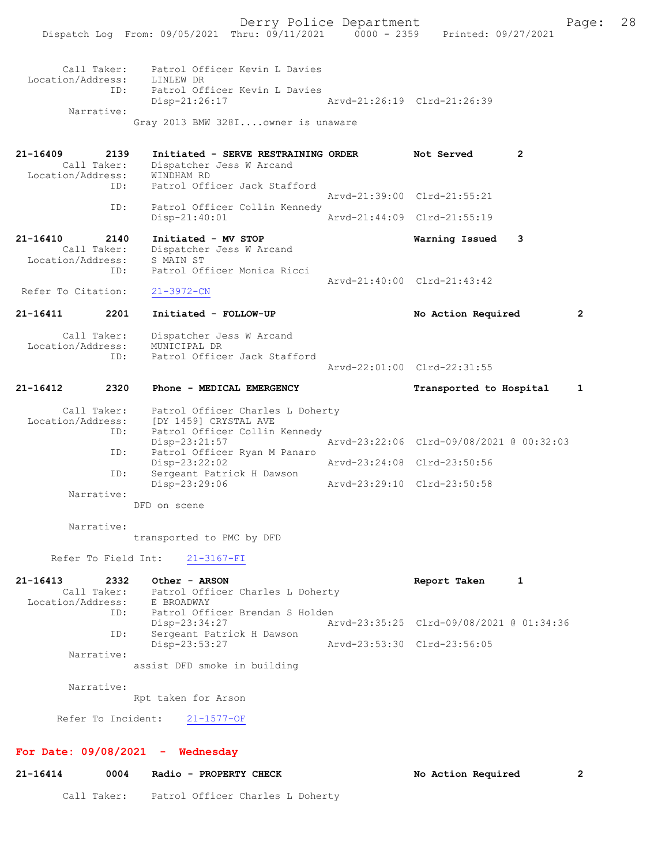| Call Taker:       | Patrol Officer Kevin L Davies                                                                                                                                                   |                             |
|-------------------|---------------------------------------------------------------------------------------------------------------------------------------------------------------------------------|-----------------------------|
| Location/Address: | LINLEW DR                                                                                                                                                                       |                             |
| TD:               | Patrol Officer Kevin L Davies                                                                                                                                                   |                             |
|                   | Disp-21:26:17                                                                                                                                                                   | Arvd-21:26:19 Clrd-21:26:39 |
| Narrative:        |                                                                                                                                                                                 |                             |
|                   | $\alpha_{\text{max}}$ $\alpha_{\text{max}}$ $\alpha_{\text{max}}$ $\alpha_{\text{max}}$ $\alpha_{\text{max}}$ $\alpha_{\text{max}}$ $\alpha_{\text{max}}$ $\alpha_{\text{max}}$ |                             |

Gray 2013 BMW 328I....owner is unaware

| $21 - 16409$<br>2139<br>Call Taker:<br>Location/Address:<br>ID: | Initiated - SERVE RESTRAINING ORDER<br>Dispatcher Jess W Arcand<br>WINDHAM RD<br>Patrol Officer Jack Stafford | Not Served                  | 2 |
|-----------------------------------------------------------------|---------------------------------------------------------------------------------------------------------------|-----------------------------|---|
|                                                                 |                                                                                                               | Arvd-21:39:00 Clrd-21:55:21 |   |
| ID:                                                             | Patrol Officer Collin Kennedy                                                                                 |                             |   |
|                                                                 | $Disp-21:40:01$                                                                                               | Arvd-21:44:09 Clrd-21:55:19 |   |
|                                                                 |                                                                                                               |                             |   |
| $21 - 16410$<br>2140<br>Call Taker:<br>Location/Address:<br>ID: | Initiated - MV STOP<br>Dispatcher Jess W Arcand<br>S MAIN ST<br>Patrol Officer Monica Ricci                   | Warning Issued              | 3 |
|                                                                 |                                                                                                               | Arvd-21:40:00 Clrd-21:43:42 |   |

# 21-16411 2201 Initiated - FOLLOW-UP No Action Required 2 Call Taker: Dispatcher Jess W Arcand Location/Address: MUNICIPAL DR

 ID: Patrol Officer Jack Stafford Arvd-22:01:00 Clrd-22:31:55

## 21-16412 2320 Phone - MEDICAL EMERGENCY Transported to Hospital 1

Call Taker: Patrol Officer Charles L Doherty<br>Location/Address: [DY 1459] CRYSTAL AVE Location/Address: [DY 1459] CRYSTAL AVE ID: Patrol Officer Collin Kennedy Disp-23:21:57 <br>ID: Patrol Officer Ryan M Panaro<br>
Panaro Patrol Officer Ryan M Panaro<br>Disp-23:22:02 Disp-23:22:02 Arvd-23:24:08 Clrd-23:50:56<br>ID: Sergeant Patrick H Dawson Sergeant Patrick H Dawson<br>Disp-23:29:06 Disp-23:29:06 Arvd-23:29:10 Clrd-23:50:58 Narrative:

DFD on scene

## Narrative:

transported to PMC by DFD

Refer To Field Int: 21-3167-FI

21-16413 2332 Other - ARSON Report Taken 1 Call Taker: Patrol Officer Charles L Doherty Location/Address: E BROADWAY ID: Patrol Officer Brendan S Holden<br>Disp-23:34:27 Ar Disp-23:34:27 Arvd-23:35:25 Clrd-09/08/2021 @ 01:34:36 ID: Sergeant Patrick H Dawson<br>Disp-23:53:27 Disp-23:53:27 Arvd-23:53:30 Clrd-23:56:05 Narrative: assist DFD smoke in building

Narrative:

Rpt taken for Arson

Refer To Incident: 21-1577-OF

#### For Date: 09/08/2021 - Wednesday

## 21-16414 0004 Radio - PROPERTY CHECK No Action Required 2

Call Taker: Patrol Officer Charles L Doherty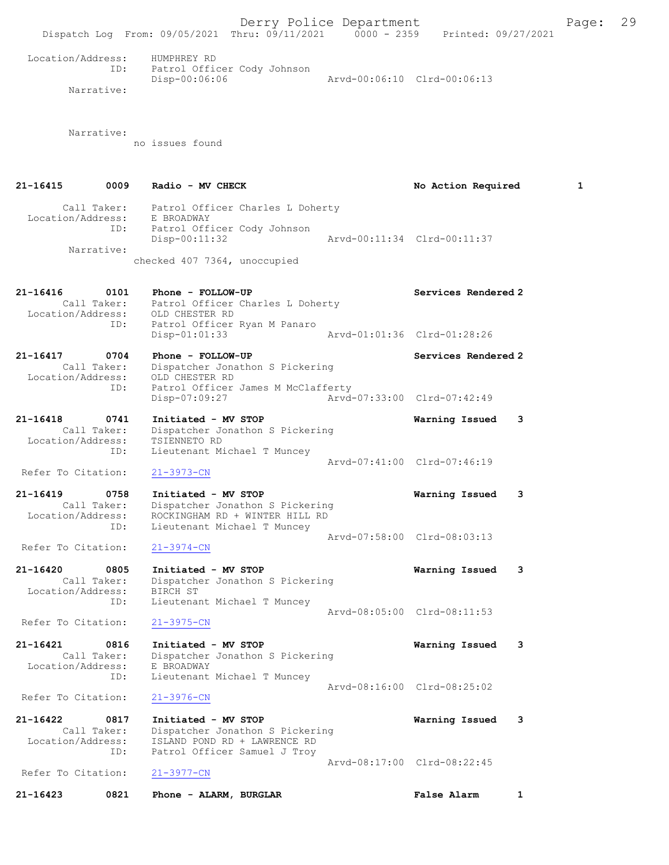Derry Police Department Fage: 29 Dispatch Log From: 09/05/2021 Thru: 09/11/2021 0000 - 2359 Printed: 09/27/2021 Location/Address: HUMPHREY RD Patrol Officer Cody Johnson ID: Patrol Officer Cody Johnson<br>Disp-00:06:06 Arvd-00:06:10 Clrd-00:06:13 Narrative: Narrative: no issues found 21-16415 0009 Radio - MV CHECK No South Artion Required 1 Call Taker: Patrol Officer Charles L Doherty Location/Address: E BROADWAY ID: Patrol Officer Cody Johnson Disp-00:11:32 Arvd-00:11:34 Clrd-00:11:37 Narrative: checked 407 7364, unoccupied 21-16416 0101 Phone - FOLLOW-UP Services Rendered 2 Call Taker: Patrol Officer Charles L Doherty Location/Address: OLD CHESTER RD ID: Patrol Officer Ryan M Panaro<br>Disp-01:01:33 Disp-01:01:33 Arvd-01:01:36 Clrd-01:28:26 21-16417 0704 Phone - FOLLOW-UP Services Rendered 2 Call Taker: Dispatcher Jonathon S Pickering Location/Address: OLD CHESTER RD ID: Patrol Officer James M McClafferty Disp-07:09:27 Arvd-07:33:00 Clrd-07:42:49 21-16418 0741 Initiated - MV STOP Warning Issued 3 Call Taker: Dispatcher Jonathon S Pickering Location/Address: TSIENNETO RD ID: Lieutenant Michael T Muncey Arvd-07:41:00 Clrd-07:46:19<br>
21-3973-CN Refer To Citation: 21-16419 0758 Initiated - MV STOP Warning Issued 3 Call Taker: Dispatcher Jonathon S Pickering Location/Address: ROCKINGHAM RD + WINTER HILL RD ID: Lieutenant Michael T Muncey Arvd-07:58:00 Clrd-08:03:13 Refer To Citation: 21-3974-CN 21-16420 0805 Initiated - MV STOP Warning Issued 3 Call Taker: Dispatcher Jonathon S Pickering Location/Address: BIRCH ST ID: Lieutenant Michael T Muncey Arvd-08:05:00 Clrd-08:11:53<br>21-3975-CN Refer To Citation: 21-16421 0816 Initiated - MV STOP Warning Issued 3 Call Taker: Dispatcher Jonathon S Pickering Location/Address: E BROADWAY ID: Lieutenant Michael T Muncey Arvd-08:16:00 Clrd-08:25:02 Refer To Citation: 21-3976-CN 21-16422 0817 Initiated - MV STOP Warning Issued 3 Call Taker: Dispatcher Jonathon S Pickering Location/Address: ISLAND POND RD + LAWRENCE RD ID: Patrol Officer Samuel J Troy Arvd-08:17:00 Clrd-08:22:45<br>21-3977-CN Refer To Citation: 21-16423 0821 Phone - ALARM, BURGLAR False Alarm 1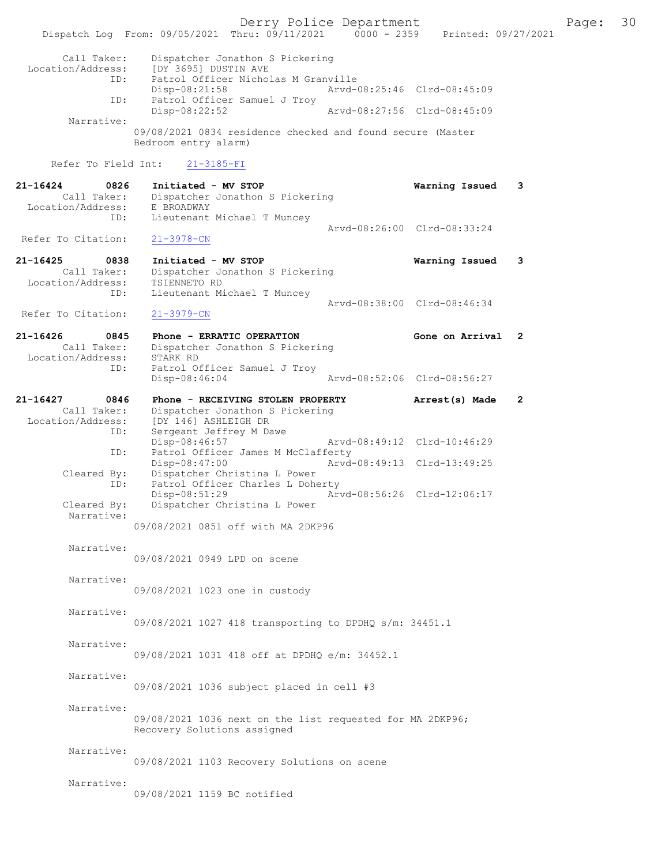Derry Police Department The Page: 30 Dispatch Log From: 09/05/2021 Thru:  $0.9/11/2021$  0000 - 2359 Printed: 09/27/2021 Call Taker: Dispatcher Jonathon S Pickering Location/Address: [DY 3695] DUSTIN AVE<br>D: Patrol Officer Nicho ID: Patrol Officer Nicholas M Granville Disp-08:21:58 Arvd-08:25:46 Clrd-08:45:09<br>TD: Patrol Officer Samuel J Trov Patrol Officer Samuel J Troy<br>Disp-08:22:52 Disp-08:22:52 Arvd-08:27:56 Clrd-08:45:09 Narrative: 09/08/2021 0834 residence checked and found secure (Master Bedroom entry alarm) Refer To Field Int: 21-3185-FI 21-16424 0826 Initiated - MV STOP Warning Issued 3 Call Taker: Dispatcher Jonathon S Pickering<br>ion/Address: E BROADWAY Location/Address: ID: Lieutenant Michael T Muncey Arvd-08:26:00 Clrd-08:33:24<br>21-3978-CN Refer To Citation: 21-16425 0838 Initiated - MV STOP Warning Issued 3 Call Taker: Dispatcher Jonathon S Pickering Location/Address: TSIENNETO RD ID: Lieutenant Michael T Muncey Arvd-08:38:00 Clrd-08:46:34 Refer To Citation: 21-3979-CN 21-16426 0845 Phone - ERRATIC OPERATION Gone on Arrival 2 Call Taker: Dispatcher Jonathon S Pickering<br>ion/Address: STARK RD Location/Address: ID: Patrol Officer Samuel J Troy Arvd-08:52:06 Clrd-08:56:27 21-16427 0846 Phone - RECEIVING STOLEN PROPERTY Arrest(s) Made 2 Call Taker: Dispatcher Jonathon S Pickering<br>Location/Address: [DY 146] ASHLEIGH DR Location/Address: [DY 146] ASHLEIGH DR ID: Sergeant Jeffrey M Dawe<br>Disp-08:46:57 Disp-08:46:57 Arvd-08:49:12 Clrd-10:46:29<br>ID: Patrol Officer James M McClafferty Patrol Officer James M McClafferty<br>Disp-08:47:00 Arvd-Arvd-08:49:13 Clrd-13:49:25 Cleared By: Dispatcher Christina L Power<br>ID: Patrol Officer Charles L Dohe Patrol Officer Charles L Doherty<br>Disp-08:51:29 Ar Disp-08:51:29 Arvd-08:56:26 Clrd-12:06:17<br>Cleared By: Dispatcher Christina L Power Dispatcher Christina L Power Narrative: 09/08/2021 0851 off with MA 2DKP96 Narrative: 09/08/2021 0949 LPD on scene Narrative: 09/08/2021 1023 one in custody Narrative: 09/08/2021 1027 418 transporting to DPDHQ s/m: 34451.1 Narrative: 09/08/2021 1031 418 off at DPDHQ e/m: 34452.1 Narrative: 09/08/2021 1036 subject placed in cell #3 Narrative: 09/08/2021 1036 next on the list requested for MA 2DKP96; Recovery Solutions assigned Narrative: 09/08/2021 1103 Recovery Solutions on scene Narrative: 09/08/2021 1159 BC notified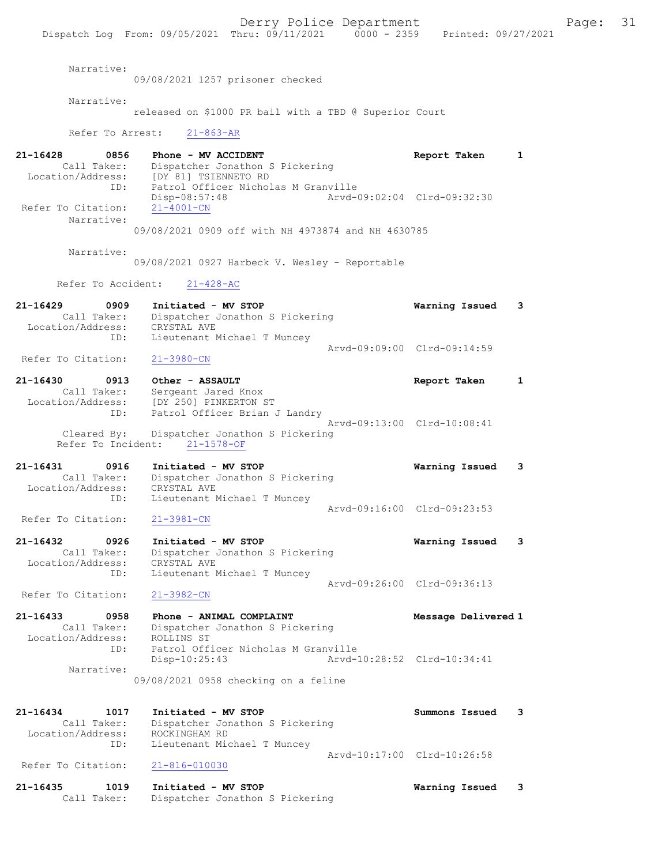Derry Police Department The Page: 31 Dispatch Log From: 09/05/2021 Thru: 09/11/2021 0000 - 2359 Printed: 09/27/2021 Narrative: 09/08/2021 1257 prisoner checked Narrative: released on \$1000 PR bail with a TBD @ Superior Court Refer To Arrest: 21-863-AR 21-16428 0856 Phone - MV ACCIDENT Report Taken 1 Call Taker: Dispatcher Jonathon S Pickering Location/Address: [DY 81] TSIENNETO RD ID: Patrol Officer Nicholas M Granville<br>Disp-08:57:48 Arvd-0 Disp-08:57:48 Arvd-09:02:04 Clrd-09:32:30 Refer To Citation: 21-4001-CN Narrative: 09/08/2021 0909 off with NH 4973874 and NH 4630785 Narrative: 09/08/2021 0927 Harbeck V. Wesley - Reportable Refer To Accident: 21-428-AC 21-16429 0909 Initiated - MV STOP Warning Issued 3 Call Taker: Dispatcher Jonathon S Pickering Location/Address: CRYSTAL AVE ID: Lieutenant Michael T Muncey Arvd-09:09:00 Clrd-09:14:59<br>21-3980-CN Refer To Citation: 21-16430 0913 Other - ASSAULT Report Taken 1 Call Taker: Sergeant Jared Knox Location/Address: [DY 250] PINKERTON ST ID: Patrol Officer Brian J Landry Arvd-09:13:00 Clrd-10:08:41 Cleared By: Dispatcher Jonathon S Pickering Refer To Incident: 21-1578-OF 21-16431 0916 Initiated - MV STOP Warning Issued 3 Call Taker: Dispatcher Jonathon S Pickering Location/Address: CRYSTAL AVE ID: Lieutenant Michael T Muncey Arvd-09:16:00 Clrd-09:23:53<br>21-3981-CN Refer To Citation: 21-16432 0926 Initiated - MV STOP Warning Issued 3 Call Taker: Dispatcher Jonathon S Pickering Location/Address: CRYSTAL AVE ID: Lieutenant Michael T Muncey Arvd-09:26:00 Clrd-09:36:13 Refer To Citation: 21-3982-CN 21-16433 0958 Phone - ANIMAL COMPLAINT Message Delivered 1 Call Taker: Dispatcher Jonathon S Pickering Location/Address: ROLLINS ST ID: Patrol Officer Nicholas M Granville<br>Disp-10:25:43 Arvd- Disp-10:25:43 Arvd-10:28:52 Clrd-10:34:41 Narrative: 09/08/2021 0958 checking on a feline 21-16434 1017 Initiated - MV STOP Summons Issued 3 Call Taker: Dispatcher Jonathon S Pickering Location/Address: ROCKINGHAM RD<br>TD: Lieutepant Mic Lieutenant Michael T Muncey Arvd-10:17:00 Clrd-10:26:58 Refer To Citation: 21-816-010030 21-16435 1019 Initiated - MV STOP Warning Issued 3

Call Taker: Dispatcher Jonathon S Pickering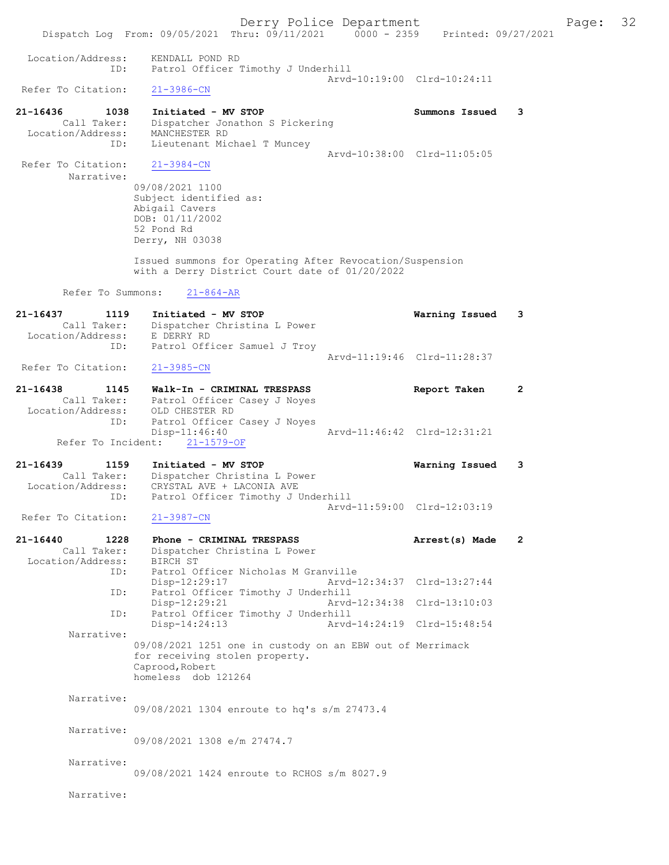Dispatch Log From: 09/05/2021 Thru: 09/11/2021 0000 - 2359 Printed: 09/27/2021 Location/Address: KENDALL POND RD ID: Patrol Officer Timothy J Underhill Arvd-10:19:00 Clrd-10:24:11<br>21-3986-CN Refer To Citation: 21-16436 1038 Initiated - MV STOP Summons Issued 3 Call Taker: Dispatcher Jonathon S Pickering Location/Address: MANCHESTER RD ID: Lieutenant Michael T Muncey Arvd-10:38:00 Clrd-11:05:05<br>21-3984-CN Refer To Citation: Narrative: 09/08/2021 1100 Subject identified as: Abigail Cavers DOB: 01/11/2002 52 Pond Rd Derry, NH 03038 Issued summons for Operating After Revocation/Suspension with a Derry District Court date of 01/20/2022 Refer To Summons: 21-864-AR 21-16437 1119 Initiated - MV STOP Warning Issued 3 Call Taker: Dispatcher Christina L Power Location/Address: E DERRY RD ID: Patrol Officer Samuel J Troy Arvd-11:19:46 Clrd-11:28:37<br>21-3985-CN Refer To Citation: 21-16438 1145 Walk-In - CRIMINAL TRESPASS Report Taken 2 Call Taker: Patrol Officer Casey J Noyes Location/Address: OLD CHESTER RD ID: Patrol Officer Casey J Noyes<br>Disp-11:46:40 Arvd-11:46:42 Clrd-12:31:21 Refer To Incident: 21-1579-OF 21-16439 1159 Initiated - MV STOP Warning Issued 3 Call Taker: Dispatcher Christina L Power Location/Address: CRYSTAL AVE + LACONIA AVE ID: Patrol Officer Timothy J Underhill Arvd-11:59:00 Clrd-12:03:19<br>21-3987-CN Refer To Citation: 21-16440 1228 Phone - CRIMINAL TRESPASS Arrest(s) Made 2 Call Taker: Dispatcher Christina L Power Location/Address: BIRCH ST<br>ID: Patrol O Patrol Officer Nicholas M Granville<br>Disp-12:29:17 Arvd-1 Disp-12:29:17 Arvd-12:34:37 Clrd-13:27:44 ID: Patrol Officer Timothy J Underhill Disp-12:29:21 Arvd-12:34:38 Clrd-13:10:03<br>ID: Patrol Officer Timothy J Underhill ID: Patrol Officer Timothy J Underhill Disp-14:24:13 Narrative: 09/08/2021 1251 one in custody on an EBW out of Merrimack for receiving stolen property. Caprood,Robert homeless dob 121264 Narrative: 09/08/2021 1304 enroute to hq's s/m 27473.4 Narrative: 09/08/2021 1308 e/m 27474.7 Narrative: 09/08/2021 1424 enroute to RCHOS s/m 8027.9

Narrative:

## Derry Police Department The Page: 32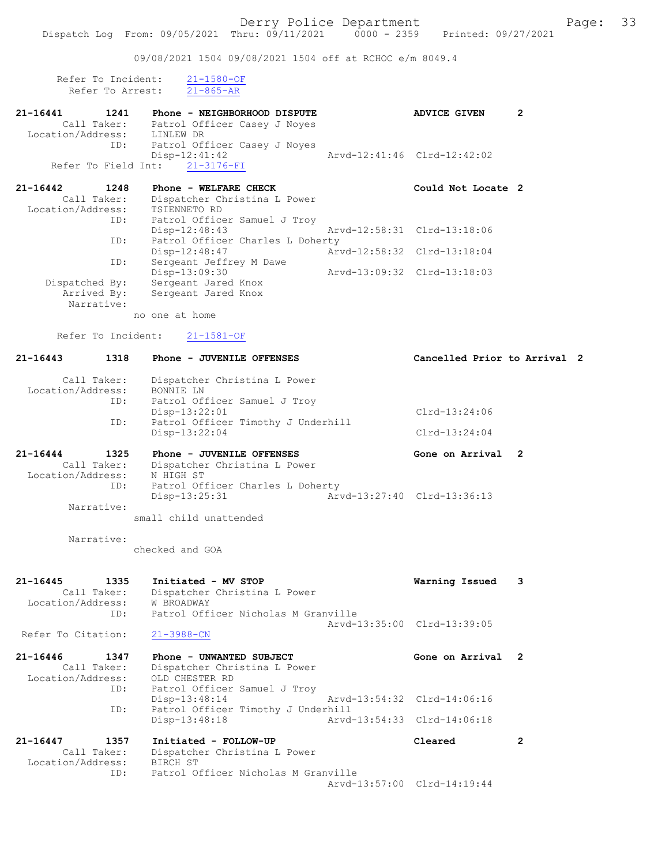09/08/2021 1504 09/08/2021 1504 off at RCHOC e/m 8049.4

| Refer To Incident: | $21 - 1580 - OF$ |
|--------------------|------------------|
| Refer To Arrest:   | $21 - 865 - AR$  |

| $21 - 16441$                | 1241        | Phone - NEIGHBORHOOD DISPUTE     | <b>ADVICE GIVEN</b>         | 2 |
|-----------------------------|-------------|----------------------------------|-----------------------------|---|
|                             | Call Taker: | Patrol Officer Casey J Noyes     |                             |   |
| Location/Address: LINLEW DR |             |                                  |                             |   |
|                             | ID:         | Patrol Officer Casey J Noyes     |                             |   |
|                             |             | $Disp-12:41:42$                  | Arvd-12:41:46 Clrd-12:42:02 |   |
|                             |             | Refer To Field Int: 21-3176-FI   |                             |   |
|                             |             |                                  |                             |   |
| $21 - 16442$                | 1248        | Phone - WELFARE CHECK            | Could Not Locate 2          |   |
|                             | Call Taker: | Dispatcher Christina L Power     |                             |   |
| Location/Address:           |             | TSIENNETO RD                     |                             |   |
|                             | ID:         | Patrol Officer Samuel J Troy     |                             |   |
|                             |             | $Disp-12:48:43$                  | Arvd-12:58:31 Clrd-13:18:06 |   |
|                             | ID:         | Patrol Officer Charles L Doherty |                             |   |

ID: Sergeant Jeffrey M Dawe<br>Disp-13:09:30 Disp-13:09:30 Arvd-13:09:32 Clrd-13:18:03<br>Dispatched By: Sergeant Jared Knox Dispatched By: Sergeant Jared Knox Arrived By: Sergeant Jared Knox Narrative:

no one at home

Refer To Incident: 21-1581-OF

## 21-16443 1318 Phone - JUVENILE OFFENSES Cancelled Prior to Arrival 2 Call Taker: Dispatcher Christina L Power<br>.on/Address: BONNIE LN Location/Address:<br>TD: Patrol Officer Samuel J Troy Disp-13:22:01 Clrd-13:24:06<br>ID: Patrol Officer Timothy J Underhill Clrd-13:24:06 Patrol Officer Timothy J Underhill Disp-13:22:04 Clrd-13:24:04 21-16444 1325 Phone - JUVENILE OFFENSES Gone on Arrival 2 Call Taker: Dispatcher Christina L Power Location/Address: N HIGH ST ID: Patrol Officer Charles L Doherty Disp-13:25:31 Arvd-13:27:40 Clrd-13:36:13 Narrative: small child unattended Narrative: checked and GOA 21-16445 1335 Initiated - MV STOP **Warning Issued 3**<br>Call Taker: Dispatcher Christina L Power Dispatcher Christina L Power Location/Address: W BROADWAY<br>ID: Patrol Off: Patrol Officer Nicholas M Granville Arvd-13:35:00 Clrd-13:39:05<br>21-3988-CN Refer To Citation: 21-16446 1347 Phone - UNWANTED SUBJECT Gone on Arrival 2<br>Call Taker: Dispatcher Christina L Power Dispatcher Christina L Power<br>OLD CHESTER RD Location/Address: ID: Patrol Officer Samuel J Troy<br>Disp-13:48:14 Disp-13:48:14 <br>
Disp-13:54:14 Arvd-13:54:32 Clrd-14:06:16<br>
Displaces Timothy J Underhill Patrol Officer Timothy J Underhill<br>Disp-13:48:18 Arvd-Arvd-13:54:33 Clrd-14:06:18 21-16447 1357 Initiated - FOLLOW-UP Cleared 2 Call Taker: Dispatcher Christina L Power<br>ion/Address: BIRCH ST Location/Address:<br>ID: Patrol Officer Nicholas M Granville Arvd-13:57:00 Clrd-14:19:44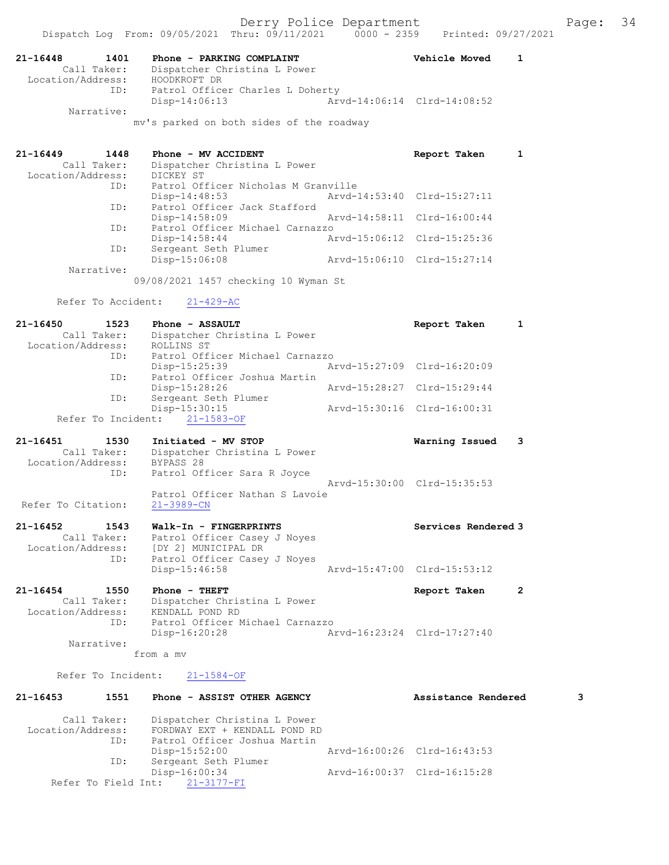|                                                             | Dispatch Log From: 09/05/2021 Thru: 09/11/2021                                                                | $0000 - 2359$ | Printed: 09/27/2021         |              |
|-------------------------------------------------------------|---------------------------------------------------------------------------------------------------------------|---------------|-----------------------------|--------------|
| 21-16448<br>1401<br>Call Taker:<br>Location/Address:        | Phone - PARKING COMPLAINT<br>Dispatcher Christina L Power<br>HOODKROFT DR                                     |               | Vehicle Moved               | 1            |
| ID:                                                         | Patrol Officer Charles L Doherty<br>$Disp-14:06:13$                                                           |               | Arvd-14:06:14 Clrd-14:08:52 |              |
| Narrative:                                                  | mv's parked on both sides of the roadway                                                                      |               |                             |              |
| 21-16449<br>1448<br>Call Taker:                             | Phone - MV ACCIDENT<br>Dispatcher Christina L Power                                                           |               | Report Taken                | 1            |
| Location/Address:<br>ID:                                    | DICKEY ST<br>Patrol Officer Nicholas M Granville<br>$Disp-14:48:53$                                           |               | Arvd-14:53:40 Clrd-15:27:11 |              |
| ID:                                                         | Patrol Officer Jack Stafford<br>Disp-14:58:09                                                                 |               | Arvd-14:58:11 Clrd-16:00:44 |              |
| ID:                                                         | Patrol Officer Michael Carnazzo<br>$Disp-14:58:44$                                                            |               | Arvd-15:06:12 Clrd-15:25:36 |              |
| ID:                                                         | Sergeant Seth Plumer<br>Disp-15:06:08                                                                         |               | Arvd-15:06:10 Clrd-15:27:14 |              |
| Narrative:                                                  | 09/08/2021 1457 checking 10 Wyman St                                                                          |               |                             |              |
| Refer To Accident:                                          | $21 - 429 - AC$                                                                                               |               |                             |              |
| 21-16450<br>1523<br>Call Taker:<br>Location/Address:        | Phone - ASSAULT<br>Dispatcher Christina L Power<br>ROLLINS ST                                                 |               | Report Taken                | 1            |
| ID:                                                         | Patrol Officer Michael Carnazzo<br>Disp-15:25:39                                                              |               | Arvd-15:27:09 Clrd-16:20:09 |              |
| ID:                                                         | Patrol Officer Joshua Martin<br>$Disp-15:28:26$                                                               |               | Arvd-15:28:27 Clrd-15:29:44 |              |
| ID:<br>Refer To Incident:                                   | Sergeant Seth Plumer<br>$Disp-15:30:15$<br>$21 - 1583 - OF$                                                   |               | Arvd-15:30:16 Clrd-16:00:31 |              |
| 21-16451<br>1530<br>Call Taker:                             | Initiated - MV STOP<br>Dispatcher Christina L Power<br>BYPASS 28                                              |               | Warning Issued              | 3            |
| Location/Address:<br>ID:                                    | Patrol Officer Sara R Joyce                                                                                   |               | Arvd-15:30:00 Clrd-15:35:53 |              |
| Refer To Citation:                                          | Patrol Officer Nathan S Lavoie<br>$21 - 3989 - CN$                                                            |               |                             |              |
| 21-16452<br>1543<br>Call Taker:<br>Location/Address:<br>ID: | Walk-In - FINGERPRINTS<br>Patrol Officer Casey J Noyes<br>[DY 2] MUNICIPAL DR<br>Patrol Officer Casey J Noyes |               | Services Rendered 3         |              |
|                                                             | Disp-15:46:58                                                                                                 |               | Arvd-15:47:00 Clrd-15:53:12 |              |
| 21-16454<br>1550<br>Call Taker:<br>Location/Address:<br>ID: | Phone - THEFT<br>Dispatcher Christina L Power<br>KENDALL POND RD<br>Patrol Officer Michael Carnazzo           |               | Report Taken                | $\mathbf{2}$ |
| Narrative:                                                  | Disp-16:20:28                                                                                                 |               | Arvd-16:23:24 Clrd-17:27:40 |              |
| Refer To Incident:                                          | from a mv<br>$21 - 1584 - OF$                                                                                 |               |                             |              |
| 21-16453<br>1551                                            | Phone - ASSIST OTHER AGENCY                                                                                   |               | Assistance Rendered         | 3            |
| Call Taker:                                                 | Dispatcher Christina L Power                                                                                  |               |                             |              |
| Location/Address:<br>ID:                                    | FORDWAY EXT + KENDALL POND RD<br>Patrol Officer Joshua Martin<br>Disp-15:52:00                                |               | Arvd-16:00:26 Clrd-16:43:53 |              |
| ID:                                                         | Sergeant Seth Plumer<br>Disp-16:00:34                                                                         |               | Arvd-16:00:37 Clrd-16:15:28 |              |
| Refer To Field Int:                                         | $21 - 3177 - FI$                                                                                              |               |                             |              |
|                                                             |                                                                                                               |               |                             |              |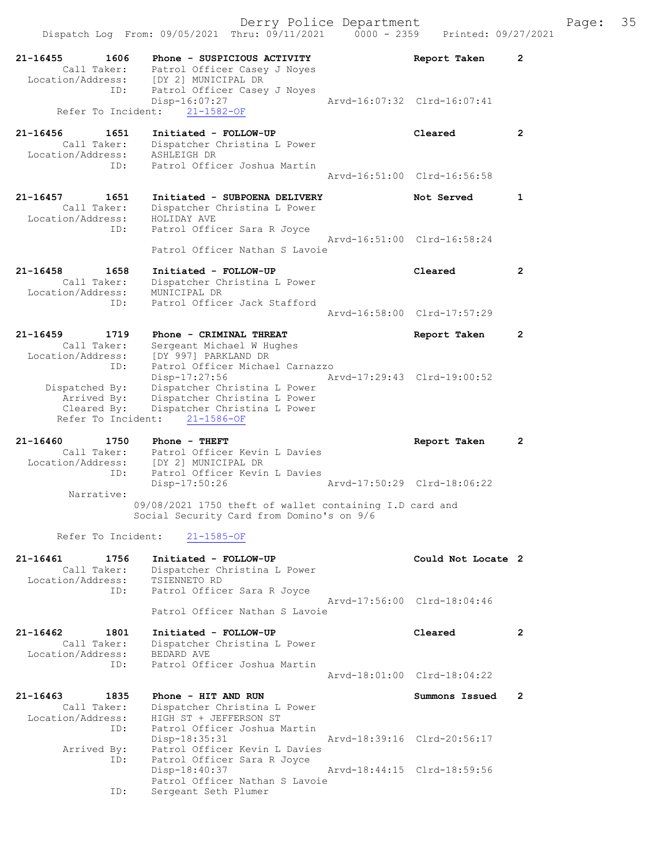| 21-16455<br>1606<br>Call Taker:  | Phone - SUSPICIOUS ACTIVITY<br>Patrol Officer Casey J Noyes  | Report Taken                | $\mathbf{2}^{\prime}$ |
|----------------------------------|--------------------------------------------------------------|-----------------------------|-----------------------|
| Location/Address:                | [DY 2] MUNICIPAL DR                                          |                             |                       |
| ID:                              | Patrol Officer Casey J Noyes<br>Disp-16:07:27                | Arvd-16:07:32 Clrd-16:07:41 |                       |
| Refer To Incident:               | $21 - 1582 - OF$                                             |                             |                       |
|                                  |                                                              |                             |                       |
| 21-16456<br>1651<br>Call Taker:  | Initiated - FOLLOW-UP<br>Dispatcher Christina L Power        | Cleared                     | $\overline{2}$        |
| Location/Address:                | ASHLEIGH DR                                                  |                             |                       |
| ID:                              | Patrol Officer Joshua Martin                                 | Aryd-16:51:00 Clrd-16:56:58 |                       |
|                                  |                                                              |                             |                       |
| 21-16457<br>1651                 | Initiated - SUBPOENA DELIVERY                                | Not Served                  | 1                     |
| Call Taker:<br>Location/Address: | Dispatcher Christina L Power<br>HOLIDAY AVE                  |                             |                       |
| ID:                              | Patrol Officer Sara R Joyce                                  |                             |                       |
|                                  |                                                              | Arvd-16:51:00 Clrd-16:58:24 |                       |
|                                  | Patrol Officer Nathan S Lavoie                               |                             |                       |
| 1658<br>21-16458                 | Initiated - FOLLOW-UP                                        | Cleared                     | $\mathbf{2}^{\circ}$  |
| Call Taker:<br>Location/Address: | Dispatcher Christina L Power<br>MUNICIPAL DR                 |                             |                       |
| ID:                              | Patrol Officer Jack Stafford                                 |                             |                       |
|                                  |                                                              | Aryd-16:58:00 Clrd-17:57:29 |                       |
| $21 - 16459$<br>1719             | Phone - CRIMINAL THREAT                                      | Report Taken                | $\overline{2}$        |
| Call Taker:                      | Sergeant Michael W Hughes                                    |                             |                       |
| Location/Address:<br>ID:         | IDY 9971 PARKLAND DR<br>Patrol Officer Michael Carnazzo      |                             |                       |
|                                  | Disp-17:27:56                                                | Arvd-17:29:43 Clrd-19:00:52 |                       |
| Dispatched By:                   | Dispatcher Christina L Power                                 |                             |                       |
| Arrived By:<br>Cleared By:       | Dispatcher Christina L Power<br>Dispatcher Christina L Power |                             |                       |
| Refer To Incident:               | 21-1586-OF                                                   |                             |                       |
|                                  |                                                              |                             |                       |
|                                  |                                                              |                             |                       |
| 21-16460<br>1750                 | Phone - THEFT                                                | Report Taken                | 2                     |
| Call Taker:<br>Location/Address: | Patrol Officer Kevin L Davies<br>[DY 2] MUNICIPAL DR         |                             |                       |
| ID:                              | Patrol Officer Kevin L Davies                                |                             |                       |
| Narrative:                       | Disp-17:50:26                                                | Arvd-17:50:29 Clrd-18:06:22 |                       |
|                                  | 09/08/2021 1750 theft of wallet containing I.D card and      |                             |                       |
|                                  | Social Security Card from Domino's on 9/6                    |                             |                       |
| Refer To Incident:               | $21 - 1585 - OF$                                             |                             |                       |
|                                  |                                                              |                             |                       |
| 21-16461<br>1756                 | Initiated - FOLLOW-UP                                        | Could Not Locate 2          |                       |
| Call Taker:<br>Location/Address: | Dispatcher Christina L Power<br>TSIENNETO RD                 |                             |                       |
| ID:                              | Patrol Officer Sara R Joyce                                  |                             |                       |
|                                  | Patrol Officer Nathan S Lavoie                               | Arvd-17:56:00 Clrd-18:04:46 |                       |
|                                  |                                                              |                             |                       |
| 21-16462<br>1801                 | Initiated - FOLLOW-UP                                        | Cleared                     | $\mathbf{2}$          |
| Call Taker:<br>Location/Address: | Dispatcher Christina L Power<br>BEDARD AVE                   |                             |                       |
| ID:                              | Patrol Officer Joshua Martin                                 |                             |                       |
|                                  |                                                              | Arvd-18:01:00 Clrd-18:04:22 |                       |
| 1835<br>21-16463                 | Phone - HIT AND RUN                                          | Summons Issued              | $\mathbf{2}^{\circ}$  |
| Call Taker:                      | Dispatcher Christina L Power                                 |                             |                       |
| Location/Address:<br>ID:         | HIGH ST + JEFFERSON ST<br>Patrol Officer Joshua Martin       |                             |                       |
|                                  | $Disp-18:35:31$                                              | Arvd-18:39:16 Clrd-20:56:17 |                       |
| Arrived By:<br>ID:               | Patrol Officer Kevin L Davies                                |                             |                       |
|                                  | Patrol Officer Sara R Joyce<br>Disp-18:40:37                 | Arvd-18:44:15 Clrd-18:59:56 |                       |
| ID:                              | Patrol Officer Nathan S Lavoie<br>Sergeant Seth Plumer       |                             |                       |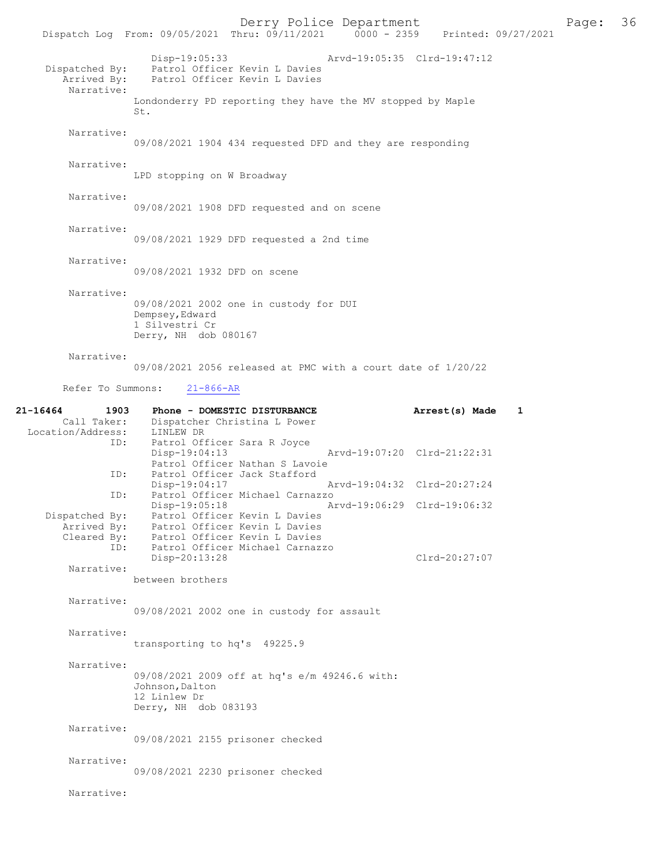Derry Police Department<br>
Page: 36 Printed: 09/27/2021 0000 - 2359 Printed: 09/27/2021 Dispatch Log From: 09/05/2021 Thru: 09/11/2021 Disp-19:05:33 Arvd-19:05:35 Clrd-19:47:12 Dispatched By: Patrol Officer Kevin L Davies<br>Arrived By: Patrol Officer Kevin L Davies Patrol Officer Kevin L Davies Narrative: Londonderry PD reporting they have the MV stopped by Maple St. Narrative: 09/08/2021 1904 434 requested DFD and they are responding Narrative: LPD stopping on W Broadway Narrative: 09/08/2021 1908 DFD requested and on scene Narrative: 09/08/2021 1929 DFD requested a 2nd time Narrative: 09/08/2021 1932 DFD on scene Narrative: 09/08/2021 2002 one in custody for DUI Dempsey,Edward 1 Silvestri Cr Derry, NH dob 080167 Narrative: 09/08/2021 2056 released at PMC with a court date of 1/20/22 Refer To Summons: 21-866-AR 21-16464 1903 Phone - DOMESTIC DISTURBANCE Arrest(s) Made 1<br>Call Taker: Dispatcher Christina L Power Dispatcher Christina L Power<br>LINLEW DR Location/Address:<br>TD: Patrol Officer Sara R Joyce<br>Disp-19:04:13 Disp-19:04:13 Arvd-19:07:20 Clrd-21:22:31 Patrol Officer Nathan S Lavoie<br>ID: Patrol Officer Jack Stafford Patrol Officer Jack Stafford<br>Disp-19:04:17 Arvd-19:04:32 Clrd-20:27:24 ID: Patrol Officer Michael Carnazzo Disp-19:05:18 Arvd-19:06:29 Clrd-19:06:32 Dispatched By: Patrol Officer Kevin L Davies Arrived By: Patrol Officer Kevin L Davies<br>Cleared By: Patrol Officer Kevin L Davies Cleared By: Patrol Officer Kevin L Davies ID: Patrol Officer Michael Carnazzo Disp-20:13:28 Clrd-20:27:07 Narrative: between brothers Narrative: 09/08/2021 2002 one in custody for assault Narrative: transporting to hq's 49225.9 Narrative: 09/08/2021 2009 off at hq's e/m 49246.6 with: Johnson, Dalton 12 Linlew Dr Derry, NH dob 083193 Narrative: 09/08/2021 2155 prisoner checked Narrative: 09/08/2021 2230 prisoner checked Narrative: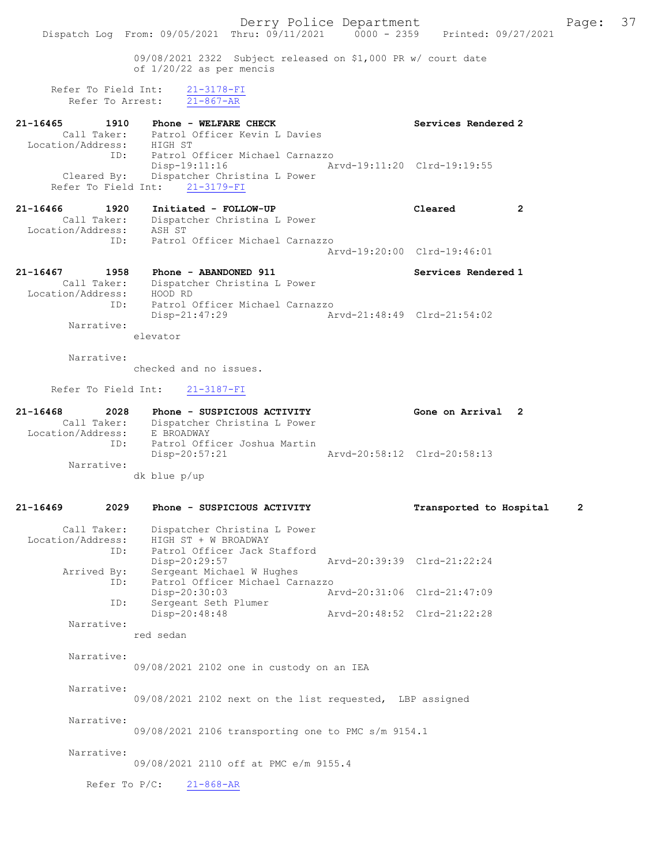Derry Police Department Fage: 37 Dispatch Log From: 09/05/2021 Thru: 09/11/2021 0000 - 2359 Printed: 09/27/2021 09/08/2021 2322 Subject released on \$1,000 PR w/ court date of 1/20/22 as per mencis Refer To Field Int:  $\frac{21-3178-FI}{21-867-AR}$ Refer To Arrest: 21-16465 1910 Phone - WELFARE CHECK Services Rendered 2 Call Taker: Patrol Officer Kevin L Davies Location/Address: HIGH ST ID: Patrol Officer Michael Carnazzo Disp-19:11:16 Arvd-19:11:20 Clrd-19:19:55 Cleared By: Dispatcher Christina L Power Refer To Field Int: 21-3179-FI 21-16466 1920 Initiated - FOLLOW-UP Cleared 2 Call Taker: Dispatcher Christina L Power Location/Address: ASH ST ID: Patrol Officer Michael Carnazzo Arvd-19:20:00 Clrd-19:46:01 21-16467 1958 Phone - ABANDONED 911 Services Rendered 1 Call Taker: Dispatcher Christina L Power Location/Address: HOOD RD ID: Patrol Officer Michael Carnazzo Disp-21:47:29 Arvd-21:48:49 Clrd-21:54:02 Narrative: elevator Narrative: checked and no issues. Refer To Field Int: 21-3187-FI 21-16468 2028 Phone - SUSPICIOUS ACTIVITY Gone on Arrival 2 Call Taker: Dispatcher Christina L Power Location/Address: E BROADWAY ID: Patrol Officer Joshua Martin Disp-20:57:21 Arvd-20:58:12 Clrd-20:58:13 Narrative: dk blue p/up 21-16469 2029 Phone - SUSPICIOUS ACTIVITY Transported to Hospital 2 Call Taker: Dispatcher Christina L Power Location/Address: HIGH ST + W BROADWAY ID: Patrol Officer Jack Stafford Disp-20:29:57 Arvd-20:39:39 Clrd-21:22:24 Arrived By: Sergeant Michael W Hughes ID: Patrol Officer Michael Carnazzo Disp-20:30:03 Arvd-20:31:06 Clrd-21:47:09 ID: Sergeant Seth Plumer Disp-20:48:48 Arvd-20:48:52 Clrd-21:22:28 Narrative: red sedan Narrative: 09/08/2021 2102 one in custody on an IEA Narrative: 09/08/2021 2102 next on the list requested, LBP assigned Narrative: 09/08/2021 2106 transporting one to PMC s/m 9154.1 Narrative: 09/08/2021 2110 off at PMC e/m 9155.4 Refer To P/C: 21-868-AR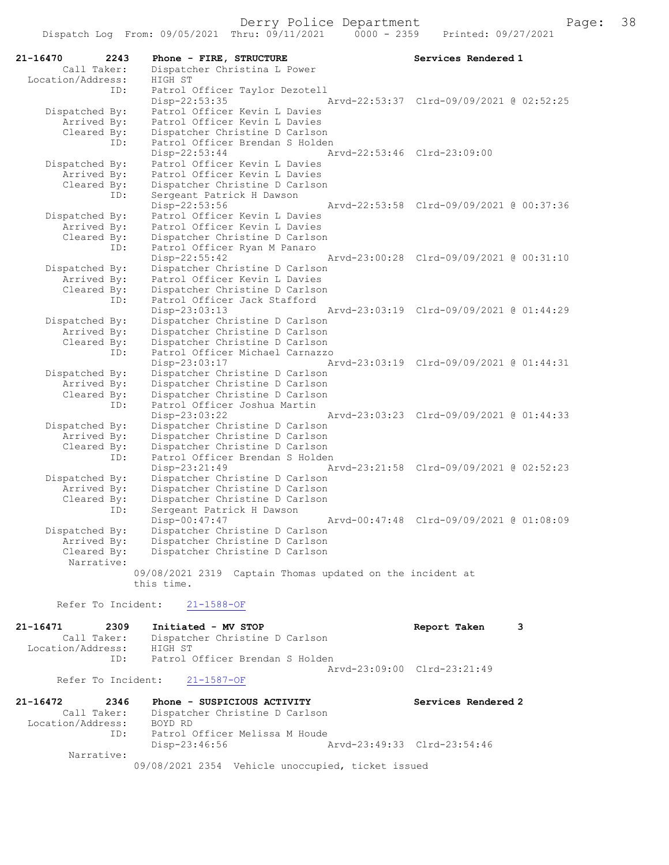| 21-16470<br>2243           | Phone - FIRE, STRUCTURE                                          | Services Rendered 1                      |
|----------------------------|------------------------------------------------------------------|------------------------------------------|
| Call Taker:                | Dispatcher Christina L Power                                     |                                          |
| Location/Address:          | HIGH ST                                                          |                                          |
| ID:                        | Patrol Officer Taylor Dezotell                                   |                                          |
|                            | Disp-22:53:35                                                    | Arvd-22:53:37 Clrd-09/09/2021 @ 02:52:25 |
| Dispatched By:             | Patrol Officer Kevin L Davies                                    |                                          |
| Arrived By:                | Patrol Officer Kevin L Davies                                    |                                          |
| Cleared By:                | Dispatcher Christine D Carlson                                   |                                          |
| ID:                        | Patrol Officer Brendan S Holden                                  |                                          |
|                            | $Disp-22:53:44$                                                  | Arvd-22:53:46 Clrd-23:09:00              |
| Dispatched By:             | Patrol Officer Kevin L Davies                                    |                                          |
| Arrived By:                | Patrol Officer Kevin L Davies                                    |                                          |
| Cleared By:                | Dispatcher Christine D Carlson                                   |                                          |
| ID:                        | Sergeant Patrick H Dawson                                        |                                          |
|                            | Disp-22:53:56                                                    | Arvd-22:53:58 Clrd-09/09/2021 @ 00:37:36 |
| Dispatched By:             | Patrol Officer Kevin L Davies                                    |                                          |
| Arrived By:                | Patrol Officer Kevin L Davies                                    |                                          |
| Cleared By:                | Dispatcher Christine D Carlson                                   |                                          |
| ID:                        | Patrol Officer Ryan M Panaro                                     |                                          |
|                            | Disp-22:55:42                                                    | Arvd-23:00:28 Clrd-09/09/2021 @ 00:31:10 |
| Dispatched By:             | Dispatcher Christine D Carlson                                   |                                          |
| Arrived By:                | Patrol Officer Kevin L Davies                                    |                                          |
| Cleared By:                | Dispatcher Christine D Carlson                                   |                                          |
| ID:                        | Patrol Officer Jack Stafford                                     |                                          |
|                            | Disp-23:03:13                                                    | Arvd-23:03:19 Clrd-09/09/2021 @ 01:44:29 |
| Dispatched By:             | Dispatcher Christine D Carlson                                   |                                          |
| Arrived By:                | Dispatcher Christine D Carlson                                   |                                          |
| Cleared By:                | Dispatcher Christine D Carlson                                   |                                          |
| ID:                        | Patrol Officer Michael Carnazzo                                  |                                          |
|                            | Disp-23:03:17                                                    | Arvd-23:03:19 Clrd-09/09/2021 @ 01:44:31 |
| Dispatched By:             | Dispatcher Christine D Carlson                                   |                                          |
| Arrived By:                | Dispatcher Christine D Carlson                                   |                                          |
| Cleared By:                | Dispatcher Christine D Carlson                                   |                                          |
| ID:                        | Patrol Officer Joshua Martin                                     |                                          |
|                            | Disp-23:03:22                                                    | Arvd-23:03:23 Clrd-09/09/2021 @ 01:44:33 |
| Dispatched By:             | Dispatcher Christine D Carlson                                   |                                          |
| Arrived By:                | Dispatcher Christine D Carlson                                   |                                          |
| Cleared By:                | Dispatcher Christine D Carlson                                   |                                          |
| ID:                        | Patrol Officer Brendan S Holden                                  |                                          |
|                            | Disp-23:21:49                                                    | Arvd-23:21:58 Clrd-09/09/2021 @ 02:52:23 |
| Dispatched By:             | Dispatcher Christine D Carlson                                   |                                          |
| Arrived By:                | Dispatcher Christine D Carlson                                   |                                          |
| Cleared By:                | Dispatcher Christine D Carlson                                   |                                          |
| ID:                        | Sergeant Patrick H Dawson<br>Disp-00:47:47                       | Arvd-00:47:48 Clrd-09/09/2021 @ 01:08:09 |
|                            | Dispatcher Christine D Carlson                                   |                                          |
| Dispatched By:             |                                                                  |                                          |
| Arrived By:<br>Cleared By: | Dispatcher Christine D Carlson<br>Dispatcher Christine D Carlson |                                          |
| Narrative:                 |                                                                  |                                          |
|                            | 09/08/2021 2319 Captain Thomas updated on the incident at        |                                          |
|                            | this time.                                                       |                                          |
|                            |                                                                  |                                          |
| Refer To Incident:         | $21 - 1588 - OF$                                                 |                                          |
| 21-16471<br>2309           | Initiated - MV STOP                                              | Report Taken<br>3                        |
| Call Taker:                | Dispatcher Christine D Carlson                                   |                                          |
|                            |                                                                  |                                          |

 Call Taker: Dispatcher Christine D Carlson Location/Address: HIGH ST ID: Patrol Officer Brendan S Holden Arvd-23:09:00 Clrd-23:21:49

Refer To Incident: 21-1587-OF

| 21-16472          | 2346        | Phone - SUSPICIOUS ACTIVITY                       | Services Rendered 2         |
|-------------------|-------------|---------------------------------------------------|-----------------------------|
|                   | Call Taker: | Dispatcher Christine D Carlson                    |                             |
| Location/Address: |             | BOYD RD                                           |                             |
|                   | ID:         | Patrol Officer Melissa M Houde                    |                             |
|                   |             | Disp-23:46:56                                     | Arvd-23:49:33 Clrd-23:54:46 |
|                   | Narrative:  |                                                   |                             |
|                   |             | 09/08/2021 2354 Vehicle unoccupied, ticket issued |                             |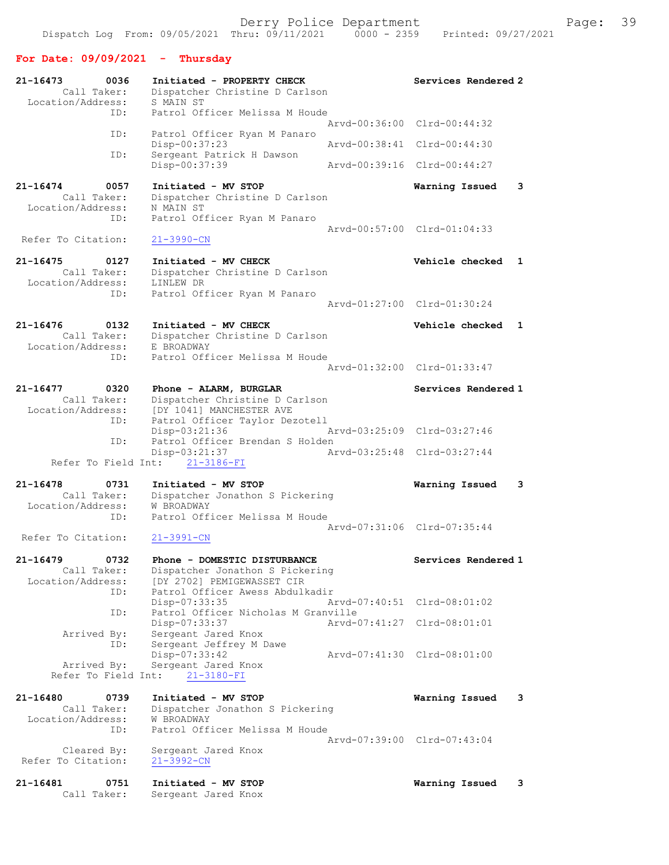## For Date: 09/09/2021 - Thursday

| 21-16473<br>0036<br>Call Taker:<br>Location/Address:     | Initiated - PROPERTY CHECK<br>Dispatcher Christine D Carlson<br>S MAIN ST                        | Services Rendered 2             |
|----------------------------------------------------------|--------------------------------------------------------------------------------------------------|---------------------------------|
| ID:                                                      | Patrol Officer Melissa M Houde                                                                   | Arvd-00:36:00 Clrd-00:44:32     |
| ID:                                                      | Patrol Officer Ryan M Panaro<br>Disp-00:37:23                                                    | Arvd-00:38:41 Clrd-00:44:30     |
| ID:                                                      | Sergeant Patrick H Dawson<br>Disp-00:37:39                                                       | Arvd-00:39:16 Clrd-00:44:27     |
| 21-16474<br>0057<br>Call Taker:                          | Initiated - MV STOP<br>Dispatcher Christine D Carlson                                            | 3<br>Warning Issued             |
| Location/Address:<br>ID:                                 | N MAIN ST<br>Patrol Officer Ryan M Panaro                                                        | Arvd-00:57:00 Clrd-01:04:33     |
| Refer To Citation:                                       | $21 - 3990 - CN$                                                                                 |                                 |
| $21 - 16475$<br>0127<br>Call Taker:<br>Location/Address: | Initiated - MV CHECK<br>Dispatcher Christine D Carlson<br>LINLEW DR                              | Vehicle checked<br>$\mathbf{1}$ |
| ID:                                                      | Patrol Officer Ryan M Panaro                                                                     | Arvd-01:27:00 Clrd-01:30:24     |
| $21 - 16476$<br>0132<br>Call Taker:<br>Location/Address: | Initiated - MV CHECK<br>Dispatcher Christine D Carlson<br>E BROADWAY                             | Vehicle checked<br>$\mathbf{1}$ |
| ID:                                                      | Patrol Officer Melissa M Houde                                                                   | Arvd-01:32:00 Clrd-01:33:47     |
| 21-16477<br>0320                                         | Phone - ALARM, BURGLAR                                                                           | Services Rendered 1             |
| Call Taker:<br>Location/Address:<br>ID:                  | Dispatcher Christine D Carlson<br>[DY 1041] MANCHESTER AVE<br>Patrol Officer Taylor Dezotell     |                                 |
| ID:                                                      | Disp-03:21:36<br>Patrol Officer Brendan S Holden                                                 | Arvd-03:25:09 Clrd-03:27:46     |
| Refer To Field Int:                                      | Disp-03:21:37<br>$21 - 3186 - FI$                                                                | Arvd-03:25:48 Clrd-03:27:44     |
| $21 - 16478$<br>0731                                     | Initiated - MV STOP                                                                              | 3<br>Warning Issued             |
| Call Taker:<br>Location/Address:<br>ID:                  | Dispatcher Jonathon S Pickering<br>W BROADWAY<br>Patrol Officer Melissa M Houde                  |                                 |
| Refer To Citation:                                       | $21 - 3991 - CN$                                                                                 | Arvd-07:31:06 Clrd-07:35:44     |
| 21-16479<br>0732                                         | Phone - DOMESTIC DISTURBANCE                                                                     | Services Rendered 1             |
| Call Taker:<br>Location/Address:<br>ID:                  | Dispatcher Jonathon S Pickering<br>[DY 2702] PEMIGEWASSET CIR<br>Patrol Officer Awess Abdulkadir |                                 |
| ID:                                                      | Disp-07:33:35<br>Patrol Officer Nicholas M Granville                                             | Arvd-07:40:51 Clrd-08:01:02     |
| Arrived By:<br>ID:                                       | Disp-07:33:37<br>Sergeant Jared Knox<br>Sergeant Jeffrey M Dawe                                  | Arvd-07:41:27 Clrd-08:01:01     |
| Arrived By:<br>Refer To Field Int:                       | Disp-07:33:42<br>Sergeant Jared Knox<br>$21 - 3180 - FI$                                         | Arvd-07:41:30 Clrd-08:01:00     |
| 21-16480<br>0739                                         | Initiated - MV STOP                                                                              | 3<br>Warning Issued             |
| Call Taker:<br>Location/Address:<br>ID:                  | Dispatcher Jonathon S Pickering<br>W BROADWAY<br>Patrol Officer Melissa M Houde                  |                                 |
| Cleared By:                                              | Sergeant Jared Knox                                                                              | Arvd-07:39:00 Clrd-07:43:04     |
| Refer To Citation:                                       | 21-3992-CN                                                                                       |                                 |
| 21-16481<br>0751<br>Call Taker:                          | Initiated - MV STOP<br>Sergeant Jared Knox                                                       | Warning Issued<br>3             |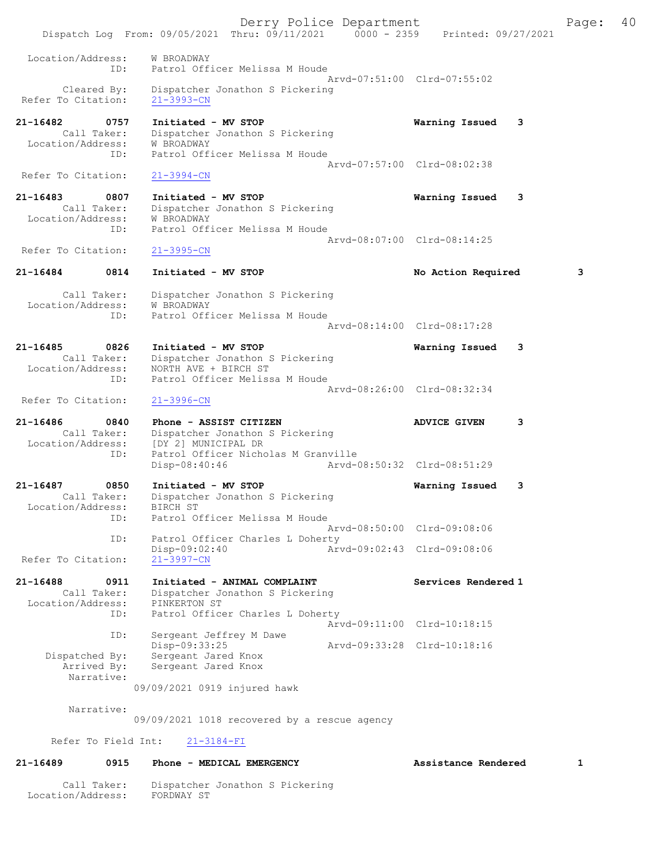Derry Police Department The Page: 40 Dispatch Log From: 09/05/2021 Thru: 09/11/2021 0000 - 2359 Printed: 09/27/2021 Location/Address: W BROADWAY ID: Patrol Officer Melissa M Houde Arvd-07:51:00 Clrd-07:55:02 Cleared By: Dispatcher Jonathon S Pickering Refer To Citation: 21-3993-CN 21-16482 0757 Initiated - MV STOP Warning Issued 3 Call Taker: Dispatcher Jonathon S Pickering Location/Address: W BROADWAY ID: Patrol Officer Melissa M Houde Arvd-07:57:00 Clrd-08:02:38 Refer To Citation: 21-3994-CN 21-16483 0807 Initiated - MV STOP Warning Issued 3 Call Taker: Dispatcher Jonathon S Pickering<br>cion/Address: W BROADWAY Location/Address: ID: Patrol Officer Melissa M Houde Arvd-08:07:00 Clrd-08:14:25<br>21-3995-CN Refer To Citation: 21-16484 0814 Initiated - MV STOP No Action Required 3 Call Taker: Dispatcher Jonathon S Pickering Location/Address: W BROADWAY ID: Patrol Officer Melissa M Houde Arvd-08:14:00 Clrd-08:17:28 21-16485 0826 Initiated - MV STOP Warning Issued 3 Call Taker: Dispatcher Jonathon S Pickering Location/Address: NORTH AVE + BIRCH ST ID: Patrol Officer Melissa M Houde Arvd-08:26:00 Clrd-08:32:34<br>21-3996-CN Refer To Citation: 21-16486 0840 Phone - ASSIST CITIZEN ADVICE GIVEN 3 Call Taker: Dispatcher Jonathon S Pickering<br>Location/Address: [DY 2] MUNICIPAL DR Location/Address: [DY 2] MUNICIPAL DR ID: Patrol Officer Nicholas M Granville Disp-08:40:46 Arvd-08:50:32 Clrd-08:51:29 21-16487 0850 Initiated - MV STOP Warning Issued 3 Call Taker: Dispatcher Jonathon S Pickering Location/Address: BIRCH ST ID: Patrol Officer Melissa M Houde Arvd-08:50:00 Clrd-09:08:06 ID: Patrol Officer Charles L Doherty<br>Disp-09:02:40 Arv Disp-09:02:40 Arvd-09:02:43 Clrd-09:08:06 Refer To Citation: 21-16488 0911 Initiated - ANIMAL COMPLAINT Services Rendered 1 Call Taker: Dispatcher Jonathon S Pickering Location/Address: PINKERTON ST ID: Patrol Officer Charles L Doherty Arvd-09:11:00 Clrd-10:18:15<br>ID: Sergeant Jeffrey M Dawe Sergeant Jeffrey M Dawe Disp-09:33:25 Arvd-09:33:28 Clrd-10:18:16<br>Dispatched By: Sergeant Jared Knox Sergeant Jared Knox Arrived By: Sergeant Jared Knox Narrative: 09/09/2021 0919 injured hawk Narrative: 09/09/2021 1018 recovered by a rescue agency Refer To Field Int: 21-3184-FI 21-16489 0915 Phone - MEDICAL EMERGENCY Assistance Rendered 1

 Call Taker: Dispatcher Jonathon S Pickering Location/Address: FORDWAY ST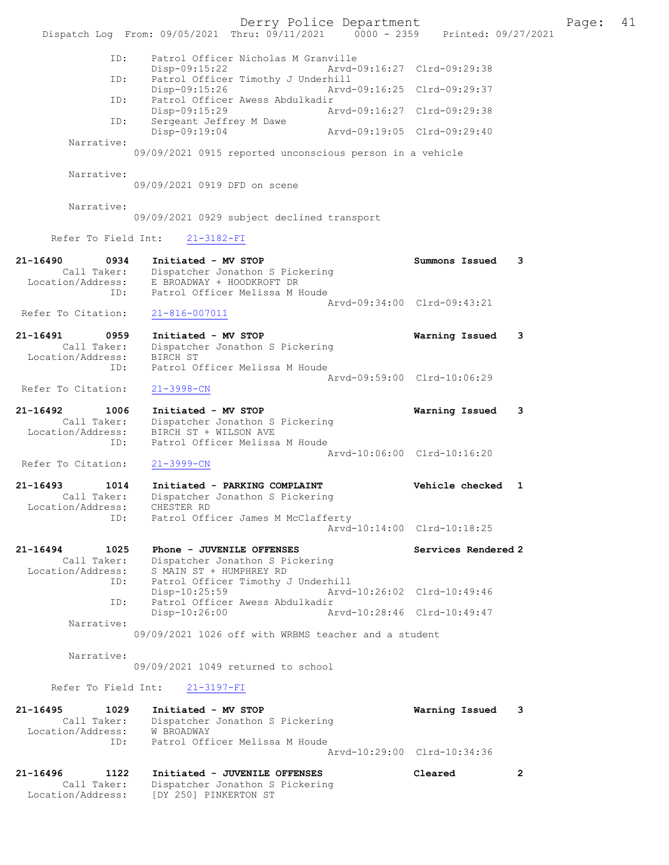Derry Police Department Fage: 41 Dispatch Log From: 09/05/2021 Thru: 09/11/2021 0000 - 2359 Printed: 09/27/2021 ID: Patrol Officer Nicholas M Granville Disp-09:15:22 Arvd-09:16:27 Clrd-09:29:38<br>TD: Patrol Officer Timothy J Underbill Patrol Officer Timothy J Underhill Disp-09:15:26 Arvd-09:16:25 Clrd-09:29:37 ID: Patrol Officer Awess Abdulkadir Disp-09:15:29 Arvd-09:16:27 Clrd-09:29:38 ID: Sergeant Jeffrey M Dawe<br>Disp-09:19:04 Disp-09:19:04 Arvd-09:19:05 Clrd-09:29:40 Narrative: 09/09/2021 0915 reported unconscious person in a vehicle Narrative: 09/09/2021 0919 DFD on scene Narrative: 09/09/2021 0929 subject declined transport Refer To Field Int: 21-3182-FI 21-16490 0934 Initiated - MV STOP Summons Issued 3 Call Taker: Dispatcher Jonathon S Pickering Location/Address: E BROADWAY + HOODKROFT DR ID: Patrol Officer Melissa M Houde Arvd-09:34:00 Clrd-09:43:21 Refer To Citation: 21-816-007011 21-16491 0959 Initiated - MV STOP Warning Issued 3 Call Taker: Dispatcher Jonathon S Pickering Location/Address: BIRCH ST ID: Patrol Officer Melissa M Houde Arvd-09:59:00 Clrd-10:06:29 Refer To Citation: 21-3998-CN 21-16492 1006 Initiated - MV STOP Warning Issued 3 Call Taker: Dispatcher Jonathon S Pickering Location/Address: BIRCH ST + WILSON AVE ID: Patrol Officer Melissa M Houde Arvd-10:06:00 Clrd-10:16:20 Refer To Citation: 21-3999-CN 21-16493 1014 Initiated - PARKING COMPLAINT Vehicle checked 1 Call Taker: Dispatcher Jonathon S Pickering Location/Address: CHESTER RD ID: Patrol Officer James M McClafferty Arvd-10:14:00 Clrd-10:18:25 21-16494 1025 Phone - JUVENILE OFFENSES Services Rendered 2 Call Taker: Dispatcher Jonathon S Pickering Location/Address: S MAIN ST + HUMPHREY RD ID: Patrol Officer Timothy J Underhill Disp-10:25:59 Arvd-10:26:02 Clrd-10:49:46 ID: Patrol Officer Awess Abdulkadir Disp-10:26:00 Arvd-10:28:46 Clrd-10:49:47 Narrative: 09/09/2021 1026 off with WRBMS teacher and a student Narrative: 09/09/2021 1049 returned to school Refer To Field Int: 21-3197-FI 21-16495 1029 Initiated - MV STOP Warning Issued 3 Call Taker: Dispatcher Jonathon S Pickering Location/Address: W BROADWAY ID: Patrol Officer Melissa M Houde Arvd-10:29:00 Clrd-10:34:36 21-16496 1122 Initiated - JUVENILE OFFENSES Cleared 2 Call Taker: Dispatcher Jonathon S Pickering Location/Address: [DY 250] PINKERTON ST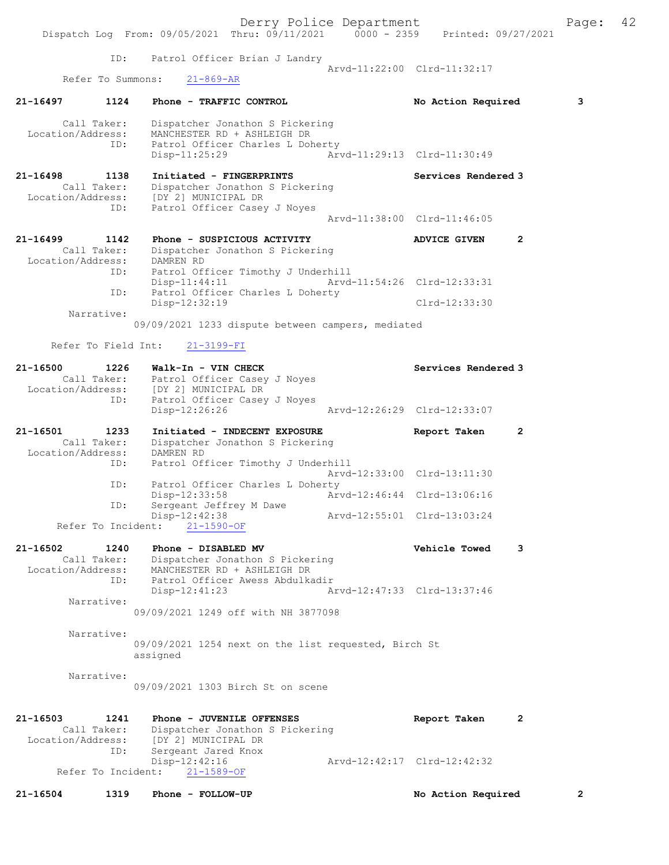|                                                             | Dispatch Log From: 09/05/2021 Thru: 09/11/2021 0000 - 2359 Printed: 09/27/2021                                                                                          | Derry Police Department     |                                       | Page: 42     |  |
|-------------------------------------------------------------|-------------------------------------------------------------------------------------------------------------------------------------------------------------------------|-----------------------------|---------------------------------------|--------------|--|
| ID:                                                         | Patrol Officer Brian J Landry                                                                                                                                           |                             |                                       |              |  |
| Refer To Summons:                                           | $21 - 869 - AR$                                                                                                                                                         |                             | Arvd-11:22:00 Clrd-11:32:17           |              |  |
| 21-16497<br>1124                                            | Phone - TRAFFIC CONTROL                                                                                                                                                 |                             | No Action Required                    | 3            |  |
| Call Taker:<br>Location/Address:<br>ID:                     | Dispatcher Jonathon S Pickering<br>MANCHESTER RD + ASHLEIGH DR<br>Patrol Officer Charles L Doherty                                                                      |                             |                                       |              |  |
|                                                             | Disp-11:25:29                                                                                                                                                           | Arvd-11:29:13 Clrd-11:30:49 |                                       |              |  |
| 21-16498<br>1138<br>ID:                                     | Initiated - FINGERPRINTS<br>Call Taker: Dispatcher Jonathon<br>Location/Address: [DY 2] MUNICIPAL DR<br>Dispatcher Jonathon S Pickering<br>Patrol Officer Casey J Noyes |                             | Services Rendered 3                   |              |  |
|                                                             |                                                                                                                                                                         |                             | Arvd-11:38:00 Clrd-11:46:05           |              |  |
| 21-16499 1142<br>Location/Address: DAMREN RD                | Phone - SUSPICIOUS ACTIVITY<br>Call Taker: Dispatcher Jonathon S Pickering                                                                                              |                             | $\overline{2}$<br><b>ADVICE GIVEN</b> |              |  |
| ID:                                                         | Patrol Officer Timothy J Underhill<br>$Disp-11:44:11$                                                                                                                   | Arvd-11:54:26 Clrd-12:33:31 |                                       |              |  |
| ID:                                                         | Patrol Officer Charles L Doherty<br>Disp-12:32:19                                                                                                                       |                             | Clrd-12:33:30                         |              |  |
| Narrative:                                                  | 09/09/2021 1233 dispute between campers, mediated                                                                                                                       |                             |                                       |              |  |
| Refer To Field Int:                                         | $21 - 3199 - FI$                                                                                                                                                        |                             |                                       |              |  |
| 21-16500<br>1226                                            | Walk-In - VIN CHECK                                                                                                                                                     |                             | Services Rendered 3                   |              |  |
| Location/Address:                                           | Call Taker: Patrol Officer Casey J Noyes<br>[DY 2] MUNICIPAL DR                                                                                                         |                             |                                       |              |  |
| ID:                                                         | Patrol Officer Casey J Noyes<br>Disp-12:26:26                                                                                                                           | Arvd-12:26:29 Clrd-12:33:07 |                                       |              |  |
| 21-16501<br>1233<br>Call Taker:<br>Location/Address:        | Initiated - INDECENT EXPOSURE<br>Dispatcher Jonathon S Pickering<br>DAMREN RD                                                                                           |                             | 2<br>Report Taken                     |              |  |
| ID:                                                         | Patrol Officer Timothy J Underhill                                                                                                                                      |                             | Arvd-12:33:00 Clrd-13:11:30           |              |  |
| ID:                                                         | Patrol Officer Charles L Doherty<br>Disp-12:33:58                                                                                                                       |                             | Arvd-12:46:44 Clrd-13:06:16           |              |  |
| ID:<br>Refer To Incident:                                   | Sergeant Jeffrey M Dawe<br>Disp-12:42:38<br>$21 - 1590 - OF$                                                                                                            |                             | Arvd-12:55:01 Clrd-13:03:24           |              |  |
|                                                             |                                                                                                                                                                         |                             |                                       |              |  |
| 21-16502<br>1240<br>Call Taker:<br>Location/Address:<br>ID: | Phone - DISABLED MV<br>Dispatcher Jonathon S Pickering<br>MANCHESTER RD + ASHLEIGH DR<br>Patrol Officer Awess Abdulkadir                                                |                             | <b>Vehicle Towed</b>                  | 3            |  |
| Narrative:                                                  | Disp-12:41:23                                                                                                                                                           |                             | Arvd-12:47:33 Clrd-13:37:46           |              |  |
|                                                             | 09/09/2021 1249 off with NH 3877098                                                                                                                                     |                             |                                       |              |  |
| Narrative:                                                  | 09/09/2021 1254 next on the list requested, Birch St<br>assigned                                                                                                        |                             |                                       |              |  |
| Narrative:                                                  | 09/09/2021 1303 Birch St on scene                                                                                                                                       |                             |                                       |              |  |
| 21-16503<br>1241<br>Call Taker:<br>ID:                      | Phone - JUVENILE OFFENSES<br>Dispatcher Jonathon S Pickering<br>Location/Address: [DY 2] MUNICIPAL DR<br>Sergeant Jared Knox                                            |                             | Report Taken                          | 2            |  |
| Refer To Incident:                                          | Disp-12:42:16<br>$21 - 1589 - OF$                                                                                                                                       |                             | Arvd-12:42:17 Clrd-12:42:32           |              |  |
| $21 - 16504$<br>1319                                        | Phone - FOLLOW-UP                                                                                                                                                       |                             | No Action Required                    | $\mathbf{2}$ |  |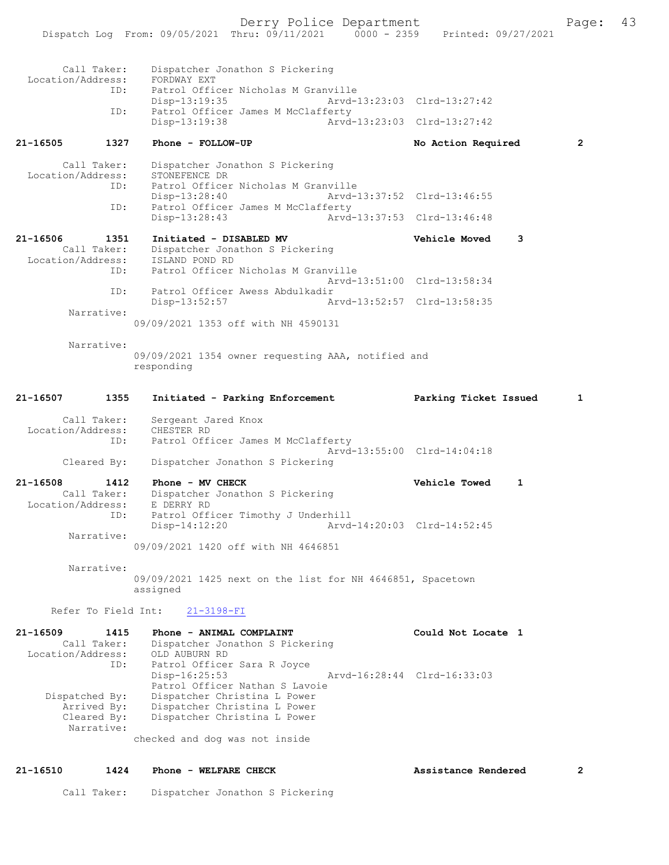Call Taker: Dispatcher Jonathon S Pickering<br>.on/Address: FORDWAY EXT Location/Address:<br>TD: Patrol Officer Nicholas M Granville<br>Disp-13:19:35 Arvd-1 Disp-13:19:35 Arvd-13:23:03 Clrd-13:27:42 ID: Patrol Officer James M McClafferty<br>Disp-13:19:38 Arvd- Disp-13:19:38 Arvd-13:23:03 Clrd-13:27:42 21-16505 1327 Phone - FOLLOW-UP No Action Required 2 Call Taker: Dispatcher Jonathon S Pickering<br>ion/Address: STONEFENCE DR Location/Address:<br>ID: ID: Patrol Officer Nicholas M Granville Arvd-13:37:52 Clrd-13:46:55 ID: Patrol Officer James M McClafferty<br>Disp-13:28:43 Arvd Disp-13:28:43 Arvd-13:37:53 Clrd-13:46:48 21-16506 1351 Initiated - DISABLED MV Vehicle Moved 3 Call Taker: Dispatcher Jonathon S Pickering<br>ion/Address: ISLAND POND RD Location/Address:<br>ID: Patrol Officer Nicholas M Granville Arvd-13:51:00 Clrd-13:58:34 ID: Patrol Officer Awess Abdulkadir Disp-13:52:57 Arvd-13:52:57 Clrd-13:58:35 Narrative: 09/09/2021 1353 off with NH 4590131 Narrative: 09/09/2021 1354 owner requesting AAA, notified and responding 21-16507 1355 Initiated - Parking Enforcement Parking Ticket Issued 1 Call Taker: Sergeant Jared Knox Location/Address: CHESTER RD ID: Patrol Officer James M McClafferty Arvd-13:55:00 Clrd-14:04:18 Cleared By: Dispatcher Jonathon S Pickering 21-16508 1412 Phone - MV CHECK Vehicle Towed 1<br>Call Taker: Dispatcher Jonathon S Pickering Dispatcher Jonathon S Pickering<br>E DERRY RD Location/Address:<br>TD: Patrol Officer Timothy J Underhill<br>Disp-14:12:20 Arvd Disp-14:12:20 Arvd-14:20:03 Clrd-14:52:45 Narrative: 09/09/2021 1420 off with NH 4646851 Narrative: 09/09/2021 1425 next on the list for NH 4646851, Spacetown assigned Refer To Field Int: 21-3198-FI 21-16509 1415 Phone - ANIMAL COMPLAINT Could Not Locate 1 Call Taker: Dispatcher Jonathon S Pickering Location/Address: OLD AUBURN RD ID: Patrol Officer Sara R Joyce Disp-16:25:53 Arvd-16:28:44 Clrd-16:33:03 Patrol Officer Nathan S Lavoie Dispatched By: Dispatcher Christina L Power Arrived By: Dispatcher Christina L Power Cleared By: Dispatcher Christina L Power Narrative: checked and dog was not inside 21-16510 1424 Phone - WELFARE CHECK 2 Assistance Rendered 2

Call Taker: Dispatcher Jonathon S Pickering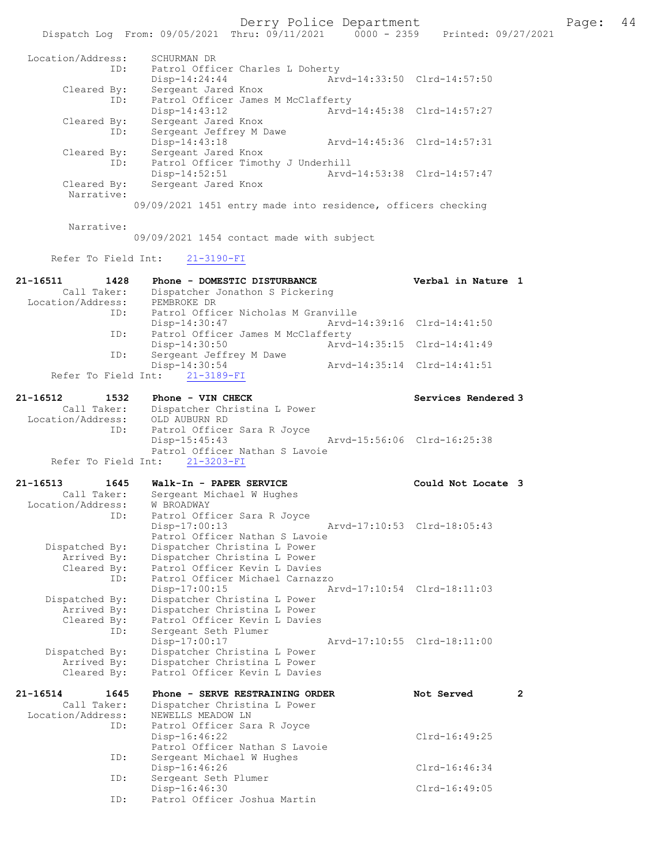|                                  |      | Dispatch Log From: 09/05/2021 Thru: 09/11/2021 0000 - 2359 Printed: 09/27/2021 | Derry Police Department     |                             | Page: 44 |  |
|----------------------------------|------|--------------------------------------------------------------------------------|-----------------------------|-----------------------------|----------|--|
| Location/Address:                | ID:  | SCHURMAN DR<br>Patrol Officer Charles L Doherty                                |                             |                             |          |  |
|                                  |      | $Disp-14:24:44$                                                                |                             | Arvd-14:33:50 Clrd-14:57:50 |          |  |
| Cleared By:                      | ID:  | Sergeant Jared Knox<br>Patrol Officer James M McClafferty                      |                             |                             |          |  |
|                                  |      | $Disp-14:43:12$                                                                | Arvd-14:45:38 Clrd-14:57:27 |                             |          |  |
| Cleared By:                      |      | Sergeant Jared Knox                                                            |                             |                             |          |  |
|                                  | ID:  | Sergeant Jeffrey M Dawe                                                        |                             |                             |          |  |
| Cleared By:                      |      | Disp-14:43:18<br>Sergeant Jared Knox                                           | Arvd-14:45:36 Clrd-14:57:31 |                             |          |  |
|                                  | ID:  | Patrol Officer Timothy J Underhill                                             |                             |                             |          |  |
|                                  |      | $Disp-14:52:51$                                                                | Arvd-14:53:38 Clrd-14:57:47 |                             |          |  |
| Cleared By:<br>Narrative:        |      | Sergeant Jared Knox                                                            |                             |                             |          |  |
|                                  |      | 09/09/2021 1451 entry made into residence, officers checking                   |                             |                             |          |  |
| Narrative:                       |      | 09/09/2021 1454 contact made with subject                                      |                             |                             |          |  |
| Refer To Field Int:              |      | $21 - 3190 - FI$                                                               |                             |                             |          |  |
|                                  |      |                                                                                |                             |                             |          |  |
| 21-16511                         | 1428 | Phone - DOMESTIC DISTURBANCE                                                   |                             | Verbal in Nature 1          |          |  |
| Call Taker:<br>Location/Address: |      | Dispatcher Jonathon S Pickering<br>PEMBROKE DR                                 |                             |                             |          |  |
|                                  | ID:  | Patrol Officer Nicholas M Granville                                            |                             |                             |          |  |
|                                  |      | Disp-14:30:47                                                                  | Arvd-14:39:16 Clrd-14:41:50 |                             |          |  |
|                                  | ID:  | Patrol Officer James M McClafferty<br>$Disp-14:30:50$                          | Arvd-14:35:15 Clrd-14:41:49 |                             |          |  |
|                                  | ID:  | Sergeant Jeffrey M Dawe                                                        |                             |                             |          |  |
|                                  |      | Disp-14:30:54                                                                  | Arvd-14:35:14 Clrd-14:41:51 |                             |          |  |
|                                  |      | Refer To Field Int: 21-3189-FI                                                 |                             |                             |          |  |
| 21-16512                         | 1532 | Phone - VIN CHECK                                                              |                             | Services Rendered 3         |          |  |
| Call Taker:                      |      | Dispatcher Christina L Power                                                   |                             |                             |          |  |
| Location/Address:                |      | OLD AUBURN RD                                                                  |                             |                             |          |  |
|                                  | ID:  | Patrol Officer Sara R Joyce<br>$Disp-15:45:43$                                 | Arvd-15:56:06 Clrd-16:25:38 |                             |          |  |
|                                  |      | Patrol Officer Nathan S Lavoie                                                 |                             |                             |          |  |
| Refer To Field Int:              |      | $21 - 3203 - FI$                                                               |                             |                             |          |  |
| 21-16513                         | 1645 | Walk-In - PAPER SERVICE                                                        |                             | Could Not Locate 3          |          |  |
|                                  |      | Call Taker: Sergeant Michael W Hughes                                          |                             |                             |          |  |
| Location/Address:                | ID:  | W BROADWAY                                                                     |                             |                             |          |  |
|                                  |      | Patrol Officer Sara R Joyce<br>Disp-17:00:13                                   |                             | Arvd-17:10:53 Clrd-18:05:43 |          |  |
|                                  |      | Patrol Officer Nathan S Lavoie                                                 |                             |                             |          |  |
| Dispatched By:                   |      | Dispatcher Christina L Power                                                   |                             |                             |          |  |
| Arrived By:<br>Cleared By:       |      | Dispatcher Christina L Power<br>Patrol Officer Kevin L Davies                  |                             |                             |          |  |
|                                  | ID:  | Patrol Officer Michael Carnazzo                                                |                             |                             |          |  |
|                                  |      | $Disp-17:00:15$                                                                |                             | Arvd-17:10:54 Clrd-18:11:03 |          |  |
| Dispatched By:<br>Arrived By:    |      | Dispatcher Christina L Power<br>Dispatcher Christina L Power                   |                             |                             |          |  |
| Cleared By:                      |      | Patrol Officer Kevin L Davies                                                  |                             |                             |          |  |
|                                  | ID:  | Sergeant Seth Plumer                                                           |                             |                             |          |  |
| Dispatched By:                   |      | $Disp-17:00:17$<br>Dispatcher Christina L Power                                |                             | Arvd-17:10:55 Clrd-18:11:00 |          |  |
| Arrived By:                      |      | Dispatcher Christina L Power                                                   |                             |                             |          |  |
| Cleared By:                      |      | Patrol Officer Kevin L Davies                                                  |                             |                             |          |  |
| 21-16514                         | 1645 | Phone - SERVE RESTRAINING ORDER                                                |                             | Not Served                  | 2        |  |
| Call Taker:                      |      | Dispatcher Christina L Power                                                   |                             |                             |          |  |
| Location/Address:                |      | NEWELLS MEADOW LN                                                              |                             |                             |          |  |
|                                  | ID:  | Patrol Officer Sara R Joyce<br>$Disp-16:46:22$                                 |                             | Clrd-16:49:25               |          |  |
|                                  |      | Patrol Officer Nathan S Lavoie                                                 |                             |                             |          |  |
|                                  | ID:  | Sergeant Michael W Hughes                                                      |                             |                             |          |  |
|                                  | ID:  | Disp-16:46:26<br>Sergeant Seth Plumer                                          |                             | $Clrd-16:46:34$             |          |  |
|                                  |      | $Disp-16:46:30$                                                                |                             | Clrd-16:49:05               |          |  |
|                                  | ID:  | Patrol Officer Joshua Martin                                                   |                             |                             |          |  |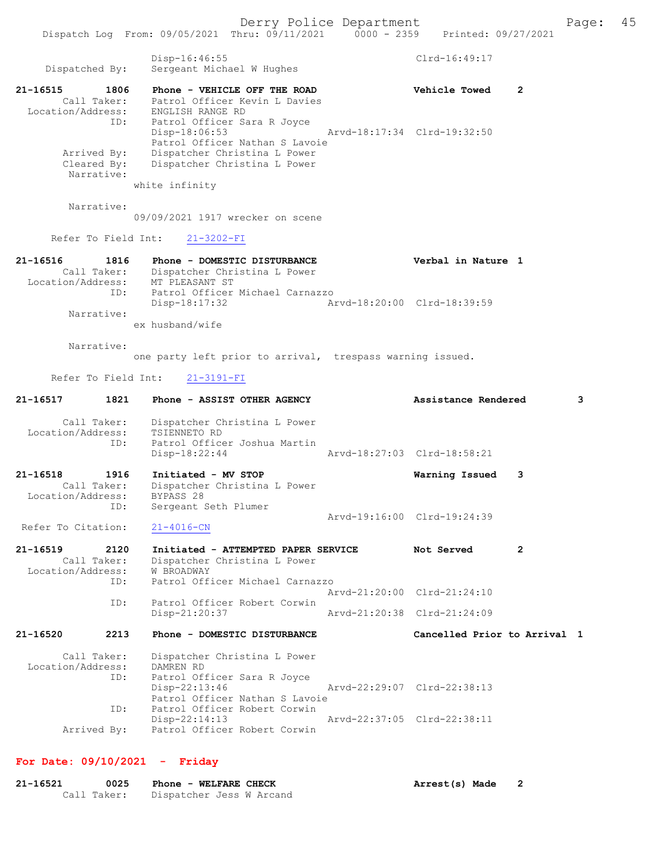Dispatch Log From: 09/05/2021 Thru: 09/11/2021 0000 - 2359 Printed: 09/27/2021 Disp-16:46:55 Clrd-16:49:17 Dispatched By: Sergeant Michael W Hughes 21-16515 1806 Phone - VEHICLE OFF THE ROAD Vehicle Towed 2 Call Taker: Patrol Officer Kevin L Davies Location/Address: ENGLISH RANGE RD ID: Patrol Officer Sara R Joyce Disp-18:06:53 Arvd-18:17:34 Clrd-19:32:50 Patrol Officer Nathan S Lavoie Arrived By: Dispatcher Christina L Power Cleared By: Dispatcher Christina L Power Narrative: white infinity Narrative: 09/09/2021 1917 wrecker on scene Refer To Field Int: 21-3202-FI 21-16516 1816 Phone - DOMESTIC DISTURBANCE Verbal in Nature 1 Call Taker: Dispatcher Christina L Power Location/Address: MT PLEASANT ST ID: Patrol Officer Michael Carnazzo Disp-18:17:32 Arvd-18:20:00 Clrd-18:39:59 Narrative: ex husband/wife Narrative: one party left prior to arrival, trespass warning issued. Refer To Field Int: 21-3191-FI 21-16517 1821 Phone - ASSIST OTHER AGENCY Assistance Rendered 3 Call Taker: Dispatcher Christina L Power Location/Address: TSIENNETO RD ID: Patrol Officer Joshua Martin Disp-18:22:44 Arvd-18:27:03 Clrd-18:58:21 21-16518 1916 Initiated - MV STOP Warning Issued 3 Call Taker: Dispatcher Christina L Power Location/Address: BYPASS 28 ID: Sergeant Seth Plumer BIPASS 20<br>Sergeant Seth Plumer<br>21-4016-CN<br>21-4016-CN Refer To Citation: 21-16519 2120 Initiated - ATTEMPTED PAPER SERVICE Not Served 2 Call Taker: Dispatcher Christina L Power Location/Address: W BROADWAY ID: Patrol Officer Michael Carnazzo Arvd-21:20:00 Clrd-21:24:10 ID: Patrol Officer Robert Corwin Disp-21:20:37 Arvd-21:20:38 Clrd-21:24:09 21-16520 2213 Phone - DOMESTIC DISTURBANCE Cancelled Prior to Arrival 1 Call Taker: Dispatcher Christina L Power Location/Address: DAMREN RD ID: Patrol Officer Sara R Joyce Disp-22:13:46 Arvd-22:29:07 Clrd-22:38:13 Patrol Officer Nathan S Lavoie<br>ID: Patrol Officer Robert Corwin Patrol Officer Robert Corwin<br>Disp-22:14:13 Disp-22:14:13 Arvd-22:37:05 Clrd-22:38:11 Arrived By: Patrol Officer Robert Corwin For Date: 09/10/2021 - Friday

21-16521 0025 Phone - WELFARE CHECK Arrest(s) Made 2 Call Taker: Dispatcher Jess W Arcand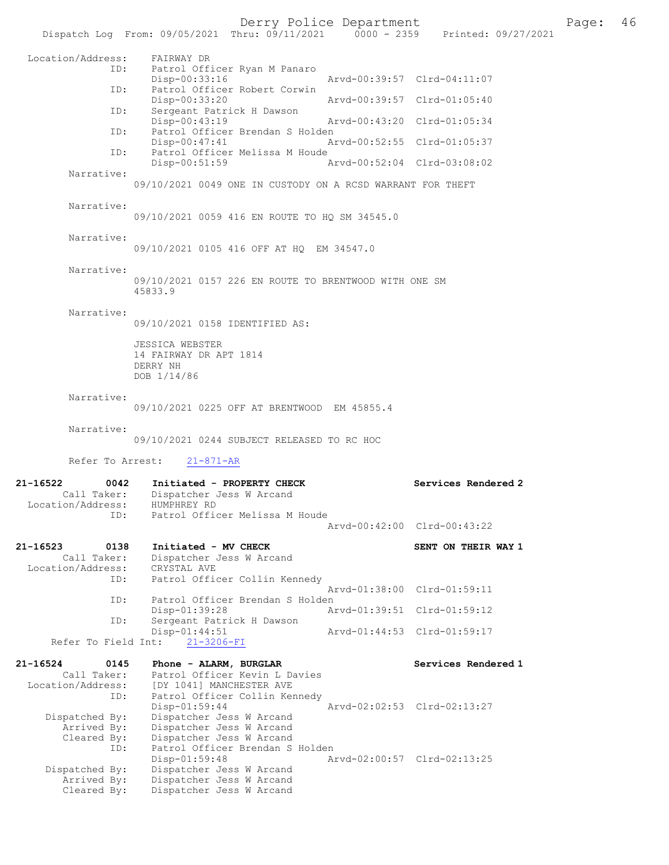# Derry Police Department Page: 46

|                                  | Dispatch Log From: 09/05/2021 Thru: 09/11/2021 0000 - 2359 Printed: 09/27/2021 |                             |                             |
|----------------------------------|--------------------------------------------------------------------------------|-----------------------------|-----------------------------|
| Location/Address:                | FAIRWAY DR                                                                     |                             |                             |
| ID:                              | Patrol Officer Ryan M Panaro                                                   |                             |                             |
| ID:                              | Disp-00:33:16<br>Patrol Officer Robert Corwin                                  | Arvd-00:39:57 Clrd-04:11:07 |                             |
|                                  | $Disp-00:33:20$                                                                | Arvd-00:39:57 Clrd-01:05:40 |                             |
| ID:                              | Sergeant Patrick H Dawson<br>Disp-00:43:19                                     | Arvd-00:43:20 Clrd-01:05:34 |                             |
| ID:                              | Patrol Officer Brendan S Holden<br>Disp-00:47:41                               | Arvd-00:52:55 Clrd-01:05:37 |                             |
| ID:                              | Patrol Officer Melissa M Houde                                                 |                             |                             |
| Narrative:                       | $Disp-00:51:59$                                                                | Arvd-00:52:04 Clrd-03:08:02 |                             |
|                                  | 09/10/2021 0049 ONE IN CUSTODY ON A RCSD WARRANT FOR THEFT                     |                             |                             |
| Narrative:                       |                                                                                |                             |                             |
|                                  | 09/10/2021 0059 416 EN ROUTE TO HQ SM 34545.0                                  |                             |                             |
| Narrative:                       |                                                                                |                             |                             |
|                                  | 09/10/2021 0105 416 OFF AT HQ EM 34547.0                                       |                             |                             |
| Narrative:                       |                                                                                |                             |                             |
|                                  | 09/10/2021 0157 226 EN ROUTE TO BRENTWOOD WITH ONE SM<br>45833.9               |                             |                             |
| Narrative:                       |                                                                                |                             |                             |
|                                  | 09/10/2021 0158 IDENTIFIED AS:                                                 |                             |                             |
|                                  | <b>JESSICA WEBSTER</b>                                                         |                             |                             |
|                                  | 14 FAIRWAY DR APT 1814<br>DERRY NH                                             |                             |                             |
|                                  | DOB 1/14/86                                                                    |                             |                             |
| Narrative:                       |                                                                                |                             |                             |
|                                  | 09/10/2021 0225 OFF AT BRENTWOOD EM 45855.4                                    |                             |                             |
| Narrative:                       |                                                                                |                             |                             |
|                                  | 09/10/2021 0244 SUBJECT RELEASED TO RC HOC                                     |                             |                             |
| Refer To Arrest:                 | $21 - 871 - AR$                                                                |                             |                             |
| 21-16522<br>0042                 | Initiated - PROPERTY CHECK                                                     |                             | Services Rendered 2         |
| Call Taker:<br>Location/Address: | Dispatcher Jess W Arcand<br>HUMPHREY RD                                        |                             |                             |
| ID:                              | Patrol Officer Melissa M Houde                                                 |                             | Arvd-00:42:00 Clrd-00:43:22 |
|                                  |                                                                                |                             |                             |
| 21-16523<br>0138<br>Call Taker:  | Initiated - MV CHECK<br>Dispatcher Jess W Arcand                               |                             | SENT ON THEIR WAY 1         |
| Location/Address:                | CRYSTAL AVE                                                                    |                             |                             |
| ID:                              | Patrol Officer Collin Kennedy                                                  |                             | Arvd-01:38:00 Clrd-01:59:11 |
| ID:                              | Patrol Officer Brendan S Holden<br>Disp-01:39:28                               |                             | Arvd-01:39:51 Clrd-01:59:12 |
| ID:                              | Sergeant Patrick H Dawson                                                      |                             |                             |
| Refer To Field Int:              | Disp-01:44:51<br>$21 - 3206 - FI$                                              |                             | Arvd-01:44:53 Clrd-01:59:17 |
| 21-16524<br>0145                 | Phone - ALARM, BURGLAR                                                         |                             | Services Rendered 1         |
| Call Taker:                      | Patrol Officer Kevin L Davies                                                  |                             |                             |
| Location/Address:<br>ID:         | [DY 1041] MANCHESTER AVE<br>Patrol Officer Collin Kennedy                      |                             |                             |
| Dispatched By:                   | $Disp-01:59:44$<br>Dispatcher Jess W Arcand                                    |                             | Arvd-02:02:53 Clrd-02:13:27 |
| Arrived By:                      | Dispatcher Jess W Arcand                                                       |                             |                             |
| Cleared By:<br>ID:               | Dispatcher Jess W Arcand<br>Patrol Officer Brendan S Holden                    |                             |                             |
|                                  | $Disp-01:59:48$                                                                |                             | Arvd-02:00:57 Clrd-02:13:25 |
| Dispatched By:<br>Arrived By:    | Dispatcher Jess W Arcand<br>Dispatcher Jess W Arcand                           |                             |                             |
| Cleared By:                      | Dispatcher Jess W Arcand                                                       |                             |                             |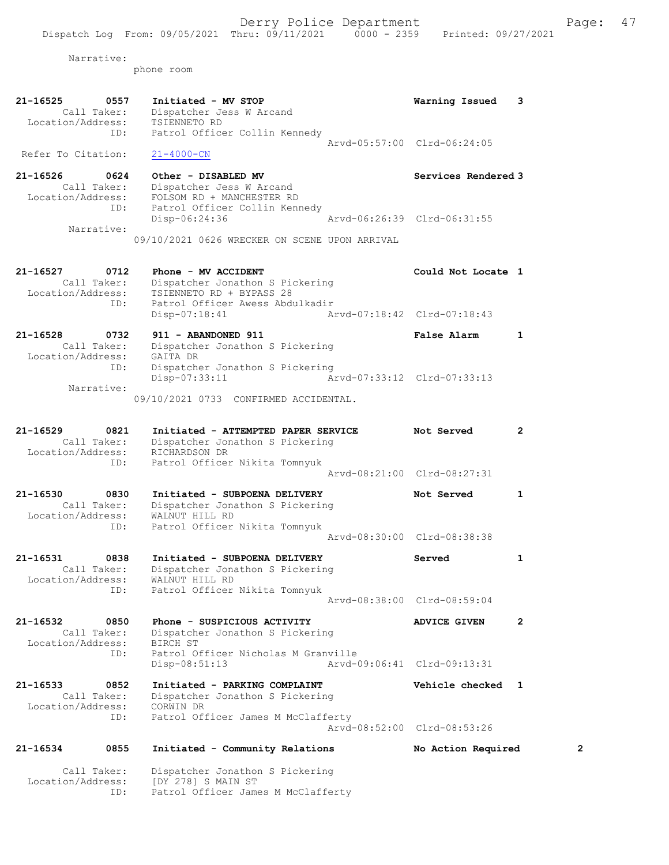Narrative:

phone room

Call Taker: Dispatcher Jonathon S Pickering

ID: Patrol Officer James M McClafferty

Location/Address: [DY 278] S MAIN ST

| 21-16525<br>0557<br>Call Taker:<br>Location/Address: | Initiated - MV STOP<br>Dispatcher Jess W Arcand<br>TSIENNETO RD  | Warning Issued              | 3            |
|------------------------------------------------------|------------------------------------------------------------------|-----------------------------|--------------|
| ID:                                                  | Patrol Officer Collin Kennedy                                    |                             |              |
| Refer To Citation:                                   | $21 - 4000 - CN$                                                 | Arvd-05:57:00 Clrd-06:24:05 |              |
|                                                      |                                                                  |                             |              |
| 21-16526<br>0624                                     | Other - DISABLED MV                                              | Services Rendered 3         |              |
| Call Taker:<br>Location/Address:                     | Dispatcher Jess W Arcand<br>FOLSOM RD + MANCHESTER RD            |                             |              |
| ID:                                                  | Patrol Officer Collin Kennedy                                    |                             |              |
|                                                      | Disp-06:24:36                                                    | Arvd-06:26:39 Clrd-06:31:55 |              |
| Narrative:                                           | 09/10/2021 0626 WRECKER ON SCENE UPON ARRIVAL                    |                             |              |
|                                                      |                                                                  |                             |              |
| 21-16527<br>0712                                     | Phone - MV ACCIDENT                                              | Could Not Locate 1          |              |
| Call Taker:                                          | Dispatcher Jonathon S Pickering                                  |                             |              |
| Location/Address:                                    | TSIENNETO RD + BYPASS 28                                         |                             |              |
| ID:                                                  | Patrol Officer Awess Abdulkadir<br>$Disp-07:18:41$               | Arvd-07:18:42 Clrd-07:18:43 |              |
|                                                      |                                                                  |                             |              |
| $21 - 16528$<br>0732<br>Call Taker:                  | 911 - ABANDONED 911<br>Dispatcher Jonathon S Pickering           | <b>False Alarm</b>          | 1            |
| Location/Address:                                    | GAITA DR                                                         |                             |              |
| ID:                                                  | Dispatcher Jonathon S Pickering                                  |                             |              |
| Narrative:                                           | $Disp-07:33:11$                                                  | Arvd-07:33:12 Clrd-07:33:13 |              |
|                                                      | 09/10/2021 0733 CONFIRMED ACCIDENTAL.                            |                             |              |
|                                                      |                                                                  |                             |              |
| 21-16529<br>0821                                     | Initiated - ATTEMPTED PAPER SERVICE                              | Not Served                  | $\mathbf{2}$ |
| Call Taker:                                          | Dispatcher Jonathon S Pickering                                  |                             |              |
| Location/Address:<br>ID:                             | RICHARDSON DR<br>Patrol Officer Nikita Tomnyuk                   |                             |              |
|                                                      |                                                                  | Arvd-08:21:00 Clrd-08:27:31 |              |
| 21-16530<br>0830                                     | Initiated - SUBPOENA DELIVERY                                    | Not Served                  | 1            |
| Call Taker:                                          | Dispatcher Jonathon S Pickering                                  |                             |              |
| Location/Address:                                    | WALNUT HILL RD                                                   |                             |              |
| ID:                                                  | Patrol Officer Nikita Tomnyuk                                    | Arvd-08:30:00 Clrd-08:38:38 |              |
|                                                      |                                                                  |                             |              |
| 21-16531<br>0838<br>Call Taker:                      | Initiated - SUBPOENA DELIVERY<br>Dispatcher Jonathon S Pickering | Served                      | 1            |
| Location/Address:                                    | WALNUT HILL RD                                                   |                             |              |
| ID:                                                  | Patrol Officer Nikita Tomnyuk                                    |                             |              |
|                                                      |                                                                  | Arvd-08:38:00 Clrd-08:59:04 |              |
| 21-16532<br>0850                                     | Phone - SUSPICIOUS ACTIVITY                                      | <b>ADVICE GIVEN</b>         | 2            |
| Call Taker:<br>Location/Address:                     | Dispatcher Jonathon S Pickering<br>BIRCH ST                      |                             |              |
| ID:                                                  | Patrol Officer Nicholas M Granville                              |                             |              |
|                                                      | $Disp-08:51:13$                                                  | Arvd-09:06:41 Clrd-09:13:31 |              |
| 21-16533<br>0852                                     | Initiated - PARKING COMPLAINT                                    | Vehicle checked 1           |              |
| Call Taker:                                          | Dispatcher Jonathon S Pickering                                  |                             |              |
| Location/Address:<br>ID:                             | CORWIN DR<br>Patrol Officer James M McClafferty                  |                             |              |
|                                                      |                                                                  | Arvd-08:52:00 Clrd-08:53:26 |              |
|                                                      |                                                                  |                             |              |
| 21-16534<br>0855                                     | Initiated - Community Relations                                  | No Action Required          | 2            |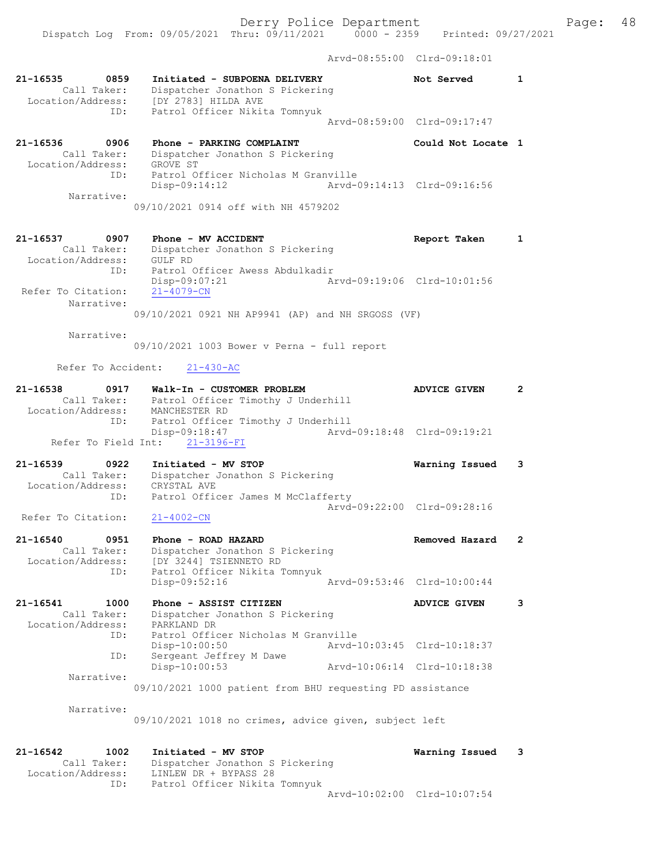Derry Police Department Fage: 48 Dispatch Log From: 09/05/2021 Thru: 09/11/2021 0000 - 2359 Printed: 09/27/2021 Arvd-08:55:00 Clrd-09:18:01 21-16535 0859 Initiated - SUBPOENA DELIVERY Not Served 1 Call Taker: Dispatcher Jonathon S Pickering Location/Address: [DY 2783] HILDA AVE ID: Patrol Officer Nikita Tomnyuk Arvd-08:59:00 Clrd-09:17:47 21-16536 0906 Phone - PARKING COMPLAINT Could Not Locate 1 Call Taker: Dispatcher Jonathon S Pickering Location/Address: GROVE ST ID: Patrol Officer Nicholas M Granville Disp-09:14:12 Arvd-09:14:13 Clrd-09:16:56 Narrative: 09/10/2021 0914 off with NH 4579202 21-16537 0907 Phone - MV ACCIDENT Report Taken 1 Call Taker: Dispatcher Jonathon S Pickering Location/Address: GULF RD ID: Patrol Officer Awess Abdulkadir Disp-09:07:21 Arvd-09:19:06 Clrd-10:01:56 Refer To Citation: 21-4079-CN Narrative: 09/10/2021 0921 NH AP9941 (AP) and NH SRGOSS (VF) Narrative: 09/10/2021 1003 Bower v Perna - full report Refer To Accident: 21-430-AC 21-16538 0917 Walk-In - CUSTOMER PROBLEM ADVICE GIVEN 2 Call Taker: Patrol Officer Timothy J Underhill Location/Address: MANCHESTER RD ID: Patrol Officer Timothy J Underhill ID: Patrol Officer Timothy J Underhill<br>Disp-09:18:47 Arvd-09:18:48 Clrd-09:19:21 Refer To Field Int: 21-3196-FI

21-16539 0922 Initiated - MV STOP Warning Issued 3 Call Taker: Dispatcher Jonathon S Pickering Location/Address: CRYSTAL AVE ID: Patrol Officer James M McClafferty Arvd-09:22:00 Clrd-09:28:16<br>21-4002-CN Refer To Citation:

21-16540 0951 Phone - ROAD HAZARD Removed Hazard 2 Call Taker: Dispatcher Jonathon S Pickering Location/Address: [DY 3244] TSIENNETO RD ID: Patrol Officer Nikita Tomnyuk Disp-09:52:16 Arvd-09:53:46 Clrd-10:00:44

21-16541 1000 Phone - ASSIST CITIZEN ADVICE GIVEN 3 Call Taker: Dispatcher Jonathon S Pickering Location/Address: PARKLAND DR ID: Patrol Officer Nicholas M Granville Disp-10:00:50 Arvd-10:03:45 Clrd-10:18:37 ID: Sergeant Jeffrey M Dawe Disp-10:00:53 Arvd-10:06:14 Clrd-10:18:38 Narrative: 09/10/2021 1000 patient from BHU requesting PD assistance

Narrative:

09/10/2021 1018 no crimes, advice given, subject left

21-16542 1002 Initiated - MV STOP Warning Issued 3 Call Taker: Dispatcher Jonathon S Pickering Location/Address: LINLEW DR + BYPASS 28 ID: Patrol Officer Nikita Tomnyuk Arvd-10:02:00 Clrd-10:07:54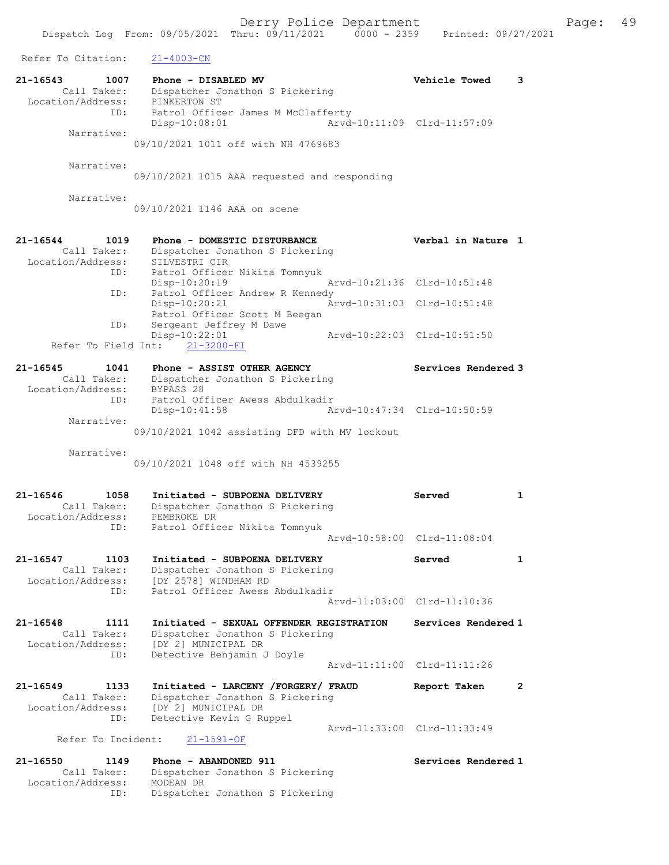| Refer To Citation:                                          | $21 - 4003 - CN$                                                                                                          |                             |              |
|-------------------------------------------------------------|---------------------------------------------------------------------------------------------------------------------------|-----------------------------|--------------|
| 21-16543<br>1007<br>Call Taker:<br>Location/Address:<br>ID: | Phone - DISABLED MV<br>Dispatcher Jonathon S Pickering<br>PINKERTON ST<br>Patrol Officer James M McClafferty              | <b>Vehicle Towed</b>        | 3            |
| Narrative:                                                  | $Disp-10:08:01$<br>09/10/2021 1011 off with NH 4769683                                                                    | Arvd-10:11:09 Clrd-11:57:09 |              |
| Narrative:                                                  | 09/10/2021 1015 AAA requested and responding                                                                              |                             |              |
| Narrative:                                                  | 09/10/2021 1146 AAA on scene                                                                                              |                             |              |
| 21-16544<br>1019<br>Call Taker:<br>Location/Address:        | Phone - DOMESTIC DISTURBANCE<br>Dispatcher Jonathon S Pickering<br>SILVESTRI CIR                                          | Verbal in Nature 1          |              |
| ID:                                                         | Patrol Officer Nikita Tomnyuk<br>Disp-10:20:19                                                                            | Arvd-10:21:36 Clrd-10:51:48 |              |
| ID:                                                         | Patrol Officer Andrew R Kennedy<br>Disp-10:20:21<br>Patrol Officer Scott M Beegan                                         | Arvd-10:31:03 Clrd-10:51:48 |              |
| ID:<br>Refer To Field Int:                                  | Sergeant Jeffrey M Dawe<br>Disp-10:22:01<br>$21 - 3200 - FI$                                                              | Arvd-10:22:03 Clrd-10:51:50 |              |
| 21-16545<br>1041<br>Call Taker:                             | Phone - ASSIST OTHER AGENCY<br>Dispatcher Jonathon S Pickering                                                            | Services Rendered 3         |              |
| Location/Address:<br>ID:                                    | BYPASS 28<br>Patrol Officer Awess Abdulkadir<br>$Disp-10:41:58$                                                           | Arvd-10:47:34 Clrd-10:50:59 |              |
| Narrative:                                                  |                                                                                                                           |                             |              |
|                                                             | 09/10/2021 1042 assisting DFD with MV lockout                                                                             |                             |              |
| Narrative:                                                  | 09/10/2021 1048 off with NH 4539255                                                                                       |                             |              |
| 21-16546<br>1058<br>Call Taker:<br>Location/Address:<br>ID: | Initiated - SUBPOENA DELIVERY<br>Dispatcher Jonathon S Pickering<br>PEMBROKE DR<br>Patrol Officer Nikita Tomnyuk          | Served                      | $\mathbf{1}$ |
|                                                             |                                                                                                                           | Arvd-10:58:00 Clrd-11:08:04 |              |
| 1103<br>$21 - 16547$<br>Call Taker:<br>Location/Address:    | Initiated - SUBPOENA DELIVERY<br>Dispatcher Jonathon S Pickering<br>[DY 2578] WINDHAM RD                                  | Served                      | 1            |
| ID:                                                         | Patrol Officer Awess Abdulkadir                                                                                           | Aryd-11:03:00 Clrd-11:10:36 |              |
| 21-16548<br>1111<br>Call Taker:<br>Location/Address:        | Initiated - SEXUAL OFFENDER REGISTRATION<br>Dispatcher Jonathon S Pickering<br>[DY 2] MUNICIPAL DR                        | Services Rendered 1         |              |
| ID:                                                         | Detective Benjamin J Doyle                                                                                                | Arvd-11:11:00 Clrd-11:11:26 |              |
| 21-16549<br>1133<br>Call Taker:<br>Location/Address:<br>ID: | Initiated - LARCENY /FORGERY/ FRAUD<br>Dispatcher Jonathon S Pickering<br>[DY 2] MUNICIPAL DR<br>Detective Kevin G Ruppel | Report Taken                | $\mathbf{2}$ |
| Refer To Incident:                                          | $21 - 1591 - OF$                                                                                                          | Arvd-11:33:00 Clrd-11:33:49 |              |
| 21-16550<br>1149<br>Call Taker:<br>Location/Address:        | Phone - ABANDONED 911<br>Dispatcher Jonathon S Pickering<br>MODEAN DR                                                     | Services Rendered 1         |              |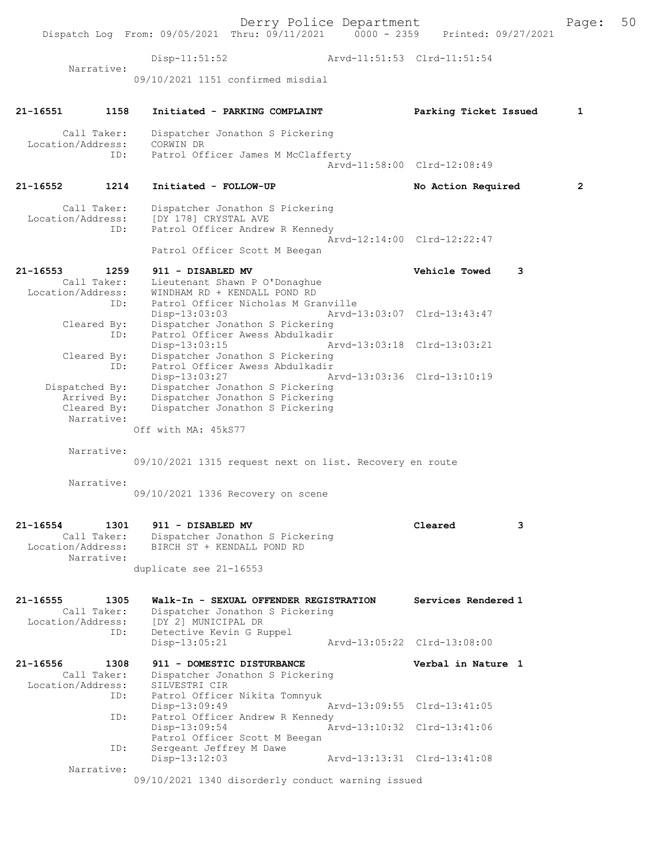Derry Police Department The Page: 50 Dispatch Log From: 09/05/2021 Thru: 09/11/2021 0000 - 2359 Printed: 09/27/2021 Disp-11:51:52 Arvd-11:51:53 Clrd-11:51:54 Narrative: 09/10/2021 1151 confirmed misdial 21-16551 1158 Initiated - PARKING COMPLAINT Parking Ticket Issued 1 Call Taker: Dispatcher Jonathon S Pickering Location/Address: CORWIN DR ID: Patrol Officer James M McClafferty Arvd-11:58:00 Clrd-12:08:49 21-16552 1214 Initiated - FOLLOW-UP No Action Required 2 Call Taker: Dispatcher Jonathon S Pickering<br>Location/Address: [DY 178] CRYSTAL AVE [DY 178] CRYSTAL AVE ID: Patrol Officer Andrew R Kennedy Arvd-12:14:00 Clrd-12:22:47 Patrol Officer Scott M Beegan 21-16553 1259 911 - DISABLED MV <br>Call Taker: Lieutenant Shawn P O'Donaghue **Vehicle Towed** 3 Call Taker: Lieutenant Shawn P O'Donaghue Location/Address: WINDHAM RD + KENDALL POND RD ID: Patrol Officer Nicholas M Granville<br>Disp-13:03:03 Disp-13:03:03 Arvd-13:03:07 Clrd-13:43:47 Cleared By: Dispatcher Jonathon S Pickering<br>ID: Patrol Officer Awess Abdulkadir Patrol Officer Awess Abdulkadir Disp-13:03:15 Arvd-13:03:18 Clrd-13:03:21 Cleared By: Dispatcher Jonathon S Pickering ID: Patrol Officer Awess Abdulkadir Disp-13:03:27 Arvd-13:03:36 Clrd-13:10:19 Dispatched By: Dispatcher Jonathon S Pickering Arrived By: Dispatcher Jonathon S Pickering Cleared By: Dispatcher Jonathon S Pickering Narrative: Off with MA: 45kS77 Narrative: 09/10/2021 1315 request next on list. Recovery en route Narrative: 09/10/2021 1336 Recovery on scene 21-16554 1301 911 - DISABLED MV Cleared 3 Call Taker: Dispatcher Jonathon S Pickering Location/Address: BIRCH ST + KENDALL POND RD Narrative: duplicate see 21-16553 21-16555 1305 Walk-In - SEXUAL OFFENDER REGISTRATION Services Rendered 1 Call Taker: Dispatcher Jonathon S Pickering Location/Address: [DY 2] MUNICIPAL DR<br>ID: Detective Kevin G Ru Detective Kevin G Ruppel<br>Disp-13:05:21 Disp-13:05:21 Arvd-13:05:22 Clrd-13:08:00 21-16556 1308 911 - DOMESTIC DISTURBANCE Verbal in Nature 1 Call Taker: Dispatcher Jonathon S Pickering Location/Address: SILVESTRI CIR ID: Patrol Officer Nikita Tomnyuk Disp-13:09:49 Arvd-13:09:55 Clrd-13:41:05<br>TD: Patrol Officer Andrew R Kennedy Patrol Officer Andrew R Kennedy Disp-13:09:54 Arvd-13:10:32 Clrd-13:41:06 Patrol Officer Scott M Beegan ID: Sergeant Jeffrey M Dawe<br>Disp-13:12:03 Disp-13:12:03 Arvd-13:13:31 Clrd-13:41:08 Narrative:

09/10/2021 1340 disorderly conduct warning issued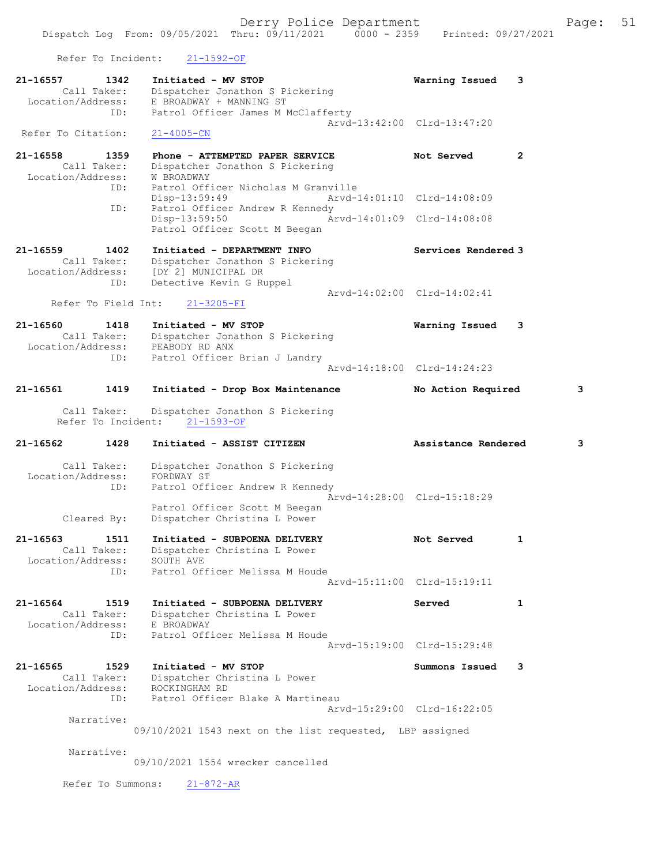Refer To Incident: 21-1592-OF

| 21-16557<br>1342<br>Call Taker:<br>Location/Address:<br>ID:                            | Initiated - MV STOP<br>Dispatcher Jonathon S Pickering<br>E BROADWAY + MANNING ST<br>Patrol Officer James M McClafferty                                                                                                         | Warning Issued                                                           | 3              |
|----------------------------------------------------------------------------------------|---------------------------------------------------------------------------------------------------------------------------------------------------------------------------------------------------------------------------------|--------------------------------------------------------------------------|----------------|
| Refer To Citation:                                                                     | $21 - 4005 - CN$                                                                                                                                                                                                                | Arvd-13:42:00 Clrd-13:47:20                                              |                |
| $21 - 16558$<br>1359<br>Call Taker:<br>Location/Address:<br>ID:<br>ID:                 | Phone - ATTEMPTED PAPER SERVICE<br>Dispatcher Jonathon S Pickering<br>W BROADWAY<br>Patrol Officer Nicholas M Granville<br>Disp-13:59:49<br>Patrol Officer Andrew R Kennedy<br>$Disp-13:59:50$<br>Patrol Officer Scott M Beegan | Not Served<br>Arvd-14:01:10 Clrd-14:08:09<br>Arvd-14:01:09 Clrd-14:08:08 | $\overline{2}$ |
| $21 - 16559$<br>1402<br>Call Taker:<br>Location/Address:<br>ID:<br>Refer To Field Int: | Initiated - DEPARTMENT INFO<br>Dispatcher Jonathon S Pickering<br>[DY 2] MUNICIPAL DR<br>Detective Kevin G Ruppel<br>$21 - 3205 - FI$                                                                                           | Services Rendered 3<br>Arvd-14:02:00 Clrd-14:02:41                       |                |
| 21-16560<br>1418<br>Call Taker:<br>Location/Address:<br>ID:                            | Initiated - MV STOP<br>Dispatcher Jonathon S Pickering<br>PEABODY RD ANX<br>Patrol Officer Brian J Landry                                                                                                                       | Warning Issued                                                           | 3              |
|                                                                                        |                                                                                                                                                                                                                                 | Arvd-14:18:00 Clrd-14:24:23                                              |                |
| 21-16561<br>1419                                                                       | Initiated - Drop Box Maintenance                                                                                                                                                                                                | No Action Required                                                       | 3              |
| Call Taker:<br>Refer To Incident:                                                      | Dispatcher Jonathon S Pickering<br>$21 - 1593 - OF$                                                                                                                                                                             |                                                                          |                |
|                                                                                        |                                                                                                                                                                                                                                 |                                                                          |                |
| $21 - 16562$<br>1428                                                                   | Initiated - ASSIST CITIZEN                                                                                                                                                                                                      | Assistance Rendered                                                      | 3              |
| Call Taker:<br>Location/Address:<br>ID:<br>Cleared By:                                 | Dispatcher Jonathon S Pickering<br>FORDWAY ST<br>Patrol Officer Andrew R Kennedy<br>Patrol Officer Scott M Beegan<br>Dispatcher Christina L Power                                                                               | Arvd-14:28:00 Clrd-15:18:29                                              |                |
| 21-16563<br>1511<br>Call Taker:<br>Location/Address:<br>ID:                            | Initiated - SUBPOENA DELIVERY<br>Dispatcher Christina L Power<br>SOUTH AVE<br>Patrol Officer Melissa M Houde                                                                                                                    | Not Served<br>Arvd-15:11:00 Clrd-15:19:11                                | 1              |
| 21-16564<br>1519<br>Call Taker:<br>Location/Address:<br>ID:                            | Initiated - SUBPOENA DELIVERY<br>Dispatcher Christina L Power<br>E BROADWAY<br>Patrol Officer Melissa M Houde                                                                                                                   | Served<br>Aryd-15:19:00 Clrd-15:29:48                                    | 1              |
| $21 - 16565$<br>1529<br>Call Taker:<br>Location/Address:<br>ID:                        | Initiated - MV STOP<br>Dispatcher Christina L Power<br>ROCKINGHAM RD<br>Patrol Officer Blake A Martineau                                                                                                                        | Summons Issued                                                           | 3              |
| Narrative:                                                                             | 09/10/2021 1543 next on the list requested, LBP assigned                                                                                                                                                                        | Arvd-15:29:00 Clrd-16:22:05                                              |                |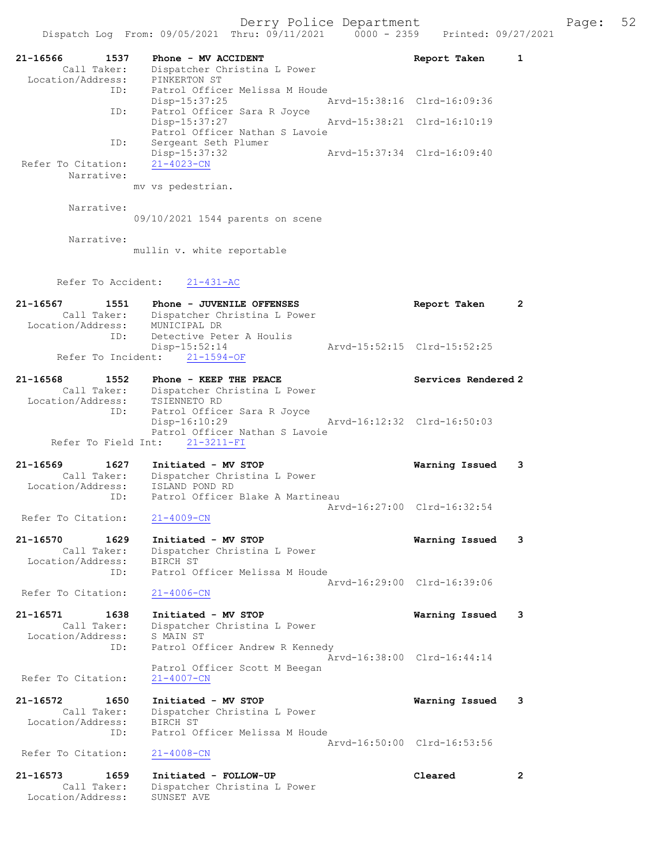| 21-16566<br>1537<br>Call Taker:<br>Location/Address: | Phone - MV ACCIDENT<br>Dispatcher Christina L Power<br>PINKERTON ST | Report Taken                | $\mathbf{1}$         |
|------------------------------------------------------|---------------------------------------------------------------------|-----------------------------|----------------------|
| ID:                                                  | Patrol Officer Melissa M Houde                                      |                             |                      |
| ID:                                                  | $Disp-15:37:25$<br>Patrol Officer Sara R Joyce                      | Arvd-15:38:16 Clrd-16:09:36 |                      |
|                                                      | Disp-15:37:27<br>Patrol Officer Nathan S Lavoie                     | Aryd-15:38:21 Clrd-16:10:19 |                      |
| ID:                                                  | Sergeant Seth Plumer<br>Disp-15:37:32                               | Arvd-15:37:34 Clrd-16:09:40 |                      |
| Refer To Citation:<br>Narrative:                     | $21 - 4023 - CN$                                                    |                             |                      |
|                                                      | mv vs pedestrian.                                                   |                             |                      |
| Narrative:                                           |                                                                     |                             |                      |
|                                                      | 09/10/2021 1544 parents on scene                                    |                             |                      |
| Narrative:                                           | mullin v. white reportable                                          |                             |                      |
|                                                      |                                                                     |                             |                      |
| Refer To Accident:                                   | $21 - 431 - AC$                                                     |                             |                      |
| 21-16567<br>1551                                     | Phone - JUVENILE OFFENSES                                           | Report Taken                | $\mathbf{2}$         |
| Call Taker:<br>Location/Address:                     | Dispatcher Christina L Power<br>MUNICIPAL DR                        |                             |                      |
| ID:                                                  | Detective Peter A Houlis<br>$Disp-15:52:14$                         | Arvd-15:52:15 Clrd-15:52:25 |                      |
| Refer To Incident:                                   | $21 - 1594 - OF$                                                    |                             |                      |
| 21-16568<br>1552                                     | Phone - KEEP THE PEACE                                              | Services Rendered 2         |                      |
| Call Taker:<br>Location/Address:                     | Dispatcher Christina L Power<br>TSIENNETO RD                        |                             |                      |
| ID:                                                  | Patrol Officer Sara R Joyce<br>Disp-16:10:29                        | Arvd-16:12:32 Clrd-16:50:03 |                      |
|                                                      | Patrol Officer Nathan S Lavoie                                      |                             |                      |
| Refer To Field Int:                                  | $21 - 3211 - FI$                                                    |                             |                      |
| 21-16569<br>1627<br>Call Taker:                      | Initiated - MV STOP<br>Dispatcher Christina L Power                 | Warning Issued              | 3                    |
| Location/Address:                                    | ISLAND POND RD                                                      |                             |                      |
| ID:                                                  | Patrol Officer Blake A Martineau                                    | Aryd-16:27:00 Clrd-16:32:54 |                      |
| Refer To Citation:                                   | $21 - 4009 - CN$                                                    |                             |                      |
| 21-16570<br>1629                                     | Initiated - MV STOP                                                 | Warning Issued              | 3                    |
| Call Taker:<br>Location/Address:                     | Dispatcher Christina L Power<br>BIRCH ST                            |                             |                      |
| ID:                                                  | Patrol Officer Melissa M Houde                                      | Arvd-16:29:00 Clrd-16:39:06 |                      |
| Refer To Citation:                                   | $21 - 4006 - CN$                                                    |                             |                      |
| 21-16571<br>1638                                     | Initiated - MV STOP                                                 | Warning Issued              | 3                    |
| Call Taker:<br>Location/Address:                     | Dispatcher Christina L Power<br>S MAIN ST                           |                             |                      |
| ID:                                                  | Patrol Officer Andrew R Kennedy                                     |                             |                      |
|                                                      | Patrol Officer Scott M Beegan                                       | Arvd-16:38:00 Clrd-16:44:14 |                      |
| Refer To Citation:                                   | $21 - 4007 - CN$                                                    |                             |                      |
| 21-16572<br>1650                                     | Initiated - MV STOP                                                 | Warning Issued              | 3                    |
| Call Taker:<br>Location/Address:                     | Dispatcher Christina L Power<br>BIRCH ST                            |                             |                      |
| ID:                                                  | Patrol Officer Melissa M Houde                                      | Arvd-16:50:00 Clrd-16:53:56 |                      |
| Refer To Citation:                                   | $21 - 4008 - CN$                                                    |                             |                      |
| 21-16573<br>1659                                     | Initiated - FOLLOW-UP                                               | Cleared                     | $\mathbf{2}^{\circ}$ |
| Call Taker:<br>Location/Address:                     | Dispatcher Christina L Power<br>SUNSET AVE                          |                             |                      |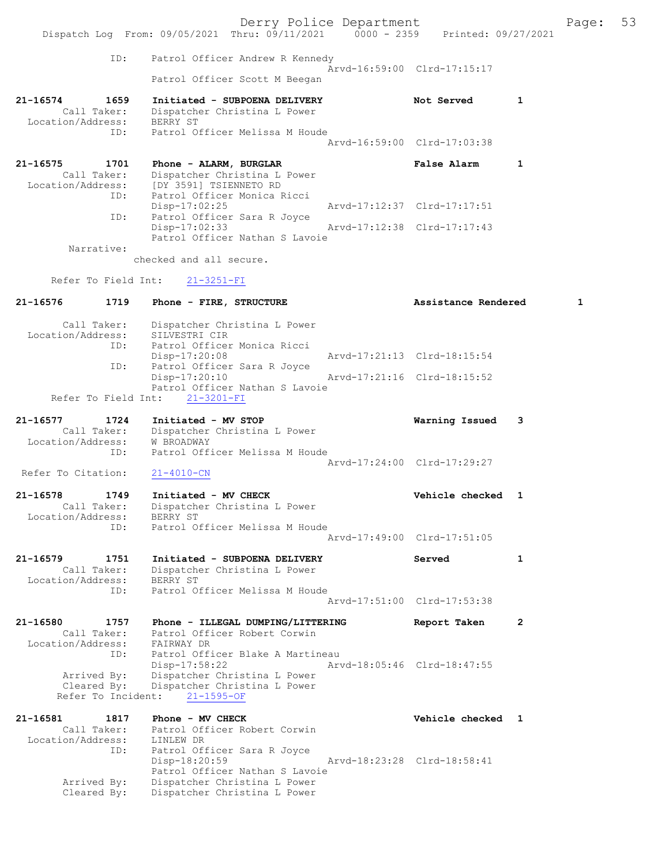Derry Police Department Fage: 53 Dispatch Log From: 09/05/2021 Thru: 09/11/2021 0000 - 2359 Printed: 09/27/2021 ID: Patrol Officer Andrew R Kennedy Arvd-16:59:00 Clrd-17:15:17 Patrol Officer Scott M Beegan 21-16574 1659 Initiated - SUBPOENA DELIVERY Not Served 1 Call Taker: Dispatcher Christina L Power Location/Address: BERRY ST ID: Patrol Officer Melissa M Houde Arvd-16:59:00 Clrd-17:03:38 21-16575 1701 Phone - ALARM, BURGLAR False Alarm 1 Call Taker: Dispatcher Christina L Power Location/Address: [DY 3591] TSIENNETO RD ID: Patrol Officer Monica Ricci Disp-17:02:25 Arvd-17:12:37 Clrd-17:17:51 ID: Patrol Officer Sara R Joyce<br>Disp-17:02:33 Disp-17:02:33 Arvd-17:12:38 Clrd-17:17:43 Patrol Officer Nathan S Lavoie Narrative: checked and all secure. Refer To Field Int: 21-3251-FI 21-16576 1719 Phone - FIRE, STRUCTURE 1999 (Assistance Rendered 1 Call Taker: Dispatcher Christina L Power Location/Address: SILVESTRI CIR ID: Patrol Officer Monica Ricci Disp-17:20:08 Arvd-17:21:13 Clrd-18:15:54<br>TD: Patrol Officer Sara R Joyce rol Officer Sara R Joyce<br>Disp-17:20:10 Disp-17:20:10 Arvd-17:21:16 Clrd-18:15:52 Patrol Officer Nathan S Lavoie Refer To Field Int: 21-3201-FI 21-16577 1724 Initiated - MV STOP Warning Issued 3 Call Taker: Dispatcher Christina L Power Location/Address: W BROADWAY ID: Patrol Officer Melissa M Houde Arvd-17:24:00 Clrd-17:29:27<br>21-4010-CN Refer To Citation: 21-16578 1749 Initiated - MV CHECK 1 21-16578 Vehicle checked 1 Call Taker: Dispatcher Christina L Power Location/Address: BERRY ST ID: Patrol Officer Melissa M Houde Arvd-17:49:00 Clrd-17:51:05 21-16579 1751 Initiated - SUBPOENA DELIVERY Served 1 Call Taker: Dispatcher Christina L Power Location/Address: BERRY ST ID: Patrol Officer Melissa M Houde Arvd-17:51:00 Clrd-17:53:38 21-16580 1757 Phone - ILLEGAL DUMPING/LITTERING Report Taken 2 Call Taker: Patrol Officer Robert Corwin Location/Address: FAIRWAY DR ID: Patrol Officer Blake A Martineau<br>Disp-17:58:22 Arv Disp-17:58:22 Arvd-18:05:46 Clrd-18:47:55 Arrived By: Dispatcher Christina L Power Cleared By: Dispatcher Christina L Power Refer To Incident: 21-1595-OF 21-16581 1817 Phone - MV CHECK Vehicle checked 1 Call Taker: Patrol Officer Robert Corwin Location/Address: LINLEW DR ID: Patrol Officer Sara R Joyce<br>Disp-18:20:59 Disp-18:20:59 Arvd-18:23:28 Clrd-18:58:41 Patrol Officer Nathan S Lavoie Arrived By: Dispatcher Christina L Power Cleared By: Dispatcher Christina L Power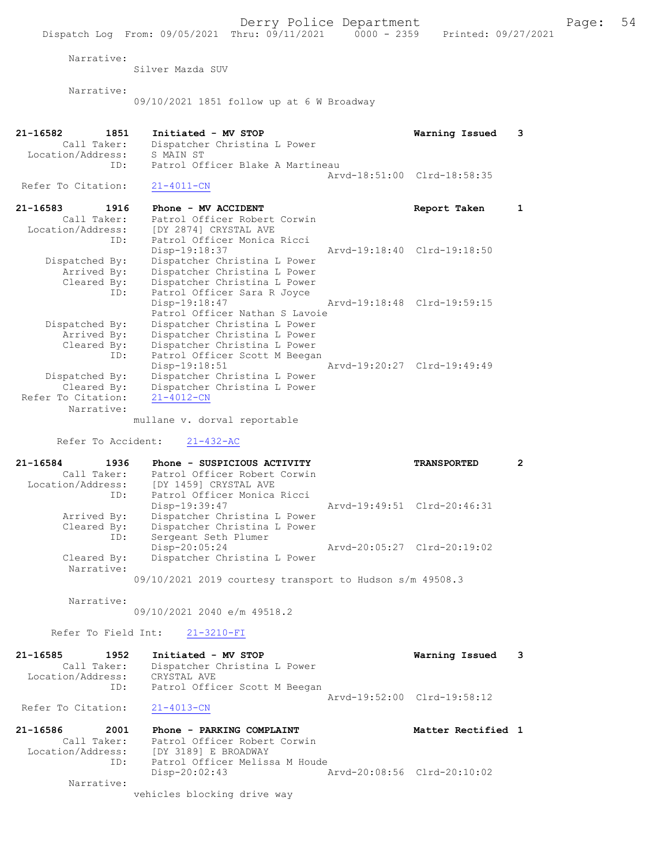Silver Mazda SUV

Narrative:

09/10/2021 1851 follow up at 6 W Broadway

| 21-16582<br>1851<br>Call Taker:<br>Location/Address:<br>ID:  | Initiated - MV STOP<br>Dispatcher Christina L Power<br>S MAIN ST<br>Patrol Officer Blake A Martineau | Warning Issued 3            |  |
|--------------------------------------------------------------|------------------------------------------------------------------------------------------------------|-----------------------------|--|
| Refer To Citation:                                           | $21 - 4011 - CN$                                                                                     | Arvd-18:51:00 Clrd-18:58:35 |  |
| 21-16583<br>1916<br>Call Taker:<br>Location/Address:<br>$ -$ | Phone - MV ACCIDENT<br>Patrol Officer Robert Corwin<br>[DY 2874] CRYSTAL AVE                         | Report Taken                |  |

|                    | ID: | Patrol Officer Monica Ricci    |                             |  |
|--------------------|-----|--------------------------------|-----------------------------|--|
|                    |     | Disp-19:18:37                  | Aryd-19:18:40 Clrd-19:18:50 |  |
| Dispatched By:     |     | Dispatcher Christina L Power   |                             |  |
| Arrived By:        |     | Dispatcher Christina L Power   |                             |  |
| Cleared By:        |     | Dispatcher Christina L Power   |                             |  |
|                    | ID: | Patrol Officer Sara R Joyce    |                             |  |
|                    |     | Disp-19:18:47                  | Arvd-19:18:48 Clrd-19:59:15 |  |
|                    |     | Patrol Officer Nathan S Lavoie |                             |  |
| Dispatched By:     |     | Dispatcher Christina L Power   |                             |  |
| Arrived By:        |     | Dispatcher Christina L Power   |                             |  |
| Cleared By:        |     | Dispatcher Christina L Power   |                             |  |
|                    | ID: | Patrol Officer Scott M Beegan  |                             |  |
|                    |     | Disp-19:18:51                  | Arvd-19:20:27 Clrd-19:49:49 |  |
| Dispatched By:     |     | Dispatcher Christina L Power   |                             |  |
| Cleared By:        |     | Dispatcher Christina L Power   |                             |  |
| Refer To Citation: |     | $21 - 4012 - CN$               |                             |  |
| Narrative:         |     |                                |                             |  |

mullane v. dorval reportable

Refer To Accident: 21-432-AC

| 21-16584<br>1936  | Phone - SUSPICIOUS ACTIVITY                                | <b>TRANSPORTED</b>          | 2 |
|-------------------|------------------------------------------------------------|-----------------------------|---|
| Call Taker:       | Patrol Officer Robert Corwin                               |                             |   |
| Location/Address: | [DY 1459] CRYSTAL AVE                                      |                             |   |
| ID:               | Patrol Officer Monica Ricci                                |                             |   |
|                   | Disp-19:39:47                                              | Arvd-19:49:51 Clrd-20:46:31 |   |
| Arrived By:       | Dispatcher Christina L Power                               |                             |   |
| Cleared By:       | Dispatcher Christina L Power                               |                             |   |
| ID:               | Sergeant Seth Plumer                                       |                             |   |
|                   | $Disp-20:05:24$                                            | Arvd-20:05:27 Clrd-20:19:02 |   |
| Cleared By:       | Dispatcher Christina L Power                               |                             |   |
| Narrative:        |                                                            |                             |   |
|                   | $09/10/2021$ 2019 courtesy transport to Hudson s/m 49508.3 |                             |   |

Narrative:

09/10/2021 2040 e/m 49518.2

Refer To Field Int: 21-3210-FI

| 21-16585           | 1952        | Initiated - MV STOP           | Warning Issued 3            |
|--------------------|-------------|-------------------------------|-----------------------------|
|                    | Call Taker: | Dispatcher Christina L Power  |                             |
| Location/Address:  |             | CRYSTAL AVE                   |                             |
|                    | ID:         | Patrol Officer Scott M Beegan |                             |
|                    |             |                               | Aryd-19:52:00 Clrd-19:58:12 |
| Refer To Citation: |             | 21-4013-CN                    |                             |

| 21-16586          | 2001        | Phone - PARKING COMPLAINT      |                             | Matter Rectified 1 |  |
|-------------------|-------------|--------------------------------|-----------------------------|--------------------|--|
|                   | Call Taker: | Patrol Officer Robert Corwin   |                             |                    |  |
| Location/Address: |             | [DY 3189] E BROADWAY           |                             |                    |  |
|                   | ID:         | Patrol Officer Melissa M Houde |                             |                    |  |
|                   |             | $Disp-20:02:43$                | Arvd-20:08:56 Clrd-20:10:02 |                    |  |
|                   | Narrative:  |                                |                             |                    |  |
|                   |             | vehicles blocking drive way    |                             |                    |  |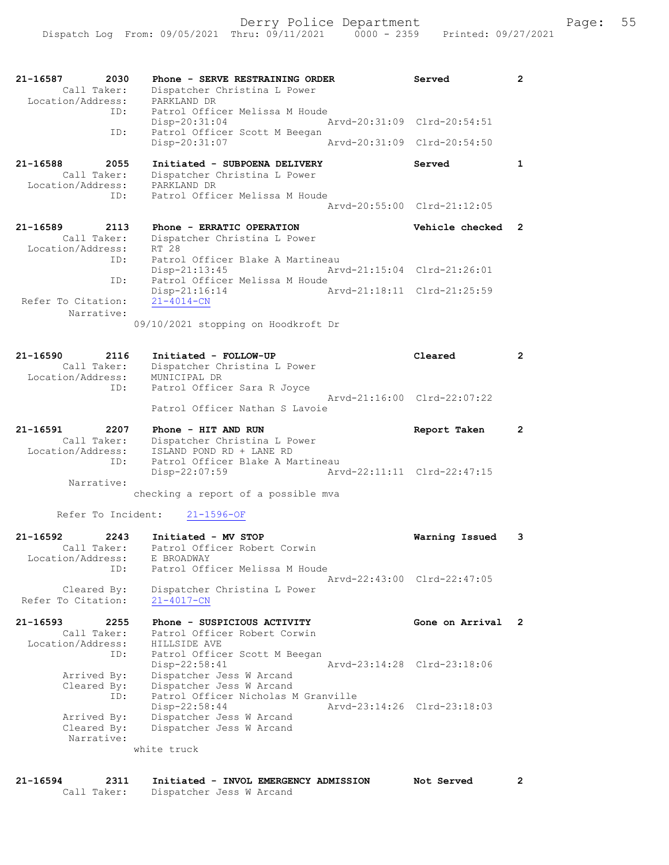| 21-16587<br>2030<br>Call Taker:<br>Location/Address:        | Phone - SERVE RESTRAINING ORDER<br>Dispatcher Christina L Power<br>PARKLAND DR                                              | Served                      | $\mathbf{2}^{\circ}$  |
|-------------------------------------------------------------|-----------------------------------------------------------------------------------------------------------------------------|-----------------------------|-----------------------|
| ID:                                                         | Patrol Officer Melissa M Houde<br>Disp-20:31:04                                                                             | Arvd-20:31:09 Clrd-20:54:51 |                       |
| ID:                                                         | Patrol Officer Scott M Beegan<br>Disp-20:31:07                                                                              | Arvd-20:31:09 Clrd-20:54:50 |                       |
| 21-16588<br>2055<br>Call Taker:<br>Location/Address:<br>ID: | Initiated - SUBPOENA DELIVERY<br>Dispatcher Christina L Power<br>PARKLAND DR<br>Patrol Officer Melissa M Houde              | Served                      | $\mathbf{1}$          |
|                                                             |                                                                                                                             | Arvd-20:55:00 Clrd-21:12:05 |                       |
| 21-16589<br>2113                                            | Phone - ERRATIC OPERATION                                                                                                   | Vehicle checked             | $\mathbf{2}$          |
| Call Taker:<br>Location/Address:<br>ID:                     | Dispatcher Christina L Power<br>RT 28<br>Patrol Officer Blake A Martineau                                                   |                             |                       |
| ID:                                                         | $Disp-21:13:45$<br>Patrol Officer Melissa M Houde                                                                           | Arvd-21:15:04 Clrd-21:26:01 |                       |
| Refer To Citation:<br>Narrative:                            | Disp-21:16:14<br>$21 - 4014 - CN$                                                                                           | Arvd-21:18:11 Clrd-21:25:59 |                       |
|                                                             | 09/10/2021 stopping on Hoodkroft Dr                                                                                         |                             |                       |
| 21-16590<br>2116<br>Call Taker:<br>Location/Address:        | Initiated - FOLLOW-UP<br>Dispatcher Christina L Power<br>MUNICIPAL DR                                                       | Cleared                     | $\overline{2}$        |
| ID:                                                         | Patrol Officer Sara R Joyce<br>Patrol Officer Nathan S Lavoie                                                               | Arvd-21:16:00 Clrd-22:07:22 |                       |
|                                                             |                                                                                                                             |                             |                       |
| 21-16591<br>2207                                            | Phone - HIT AND RUN                                                                                                         | Report Taken                | $\mathbf{2}^{\prime}$ |
| Call Taker:<br>Location/Address:<br>ID:<br>Narrative:       | Dispatcher Christina L Power<br>ISLAND POND RD + LANE RD<br>Patrol Officer Blake A Martineau<br>Disp-22:07:59               | Arvd-22:11:11 Clrd-22:47:15 |                       |
|                                                             | checking a report of a possible mva                                                                                         |                             |                       |
| Refer To Incident:                                          | $21 - 1596 - OF$                                                                                                            |                             |                       |
| 21-16592<br>2243<br>Call Taker:<br>ID:                      | Initiated - MV STOP<br>Patrol Officer Robert Corwin<br>Location/Address: E BROADWAY<br>Patrol Officer Melissa M Houde       | Warning Issued              | 3                     |
| Cleared By:<br>Refer To Citation:                           | Dispatcher Christina L Power<br>$21 - 4017 - CN$                                                                            | Arvd-22:43:00 Clrd-22:47:05 |                       |
| 21-16593<br>2255<br>Call Taker:<br>Location/Address:<br>ID: | Phone - SUSPICIOUS ACTIVITY<br>Patrol Officer Robert Corwin<br>HILLSIDE AVE                                                 | Gone on Arrival             | 2                     |
| Arrived By:<br>Cleared By:                                  | Patrol Officer Scott M Beegan<br>$Disp-22:58:41$<br>Dispatcher Jess W Arcand<br>Dispatcher Jess W Arcand                    | Arvd-23:14:28 Clrd-23:18:06 |                       |
| ID:<br>Arrived By:<br>Cleared By:<br>Narrative:             | Patrol Officer Nicholas M Granville<br>Disp-22:58:44<br>Dispatcher Jess W Arcand<br>Dispatcher Jess W Arcand<br>white truck | Arvd-23:14:26 Clrd-23:18:03 |                       |

21-16594 2311 Initiated - INVOL EMERGENCY ADMISSION Not Served 2 Call Taker: Dispatcher Jess W Arcand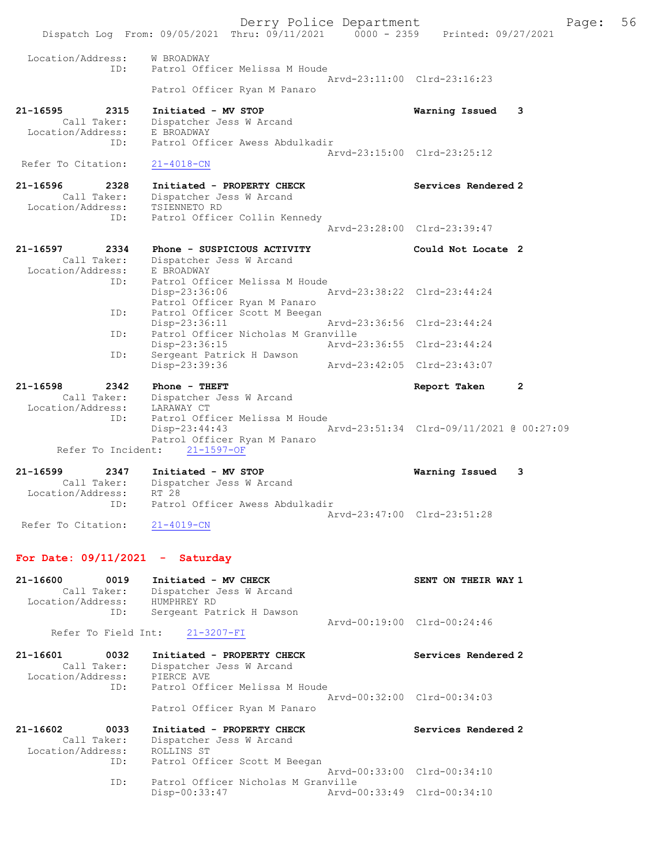Derry Police Department Fage: 56 Dispatch Log From: 09/05/2021 Thru: 09/11/2021 0000 - 2359 Printed: 09/27/2021 Location/Address: W BROADWAY ID: Patrol Officer Melissa M Houde Arvd-23:11:00 Clrd-23:16:23 Patrol Officer Ryan M Panaro 21-16595 2315 Initiated - MV STOP Warning Issued 3 Call Taker: Dispatcher Jess W Arcand Location/Address: E BROADWAY ID: Patrol Officer Awess Abdulkadir Arvd-23:15:00 Clrd-23:25:12 Refer To Citation: 21-4018-CN 21-16596 2328 Initiated - PROPERTY CHECK Services Rendered 2 Call Taker: Dispatcher Jess W Arcand Location/Address: TSIENNETO RD ID: Patrol Officer Collin Kennedy Arvd-23:28:00 Clrd-23:39:47 21-16597 2334 Phone - SUSPICIOUS ACTIVITY Could Not Locate 2 Call Taker: Dispatcher Jess W Arcand Location/Address: E BROADWAY ID: Patrol Officer Melissa M Houde Disp-23:36:06 Arvd-23:38:22 Clrd-23:44:24 Patrol Officer Ryan M Panaro ID: Patrol Officer Scott M Beegan<br>Disp-23:36:11 Arvd-23:36:56 Clrd-23:44:24 Disp-23:36:11 Arvd-23:36:56 Clrd-23:44:24 ID: Patrol Officer Nicholas M Granville Disp-23:36:15 Arvd-23:36:55 Clrd-23:44:24 ID: Sergeant Patrick H Dawson Disp-23:39:36 Arvd-23:42:05 Clrd-23:43:07 21-16598 2342 Phone - THEFT Report Taken 2 Call Taker: Dispatcher Jess W Arcand Location/Address: LARAWAY CT ID: Patrol Officer Melissa M Houde Disp-23:44:43 Arvd-23:51:34 Clrd-09/11/2021 @ 00:27:09 Patrol Officer Ryan M Panaro Refer To Incident: 21-1597-OF 21-16599 2347 Initiated - MV STOP Warning Issued 3 Call Taker: Dispatcher Jess W Arcand Location/Address: RT 28 ID: Patrol Officer Awess Abdulkadir Arvd-23:47:00 Clrd-23:51:28 Refer To Citation: 21-4019-CN For Date:  $09/11/2021$  - Saturday 21-16600 0019 Initiated - MV CHECK SENT ON THEIR WAY 1 Call Taker: Dispatcher Jess W Arcand Location/Address: HUMPHREY RD ID: Sergeant Patrick H Dawson Arvd-00:19:00 Clrd-00:24:46<br>21-3207-FI Refer To Field Int: 21-16601 0032 Initiated - PROPERTY CHECK Services Rendered 2 Call Taker: Dispatcher Jess W Arcand Location/Address: PIERCE AVE ID: Patrol Officer Melissa M Houde Arvd-00:32:00 Clrd-00:34:03 Patrol Officer Ryan M Panaro 21-16602 0033 Initiated - PROPERTY CHECK Services Rendered 2 Call Taker: Dispatcher Jess W Arcand Location/Address: ROLLINS ST ID: Patrol Officer Scott M Beegan Arvd-00:33:00 Clrd-00:34:10<br>ID: Patrol Officer Nicholas M Granville ID: Patrol Officer Nicholas M Granville Disp-00:33:47 Arvd-00:33:49 Clrd-00:34:10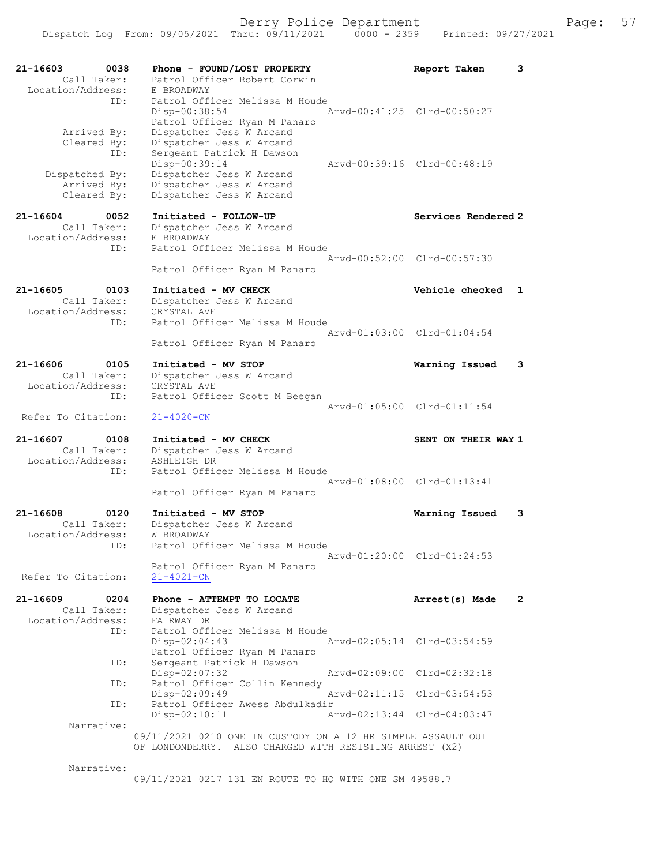| 21-16603<br>0038<br>Call Taker:                             | Phone - FOUND/LOST PROPERTY<br>Patrol Officer Robert Corwin                                                       | Report Taken                | 3              |
|-------------------------------------------------------------|-------------------------------------------------------------------------------------------------------------------|-----------------------------|----------------|
| Location/Address:<br>ID:                                    | E BROADWAY<br>Patrol Officer Melissa M Houde<br>$Disp-00:38:54$                                                   | Arvd-00:41:25 Clrd-00:50:27 |                |
| Arrived By:<br>Cleared By:<br>ID:                           | Patrol Officer Ryan M Panaro<br>Dispatcher Jess W Arcand<br>Dispatcher Jess W Arcand<br>Sergeant Patrick H Dawson |                             |                |
| Dispatched By:<br>Arrived By:<br>Cleared By:                | Disp-00:39:14<br>Dispatcher Jess W Arcand<br>Dispatcher Jess W Arcand<br>Dispatcher Jess W Arcand                 | Arvd-00:39:16 Clrd-00:48:19 |                |
| 21-16604<br>0052<br>Call Taker:<br>Location/Address:        | Initiated - FOLLOW-UP<br>Dispatcher Jess W Arcand<br>E BROADWAY                                                   | Services Rendered 2         |                |
| ID:                                                         | Patrol Officer Melissa M Houde<br>Patrol Officer Ryan M Panaro                                                    | Arvd-00:52:00 Clrd-00:57:30 |                |
| 21-16605<br>0103<br>Call Taker:                             | Initiated - MV CHECK<br>Dispatcher Jess W Arcand                                                                  | Vehicle checked             | 1              |
| Location/Address:<br>ID:                                    | CRYSTAL AVE<br>Patrol Officer Melissa M Houde                                                                     | Arvd-01:03:00 Clrd-01:04:54 |                |
| 21-16606<br>0105                                            | Patrol Officer Ryan M Panaro<br>Initiated - MV STOP                                                               | Warning Issued              | 3              |
| Call Taker:<br>Location/Address:<br>ID:                     | Dispatcher Jess W Arcand<br>CRYSTAL AVE<br>Patrol Officer Scott M Beegan                                          |                             |                |
| Refer To Citation:                                          | $21 - 4020 - CN$                                                                                                  | Arvd-01:05:00 Clrd-01:11:54 |                |
| 21-16607<br>0108<br>Call Taker:<br>Location/Address:<br>ID: | Initiated - MV CHECK<br>Dispatcher Jess W Arcand<br>ASHLEIGH DR<br>Patrol Officer Melissa M Houde                 | SENT ON THEIR WAY 1         |                |
|                                                             | Patrol Officer Ryan M Panaro                                                                                      | Arvd-01:08:00 Clrd-01:13:41 |                |
| 21-16608<br>0120<br>Call Taker:<br>Location/Address:<br>ID: | Initiated - MV STOP<br>Dispatcher Jess W Arcand<br>W BROADWAY<br>Patrol Officer Melissa M Houde                   | Warning Issued              | 3              |
| Refer To Citation:                                          | Patrol Officer Ryan M Panaro<br>$21 - 4021 - CN$                                                                  | Arvd-01:20:00 Clrd-01:24:53 |                |
| 21-16609<br>0204<br>Call Taker:<br>Location/Address:        | Phone - ATTEMPT TO LOCATE<br>Dispatcher Jess W Arcand<br>FAIRWAY DR                                               | Arrest(s) Made              | $\overline{2}$ |
| ID:                                                         | Patrol Officer Melissa M Houde<br>Disp-02:04:43<br>Patrol Officer Ryan M Panaro                                   | Arvd-02:05:14 Clrd-03:54:59 |                |
| ID:<br>ID:                                                  | Sergeant Patrick H Dawson<br>Disp-02:07:32<br>Patrol Officer Collin Kennedy                                       | Arvd-02:09:00 Clrd-02:32:18 |                |
| ID:                                                         | Disp-02:09:49<br>Patrol Officer Awess Abdulkadir                                                                  | Arvd-02:11:15 Clrd-03:54:53 |                |
| Narrative:                                                  | $Disp-02:10:11$<br>09/11/2021 0210 ONE IN CUSTODY ON A 12 HR SIMPLE ASSAULT OUT                                   | Arvd-02:13:44 Clrd-04:03:47 |                |
| Narrative:                                                  | OF LONDONDERRY. ALSO CHARGED WITH RESISTING ARREST (X2)                                                           |                             |                |
|                                                             | 09/11/2021 0217 131 EN ROUTE TO HQ WITH ONE SM 49588.7                                                            |                             |                |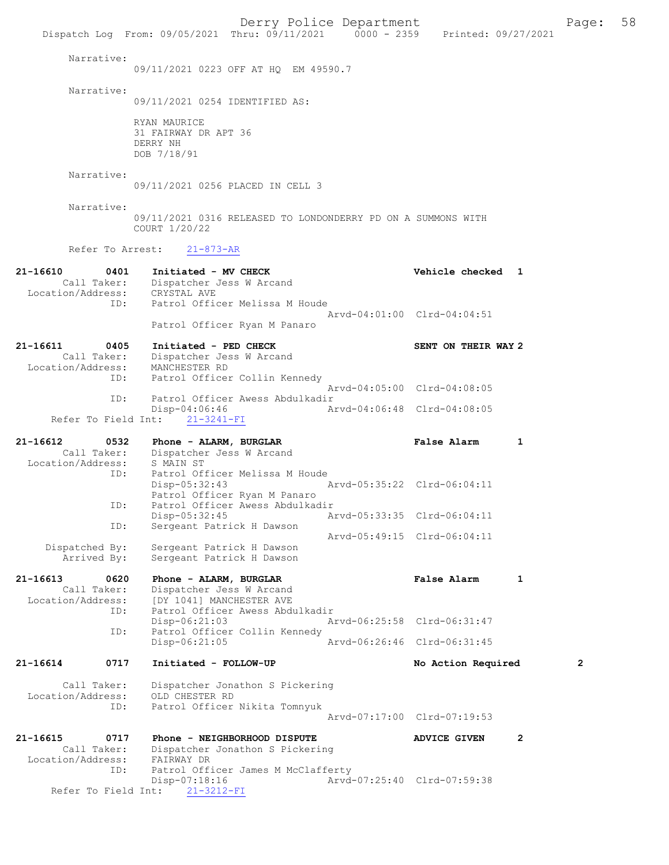Dispatch Log From: 09/05/2021 Thru: 09/11/2021 0000 - 2359 Printed: 09/27/2021 Narrative: 09/11/2021 0223 OFF AT HQ EM 49590.7 Narrative: 09/11/2021 0254 IDENTIFIED AS: RYAN MAURICE 31 FAIRWAY DR APT 36 DERRY NH DOB 7/18/91 Narrative: 09/11/2021 0256 PLACED IN CELL 3 Narrative: 09/11/2021 0316 RELEASED TO LONDONDERRY PD ON A SUMMONS WITH COURT 1/20/22 Refer To Arrest: 21-873-AR 21-16610 0401 Initiated - MV CHECK Vehicle checked 1 Call Taker: Dispatcher Jess W Arcand Location/Address: CRYSTAL AVE ID: Patrol Officer Melissa M Houde Arvd-04:01:00 Clrd-04:04:51 Patrol Officer Ryan M Panaro 21-16611 0405 Initiated - PED CHECK SENT ON THEIR WAY 2<br>Call Taker: Dispatcher Jess W Arcand Call Taker: Dispatcher Jess W Arcand Location/Address: MANCHESTER RD ID: Patrol Officer Collin Kennedy Arvd-04:05:00 Clrd-04:08:05<br>TD: Patrol Officer Awess Abdulkadir Patrol Officer Awess Abdulkadir<br>Disp-04:06:46 Ar Disp-04:06:46 Arvd-04:06:48 Clrd-04:08:05 Refer To Field Int: 21-3241-FI 21-16612 0532 Phone - ALARM, BURGLAR False Alarm 1 Call Taker: Dispatcher Jess W Arcand Location/Address: S MAIN ST ID: Patrol Officer Melissa M Houde<br>Disp-05:32:43 Disp-05:32:43 Arvd-05:35:22 Clrd-06:04:11 Patrol Officer Ryan M Panaro<br>ID: Patrol Officer Awess Abdulkac ID: Patrol Officer Awess Abdulkadir Disp-05:32:45 Arvd-05:33:35 Clrd-06:04:11 ID: Sergeant Patrick H Dawson Arvd-05:49:15 Clrd-06:04:11 Dispatched By: Sergeant Patrick H Dawson Arrived By: Sergeant Patrick H Dawson 21-16613 0620 Phone - ALARM, BURGLAR False Alarm 1 Call Taker: Dispatcher Jess W Arcand Location/Address: [DY 1041] MANCHESTER AVE ID: Patrol Officer Awess Abdulkadir Disp-06:21:03 Arvd-06:25:58 Clrd-06:31:47<br>TD: Patrol Officer Collin Kennedy Patrol Officer Collin Kennedy<br>Disp-06:21:05 Arvd-06:26:46 Clrd-06:31:45 21-16614 0717 Initiated - FOLLOW-UP No Action Required 2 Call Taker: Dispatcher Jonathon S Pickering Location/Address: OLD CHESTER RD ID: Patrol Officer Nikita Tomnyuk Arvd-07:17:00 Clrd-07:19:53 21-16615 0717 Phone - NEIGHBORHOOD DISPUTE ADVICE GIVEN 2 Call Taker: Dispatcher Jonathon S Pickering Location/Address: FAIRWAY DR ID: Patrol Officer James M McClafferty<br>Disp-07:18:16 Arvd-Arvd-07:25:40 Clrd-07:59:38 Refer To Field Int: 21-3212-FI

Derry Police Department Form Page: 58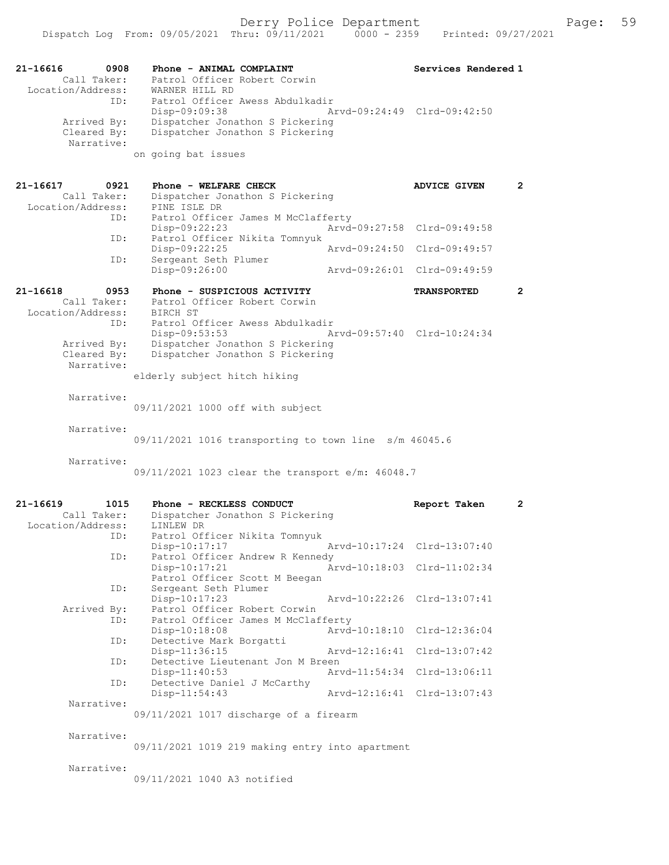| 21-16616<br>0908<br>Call Taker:<br>Location/Address: | Phone - ANIMAL COMPLAINT<br>Patrol Officer Robert Corwin<br>WARNER HILL RD                                               | Services Rendered 1         |                       |
|------------------------------------------------------|--------------------------------------------------------------------------------------------------------------------------|-----------------------------|-----------------------|
| ID:<br>Arrived By:<br>Cleared By:<br>Narrative:      | Patrol Officer Awess Abdulkadir<br>$Disp-09:09:38$<br>Dispatcher Jonathon S Pickering<br>Dispatcher Jonathon S Pickering | Arvd-09:24:49 Clrd-09:42:50 |                       |
|                                                      | on going bat issues                                                                                                      |                             |                       |
| 21-16617<br>0921<br>Call Taker:<br>Location/Address: | Phone - WELFARE CHECK<br>Dispatcher Jonathon S Pickering<br>PINE ISLE DR                                                 | <b>ADVICE GIVEN</b>         | $\mathbf{2}$          |
| ID:<br>ID:                                           | Patrol Officer James M McClafferty<br>$Disp-09:22:23$<br>Patrol Officer Nikita Tomnyuk                                   | Arvd-09:27:58 Clrd-09:49:58 |                       |
| ID:                                                  | Disp-09:22:25<br>Sergeant Seth Plumer                                                                                    | Arvd-09:24:50 Clrd-09:49:57 |                       |
|                                                      | Disp-09:26:00<br>Arvd-09:26:01                                                                                           | Clrd-09:49:59               |                       |
| 21-16618<br>0953<br>Call Taker:<br>Location/Address: | Phone - SUSPICIOUS ACTIVITY<br>Patrol Officer Robert Corwin<br>BIRCH ST                                                  | <b>TRANSPORTED</b>          | $\mathbf{2}$          |
| ID:                                                  | Patrol Officer Awess Abdulkadir<br>Disp-09:53:53                                                                         | Arvd-09:57:40 Clrd-10:24:34 |                       |
| Arrived By:<br>Cleared By:<br>Narrative:             | Dispatcher Jonathon S Pickering<br>Dispatcher Jonathon S Pickering                                                       |                             |                       |
|                                                      | elderly subject hitch hiking                                                                                             |                             |                       |
| Narrative:                                           | 09/11/2021 1000 off with subject                                                                                         |                             |                       |
| Narrative:                                           |                                                                                                                          |                             |                       |
|                                                      | 09/11/2021 1016 transporting to town line s/m 46045.6                                                                    |                             |                       |
| Narrative:                                           | 09/11/2021 1023 clear the transport e/m: 46048.7                                                                         |                             |                       |
| $21 - 16619$<br>1015                                 | Phone - RECKLESS CONDUCT                                                                                                 |                             | $\mathbf{2}^{\prime}$ |
| Call Taker:<br>Location/Address:                     | Dispatcher Jonathon S Pickering<br>LINLEW DR                                                                             | Report Taken                |                       |
| ID:                                                  | Patrol Officer Nikita Tomnyuk<br>Disp-10:17:17                                                                           | Arvd-10:17:24 Clrd-13:07:40 |                       |
| ID:                                                  | Patrol Officer Andrew R Kennedy<br>$Disp-10:17:21$<br>Patrol Officer Scott M Beegan                                      | Arvd-10:18:03 Clrd-11:02:34 |                       |
| ID:                                                  | Sergeant Seth Plumer<br>Disp-10:17:23<br>Arvd-10:22:26                                                                   | Clrd-13:07:41               |                       |
| Arrived By:<br>ID:                                   | Patrol Officer Robert Corwin<br>Patrol Officer James M McClafferty<br>$Disp-10:18:08$<br>Arvd-10:18:10                   | Clrd-12:36:04               |                       |
| ID:                                                  | Detective Mark Borgatti<br>Disp-11:36:15<br>Arvd-12:16:41                                                                | $Clrd-13:07:42$             |                       |
| ID:                                                  | Detective Lieutenant Jon M Breen<br>Arvd-11:54:34<br>$Disp-11:40:53$                                                     | $Clrd-13:06:11$             |                       |
| ID:                                                  | Detective Daniel J McCarthy<br>$Disp-11:54:43$                                                                           | Arvd-12:16:41 Clrd-13:07:43 |                       |
| Narrative:                                           | $09/11/2021$ 1017 discharge of a firearm                                                                                 |                             |                       |
| Narrative:                                           | 09/11/2021 1019 219 making entry into apartment                                                                          |                             |                       |
| Narrative:                                           | 09/11/2021 1040 A3 notified                                                                                              |                             |                       |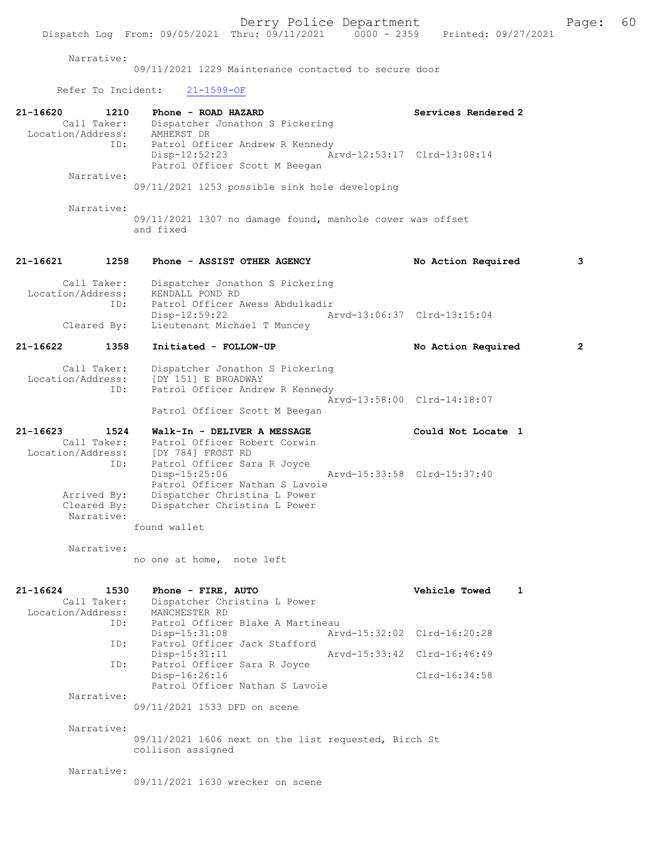#### Narrative:

09/11/2021 1229 Maintenance contacted to secure door

Refer To Incident: 21-1599-OF

| 21-16620<br>1210<br>Location/Address:<br>ID:                                        | Phone - ROAD HAZARD<br>Dispatcher Jonathon S Pickering<br>AMHERST DR<br>Patrol Officer Andrew R Kennedy<br>Disp-12:52:23<br>Patrol Officer Scott M Beegan                                                             | Services Rendered 2<br>Arvd-12:53:17 Clrd-13:08:14 |                |
|-------------------------------------------------------------------------------------|-----------------------------------------------------------------------------------------------------------------------------------------------------------------------------------------------------------------------|----------------------------------------------------|----------------|
| Narrative:                                                                          | 09/11/2021 1253 possible sink hole developing                                                                                                                                                                         |                                                    |                |
| Narrative:                                                                          | 09/11/2021 1307 no damage found, manhole cover was offset<br>and fixed                                                                                                                                                |                                                    |                |
| 1258<br>21-16621                                                                    | Phone - ASSIST OTHER AGENCY                                                                                                                                                                                           | No Action Required                                 | 3              |
| Call Taker:<br>Location/Address:<br>ID:                                             | Dispatcher Jonathon S Pickering<br>KENDALL POND RD<br>Patrol Officer Awess Abdulkadir<br>Disp-12:59:22                                                                                                                | Arvd-13:06:37 Clrd-13:15:04                        |                |
| Cleared By:                                                                         | Lieutenant Michael T Muncey                                                                                                                                                                                           |                                                    |                |
| 21-16622<br>1358                                                                    | Initiated - FOLLOW-UP                                                                                                                                                                                                 | No Action Required                                 | $\overline{2}$ |
| Call Taker:<br>Location/Address:<br>ID:                                             | Dispatcher Jonathon S Pickering<br>[DY 151] E BROADWAY<br>Patrol Officer Andrew R Kennedy<br>Patrol Officer Scott M Beegan                                                                                            | Arvd-13:58:00 Clrd-14:18:07                        |                |
| 21-16623<br>1524                                                                    | Walk-In - DELIVER A MESSAGE                                                                                                                                                                                           | Could Not Locate 1                                 |                |
| Call Taker:<br>Location/Address:<br>ID:<br>Arrived By:<br>Cleared By:<br>Narrative: | Patrol Officer Robert Corwin<br>[DY 784] FROST RD<br>Patrol Officer Sara R Joyce<br>$Disp-15:25:06$<br>Patrol Officer Nathan S Lavoie<br>Dispatcher Christina L Power<br>Dispatcher Christina L Power<br>found wallet | Arvd-15:33:58 Clrd-15:37:40                        |                |
| Narrative:                                                                          | no one at home, note left                                                                                                                                                                                             |                                                    |                |
| 21-16624<br>1530<br>Call Taker:<br>Location/Address:<br>ID:                         | Phone - FIRE, AUTO<br>Dispatcher Christina L Power<br>MANCHESTER RD<br>Patrol Officer Blake A Martineau<br>Disp-15:31:08                                                                                              | Vehicle Towed<br>Arvd-15:32:02 Clrd-16:20:28       | 1              |
| ID:                                                                                 | Patrol Officer Jack Stafford                                                                                                                                                                                          |                                                    |                |
| ID:                                                                                 | Disp-15:31:11<br>Patrol Officer Sara R Joyce                                                                                                                                                                          | Arvd-15:33:42 Clrd-16:46:49                        |                |
|                                                                                     | Disp-16:26:16<br>Patrol Officer Nathan S Lavoie                                                                                                                                                                       | Clrd-16:34:58                                      |                |
| Narrative:                                                                          | 09/11/2021 1533 DFD on scene                                                                                                                                                                                          |                                                    |                |
| Narrative:                                                                          | 09/11/2021 1606 next on the list requested, Birch St<br>collison assigned                                                                                                                                             |                                                    |                |
| Narrative:                                                                          | 09/11/2021 1630 wrecker on scene                                                                                                                                                                                      |                                                    |                |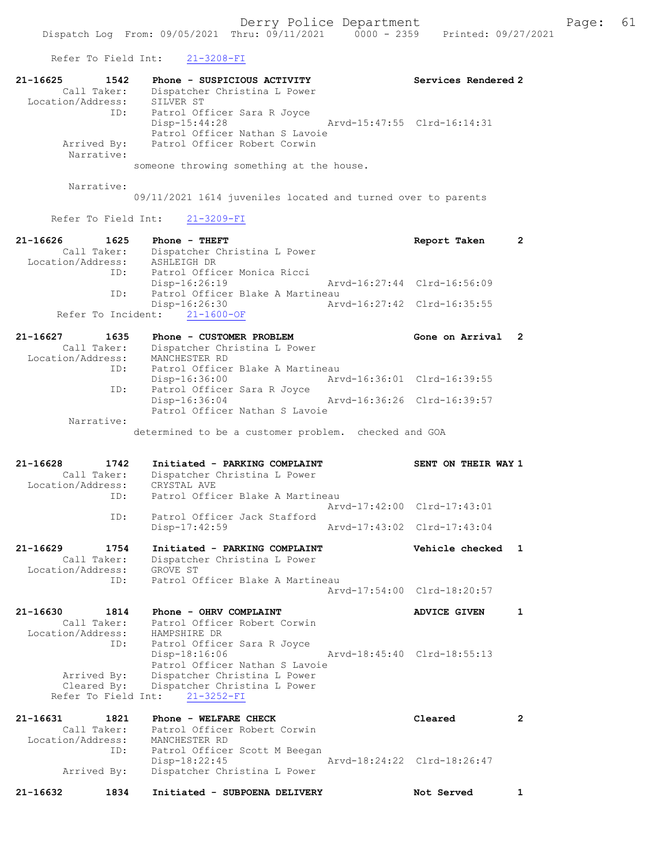Refer To Field Int: 21-3208-FI

| 21-16625<br>1542<br>Call Taker:<br>Location/Address:        | Phone - SUSPICIOUS ACTIVITY<br>Dispatcher Christina L Power<br>SILVER ST                                                                                     | Services Rendered 2         |   |
|-------------------------------------------------------------|--------------------------------------------------------------------------------------------------------------------------------------------------------------|-----------------------------|---|
| ID:<br>Arrived By:<br>Narrative:                            | Patrol Officer Sara R Joyce<br>$Disp-15:44:28$<br>Patrol Officer Nathan S Lavoie<br>Patrol Officer Robert Corwin                                             | Arvd-15:47:55 Clrd-16:14:31 |   |
|                                                             | someone throwing something at the house.                                                                                                                     |                             |   |
| Narrative:                                                  | 09/11/2021 1614 juveniles located and turned over to parents                                                                                                 |                             |   |
| Refer To Field Int:                                         | $21 - 3209 - FI$                                                                                                                                             |                             |   |
| 21-16626<br>1625<br>Call Taker:<br>Location/Address:        | Phone - THEFT<br>Dispatcher Christina L Power<br>ASHLEIGH DR                                                                                                 | Report Taken                | 2 |
| ID:                                                         | Patrol Officer Monica Ricci<br>Disp-16:26:19                                                                                                                 | Arvd-16:27:44 Clrd-16:56:09 |   |
| ID:<br>Refer To Incident:                                   | Patrol Officer Blake A Martineau<br>Disp-16:26:30<br>$21 - 1600 - OF$                                                                                        | Arvd-16:27:42 Clrd-16:35:55 |   |
| 21-16627<br>1635<br>Call Taker:<br>Location/Address:        | Phone - CUSTOMER PROBLEM<br>Dispatcher Christina L Power<br>MANCHESTER RD                                                                                    | Gone on Arrival             | 2 |
| ID:                                                         | Patrol Officer Blake A Martineau<br>$Disp-16:36:00$                                                                                                          | Arvd-16:36:01 Clrd-16:39:55 |   |
| ID:                                                         | Patrol Officer Sara R Joyce<br>$Disp-16:36:04$<br>Patrol Officer Nathan S Lavoie                                                                             | Arvd-16:36:26 Clrd-16:39:57 |   |
| Narrative:                                                  |                                                                                                                                                              |                             |   |
|                                                             | determined to be a customer problem. checked and GOA                                                                                                         |                             |   |
| 21-16628<br>1742<br>Call Taker:<br>Location/Address:        | Initiated - PARKING COMPLAINT<br>Dispatcher Christina L Power<br>CRYSTAL AVE                                                                                 | SENT ON THEIR WAY 1         |   |
| ID:                                                         | Patrol Officer Blake A Martineau                                                                                                                             | Arvd-17:42:00 Clrd-17:43:01 |   |
| ID:                                                         | Patrol Officer Jack Stafford<br>Disp-17:42:59                                                                                                                | Arvd-17:43:02 Clrd-17:43:04 |   |
| 21-16629<br>1754<br>Call Taker:<br>Location/Address:        | Initiated - PARKING COMPLAINT<br>Dispatcher Christina L Power<br>GROVE ST                                                                                    | Vehicle checked             | 1 |
| ID:                                                         | Patrol Officer Blake A Martineau                                                                                                                             | Arvd-17:54:00 Clrd-18:20:57 |   |
| 21-16630<br>1814<br>Call Taker:<br>Location/Address:<br>ID: | Phone - OHRV COMPLAINT<br>Patrol Officer Robert Corwin<br>HAMPSHIRE DR                                                                                       | <b>ADVICE GIVEN</b>         | 1 |
| Arrived By:<br>Cleared By:<br>Refer To Field Int:           | Patrol Officer Sara R Joyce<br>Disp-18:16:06<br>Patrol Officer Nathan S Lavoie<br>Dispatcher Christina L Power<br>Dispatcher Christina L Power<br>21-3252-FI | Arvd-18:45:40 Clrd-18:55:13 |   |
| 21-16631<br>1821<br>Call Taker:<br>Location/Address:        | Phone - WELFARE CHECK<br>Patrol Officer Robert Corwin<br>MANCHESTER RD                                                                                       | Cleared                     | 2 |

21-16632 1834 Initiated - SUBPOENA DELIVERY Not Served 1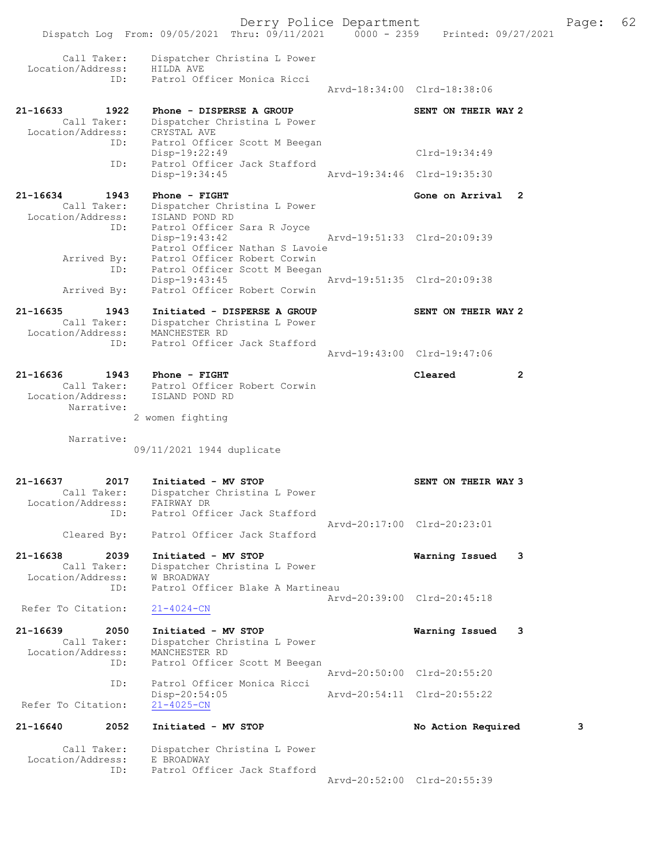Derry Police Department Fage: 62 Dispatch Log From: 09/05/2021 Thru: 09/11/2021 0000 - 2359 Printed: 09/27/2021 Call Taker: Dispatcher Christina L Power Location/Address: HILDA AVE ID: Patrol Officer Monica Ricci Arvd-18:34:00 Clrd-18:38:06 21-16633 1922 Phone - DISPERSE A GROUP SENT ON THEIR WAY 2 Call Taker: Dispatcher Christina L Power Location/Address: CRYSTAL AVE ID: Patrol Officer Scott M Beegan Disp-19:22:49 Clrd-19:34:49 ID: Patrol Officer Jack Stafford Disp-19:34:45 Arvd-19:34:46 Clrd-19:35:30 21-16634 1943 Phone - FIGHT Gone on Arrival 2 Call Taker: Dispatcher Christina L Power Location/Address: ISLAND POND RD ID: Patrol Officer Sara R Joyce Disp-19:43:42 Arvd-19:51:33 Clrd-20:09:39 Patrol Officer Nathan S Lavoie Arrived By: Patrol Officer Robert Corwin ID: Patrol Officer Scott M Beegan Disp-19:43:45 Arvd-19:51:35 Clrd-20:09:38<br>Arrived By: Patrol Officer Robert Corwin Patrol Officer Robert Corwin 21-16635 1943 Initiated - DISPERSE A GROUP SENT ON THEIR WAY 2 Call Taker: Dispatcher Christina L Power Location/Address: MANCHESTER RD ID: Patrol Officer Jack Stafford Arvd-19:43:00 Clrd-19:47:06 21-16636 1943 Phone - FIGHT Cleared 2 Call Taker: Patrol Officer Robert Corwin Location/Address: ISLAND POND RD Narrative: 2 women fighting Narrative: 09/11/2021 1944 duplicate 21-16637 2017 Initiated - MV STOP SENT ON THEIR WAY 3 Call Taker: Dispatcher Christina L Power Location/Address: FAIRWAY DR ID: Patrol Officer Jack Stafford Arvd-20:17:00 Clrd-20:23:01 Cleared By: Patrol Officer Jack Stafford 21-16638 2039 Initiated - MV STOP Warning Issued 3 Call Taker: Dispatcher Christina L Power Location/Address: W BROADWAY ID: Patrol Officer Blake A Martineau Arvd-20:39:00 Clrd-20:45:18<br>21-4024-CN Refer To Citation: 21-16639 2050 Initiated - MV STOP Warning Issued 3 Call Taker: Dispatcher Christina L Power Location/Address: MANCHESTER RD ID: Patrol Officer Scott M Beegan Arvd-20:50:00 Clrd-20:55:20 ID: Patrol Officer Monica Ricci Disp-20:54:05 Arvd-20:54:11 Clrd-20:55:22 Refer To Citation: 21-16640 2052 Initiated - MV STOP No Action Required 3 Call Taker: Dispatcher Christina L Power Location/Address: E BROADWAY ID: Patrol Officer Jack Stafford

Arvd-20:52:00 Clrd-20:55:39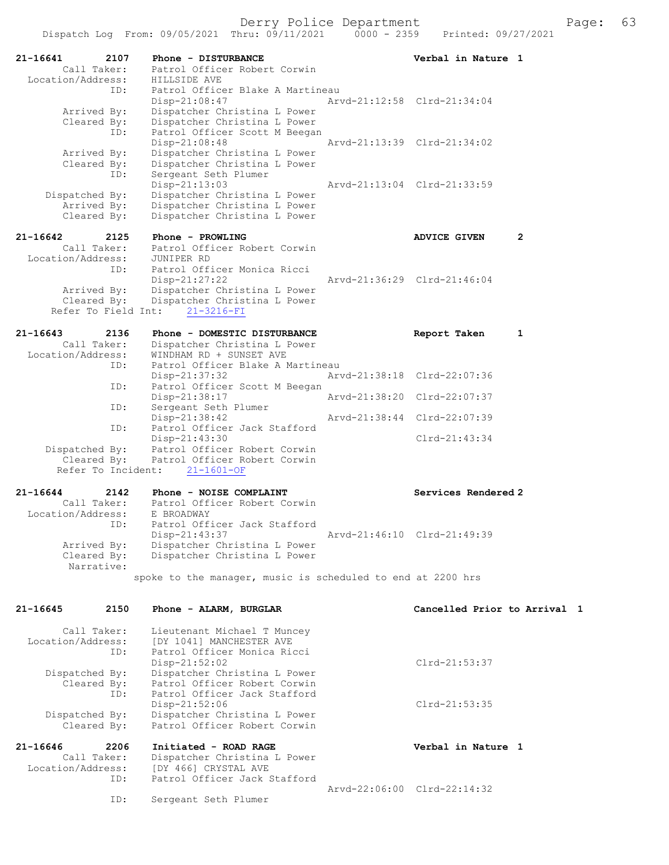|                                 | Dispatch Log From: 09/05/2021 Thru: 09/11/2021               | $0000 - 2359$ | Printed: 09/27/2021          |   |
|---------------------------------|--------------------------------------------------------------|---------------|------------------------------|---|
| 21-16641<br>2107<br>Call Taker: | Phone - DISTURBANCE<br>Patrol Officer Robert Corwin          |               | Verbal in Nature 1           |   |
| Location/Address:<br>ID:        | HILLSIDE AVE<br>Patrol Officer Blake A Martineau             |               |                              |   |
|                                 | Disp-21:08:47                                                |               | Aryd-21:12:58 Clrd-21:34:04  |   |
| Arrived By:                     | Dispatcher Christina L Power                                 |               |                              |   |
| Cleared By:                     | Dispatcher Christina L Power                                 |               |                              |   |
| ID:                             | Patrol Officer Scott M Beegan                                |               |                              |   |
| Arrived By:                     | Disp-21:08:48<br>Dispatcher Christina L Power                |               | Arvd-21:13:39 Clrd-21:34:02  |   |
| Cleared By:                     | Dispatcher Christina L Power                                 |               |                              |   |
| ID:                             | Sergeant Seth Plumer                                         |               |                              |   |
|                                 | $Disp-21:13:03$                                              |               | Arvd-21:13:04 Clrd-21:33:59  |   |
| Dispatched By:<br>Arrived By:   | Dispatcher Christina L Power<br>Dispatcher Christina L Power |               |                              |   |
| Cleared By:                     | Dispatcher Christina L Power                                 |               |                              |   |
|                                 |                                                              |               |                              |   |
| 21-16642<br>2125                | Phone - PROWLING                                             |               | <b>ADVICE GIVEN</b>          | 2 |
| Call Taker:                     | Patrol Officer Robert Corwin                                 |               |                              |   |
| Location/Address:<br>ID:        | JUNIPER RD<br>Patrol Officer Monica Ricci                    |               |                              |   |
|                                 | Disp-21:27:22                                                |               | Arvd-21:36:29 Clrd-21:46:04  |   |
| Arrived By:                     | Dispatcher Christina L Power                                 |               |                              |   |
| Cleared By:                     | Dispatcher Christina L Power                                 |               |                              |   |
| Refer To Field Int:             | $21 - 3216 - FI$                                             |               |                              |   |
| $21 - 16643$<br>2136            | Phone - DOMESTIC DISTURBANCE                                 |               | Report Taken                 | 1 |
| Call Taker:                     | Dispatcher Christina L Power                                 |               |                              |   |
| Location/Address:               | WINDHAM RD + SUNSET AVE                                      |               |                              |   |
| ID:                             | Patrol Officer Blake A Martineau                             |               |                              |   |
| ID:                             | Disp-21:37:32<br>Patrol Officer Scott M Beegan               |               | Arvd-21:38:18 Clrd-22:07:36  |   |
|                                 | Disp-21:38:17                                                |               | Arvd-21:38:20 Clrd-22:07:37  |   |
| ID:                             | Sergeant Seth Plumer                                         |               |                              |   |
|                                 | Disp-21:38:42                                                |               | Arvd-21:38:44 Clrd-22:07:39  |   |
| ID:                             | Patrol Officer Jack Stafford<br>$Disp-21:43:30$              |               | $Clrd-21:43:34$              |   |
| Dispatched By:                  | Patrol Officer Robert Corwin                                 |               |                              |   |
| Cleared By:                     | Patrol Officer Robert Corwin                                 |               |                              |   |
| Refer To Incident:              | $21 - 1601 - OF$                                             |               |                              |   |
| $21 - 16644$<br>2142            | Phone - NOISE COMPLAINT                                      |               | Services Rendered 2          |   |
| Call Taker:                     | Patrol Officer Robert Corwin                                 |               |                              |   |
| Location/Address:               | E BROADWAY                                                   |               |                              |   |
| ID:                             | Patrol Officer Jack Stafford                                 |               |                              |   |
| Arrived By:                     | Disp-21:43:37<br>Dispatcher Christina L Power                |               | Arvd-21:46:10 Clrd-21:49:39  |   |
| Cleared By:                     | Dispatcher Christina L Power                                 |               |                              |   |
| Narrative:                      |                                                              |               |                              |   |
|                                 | spoke to the manager, music is scheduled to end at 2200 hrs  |               |                              |   |
|                                 |                                                              |               |                              |   |
| $21 - 16645$<br>2150            | Phone - ALARM, BURGLAR                                       |               | Cancelled Prior to Arrival 1 |   |
| Call Taker:                     | Lieutenant Michael T Muncey                                  |               |                              |   |
| Location/Address:               | [DY 1041] MANCHESTER AVE                                     |               |                              |   |
| ID:                             | Patrol Officer Monica Ricci                                  |               |                              |   |
|                                 | Disp-21:52:02                                                |               | $Clrd-21:53:37$              |   |
| Dispatched By:                  | Dispatcher Christina L Power                                 |               |                              |   |
| Cleared By:<br>ID:              | Patrol Officer Robert Corwin<br>Patrol Officer Jack Stafford |               |                              |   |
|                                 | $Disp-21:52:06$                                              |               | $Clrd-21:53:35$              |   |
| Dispatched By:                  | Dispatcher Christina L Power                                 |               |                              |   |
| Cleared By:                     | Patrol Officer Robert Corwin                                 |               |                              |   |
| $21 - 16646$<br>2206            | Initiated - ROAD RAGE                                        |               | Verbal in Nature 1           |   |
| Call Taker:                     | Dispatcher Christina L Power                                 |               |                              |   |
| Location/Address:               | [DY 466] CRYSTAL AVE                                         |               |                              |   |
| ID:                             | Patrol Officer Jack Stafford                                 |               |                              |   |
| ID:                             | Sergeant Seth Plumer                                         |               | Arvd-22:06:00 Clrd-22:14:32  |   |
|                                 |                                                              |               |                              |   |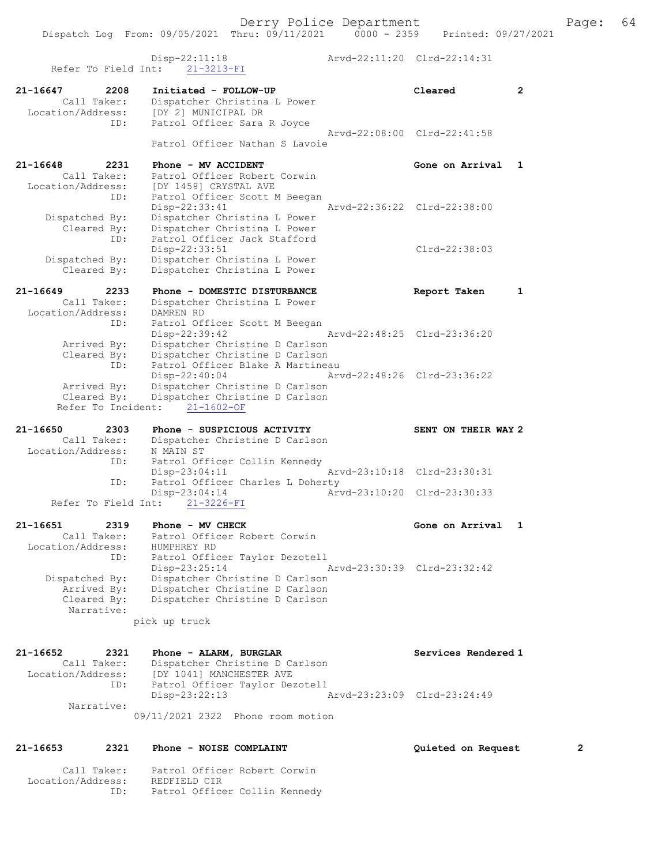Derry Police Department Fage: 64 Dispatch Log From: 09/05/2021 Thru: 09/11/2021 0000 - 2359 Printed: 09/27/2021 Disp-22:11:18 Arvd-22:11:20 Clrd-22:14:31 Refer To Field Int: 21-3213-FI 21-16647 2208 Initiated - FOLLOW-UP Cleared 2 Call Taker: Dispatcher Christina L Power Location/Address: [DY 2] MUNICIPAL DR ID: Patrol Officer Sara R Joyce Arvd-22:08:00 Clrd-22:41:58 Patrol Officer Nathan S Lavoie 21-16648 2231 Phone - MV ACCIDENT Cone on Arrival 1 Call Taker: Patrol Officer Robert Corwin Location/Address: [DY 1459] CRYSTAL AVE ID: Patrol Officer Scott M Beegan Disp-22:33:41 Arvd-22:36:22 Clrd-22:38:00 Dispatched By: Dispatcher Christina L Power Cleared By: Dispatcher Christina L Power ID: Patrol Officer Jack Stafford Disp-22:33:51 Clrd-22:38:03 Dispatched By: Dispatcher Christina L Power Cleared By: Dispatcher Christina L Power 21-16649 2233 Phone - DOMESTIC DISTURBANCE Report Taken 1 Call Taker: Dispatcher Christina L Power Location/Address: DAMREN RD ID: Patrol Officer Scott M Beegan Disp-22:39:42 Arvd-22:48:25 Clrd-23:36:20 Arrived By: Dispatcher Christine D Carlson Cleared By: Dispatcher Christine D Carlson ID: Patrol Officer Blake A Martineau Disp-22:40:04 Arvd-22:48:26 Clrd-23:36:22 Arrived By: Dispatcher Christine D Carlson Cleared By: Dispatcher Christine D Carlson Refer To Incident: 21-1602-OF 21-16650 2303 Phone - SUSPICIOUS ACTIVITY SENT ON THEIR WAY 2 Call Taker: Dispatcher Christine D Carlson Location/Address: N MAIN ST ID: Patrol Officer Collin Kennedy<br>Disp-23:04:11 Mrvd-23:10:18 Clrd-23:30:31  $Disp-23:04:11$ ID: Patrol Officer Charles L Doherty<br>Disp-23:04:14 Arv Disp-23:04:14 Arvd-23:10:20 Clrd-23:30:33 Refer To Field Int: 21-3226-FI 21-16651 2319 Phone - MV CHECK CHECH Cone on Arrival 1 Call Taker: Patrol Officer Robert Corwin Location/Address: HUMPHREY RD ID: Patrol Officer Taylor Dezotell Disp-23:25:14 Arvd-23:30:39 Clrd-23:32:42 Dispatched By: Dispatcher Christine D Carlson Arrived By: Dispatcher Christine D Carlson Cleared By: Dispatcher Christine D Carlson Narrative: pick up truck 21-16652 2321 Phone - ALARM, BURGLAR Services Rendered 1 Call Taker: Dispatcher Christine D Carlson Location/Address: [DY 1041] MANCHESTER AVE ID: Patrol Officer Taylor Dezotell Disp-23:22:13 Arvd-23:23:09 Clrd-23:24:49 Narrative: 09/11/2021 2322 Phone room motion

#### 21-16653 2321 Phone - NOISE COMPLAINT Quieted on Request 2

Location/Address: REDFIELD CIR

Call Taker: Patrol Officer Robert Corwin

ID: Patrol Officer Collin Kennedy